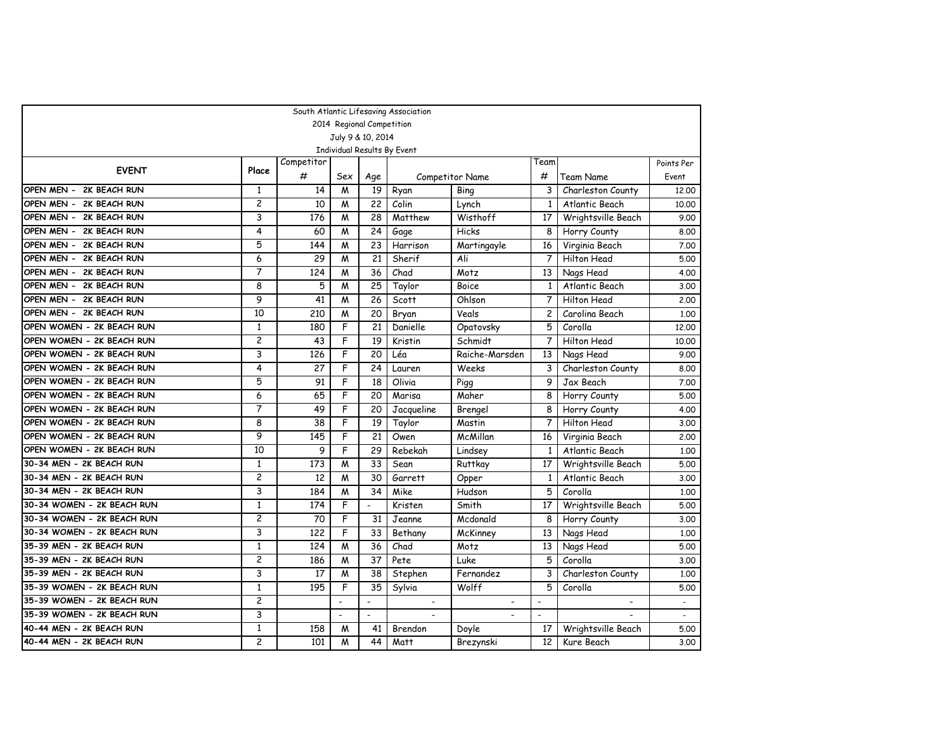|                            |                |            |                |                           | South Atlantic Lifesaving Association |                 |                          |                    |            |
|----------------------------|----------------|------------|----------------|---------------------------|---------------------------------------|-----------------|--------------------------|--------------------|------------|
|                            |                |            |                | 2014 Regional Competition |                                       |                 |                          |                    |            |
|                            |                |            |                | July 9 & 10, 2014         |                                       |                 |                          |                    |            |
|                            |                |            |                |                           | Individual Results By Event           |                 |                          |                    |            |
| <b>EVENT</b>               | Place          | Competitor |                |                           |                                       |                 | Team                     |                    | Points Per |
|                            |                | #          | Sex            | Age                       |                                       | Competitor Name | #                        | Team Name          | Event      |
| OPEN MEN - 2K BEACH RUN    | 1              | 14         | M              | 19                        | Ryan                                  | Bing            | 3                        | Charleston County  | 12,00      |
| OPEN MEN - 2K BEACH RUN    | $\overline{c}$ | 10         | M              | 22                        | Colin                                 | Lynch           | 1                        | Atlantic Beach     | 10.00      |
| OPEN MEN - 2K BEACH RUN    | 3              | 176        | M              | 28                        | Matthew                               | Wisthoff        | 17                       | Wrightsville Beach | 9.00       |
| OPEN MEN - 2K BEACH RUN    | 4              | 60         | M              | 24                        | Gage                                  | Hicks           | 8                        | Horry County       | 8.00       |
| OPEN MEN - 2K BEACH RUN    | 5              | 144        | M              | 23                        | Harrison                              | Martingayle     | 16                       | Virginia Beach     | 7.00       |
| OPEN MEN - 2K BEACH RUN    | 6              | 29         | M              | 21                        | Sherif                                | Ali             | $\overline{7}$           | Hilton Head        | 5.00       |
| OPEN MEN - 2K BEACH RUN    | 7              | 124        | M              | 36                        | Chad                                  | Motz            | 13                       | Nags Head          | 4.00       |
| OPEN MEN - 2K BEACH RUN    | 8              | 5          | M              | 25                        | Taylor                                | <b>Boice</b>    | 1                        | Atlantic Beach     | 3.00       |
| OPEN MEN - 2K BEACH RUN    | 9              | 41         | M              | 26                        | Scott                                 | Ohlson          | $\overline{7}$           | <b>Hilton Head</b> | 2,00       |
| OPEN MEN - 2K BEACH RUN    | 10             | 210        | M              | 20                        | Bryan                                 | Veals           | $\overline{c}$           | Carolina Beach     | 1,00       |
| OPEN WOMEN - 2K BEACH RUN  | 1              | 180        | F              | 21                        | Danielle                              | Opatovsky       | 5                        | Corolla            | 12.00      |
| OPEN WOMEN - 2K BEACH RUN  | $\overline{2}$ | 43         | F              | 19                        | Kristin                               | Schmidt         | $\overline{7}$           | <b>Hilton Head</b> | 10.00      |
| OPEN WOMEN - 2K BEACH RUN  | 3              | 126        | F              | 20                        | Léa                                   | Raiche-Marsden  | 13                       | Nags Head          | 9.00       |
| OPEN WOMEN - 2K BEACH RUN  | 4              | 27         | F              | 24                        | Lauren                                | Weeks           | 3                        | Charleston County  | 8.00       |
| OPEN WOMEN - 2K BEACH RUN  | 5              | 91         | F              | 18                        | Olivia                                | Pigg            | 9                        | Jax Beach          | 7.00       |
| OPEN WOMEN - 2K BEACH RUN  | 6              | 65         | F              | 20                        | Marisa                                | Maher           | 8                        | Horry County       | 5.00       |
| OPEN WOMEN - 2K BEACH RUN  | 7              | 49         | F              | 20                        | Jacqueline                            | Brengel         | 8                        | Horry County       | 4.00       |
| OPEN WOMEN - 2K BEACH RUN  | 8              | 38         | F              | 19                        | Taylor                                | Mastin          | 7                        | Hilton Head        | 3.00       |
| OPEN WOMEN - 2K BEACH RUN  | 9              | 145        | F              | 21                        | Owen                                  | McMillan        | 16                       | Virginia Beach     | 2,00       |
| OPEN WOMEN - 2K BEACH RUN  | 10             | 9          | F              | 29                        | Rebekah                               | Lindsey         | $\mathbf{1}$             | Atlantic Beach     | 1.00       |
| 30-34 MEN - 2K BEACH RUN   | $\mathbf{1}$   | 173        | M              | 33                        | Sean                                  | Ruttkay         | 17                       | Wrightsville Beach | 5.00       |
| 30-34 MEN - 2K BEACH RUN   | $\overline{2}$ | 12         | M              | 30                        | Garrett                               | Opper           | 1                        | Atlantic Beach     | 3.00       |
| 30-34 MEN - 2K BEACH RUN   | 3              | 184        | M              | 34                        | Mike                                  | Hudson          | 5                        | Corolla            | 1,00       |
| 30-34 WOMEN - 2K BEACH RUN | $\mathbf{1}$   | 174        | F              | $\overline{a}$            | Kristen                               | Smith           | 17                       | Wrightsville Beach | 5.00       |
| 30-34 WOMEN - 2K BEACH RUN | $\overline{c}$ | 70         | F              | 31                        | Jeanne                                | Mcdonald        | 8                        | Horry County       | 3.00       |
| 30-34 WOMEN - 2K BEACH RUN | 3              | 122        | F              | 33                        | Bethany                               | McKinney        | 13                       | Nags Head          | 1,00       |
| 35-39 MEN - 2K BEACH RUN   | $\mathbf{1}$   | 124        | M              | 36                        | Chad                                  | Motz            | 13                       | Nags Head          | 5.00       |
| 35-39 MEN - 2K BEACH RUN   | 2              | 186        | M              | 37                        | Pete                                  | Luke            | 5                        | Corolla            | 3.00       |
| 35-39 MEN - 2K BEACH RUN   | 3              | 17         | M              | 38                        | Stephen                               | Fernandez       | 3                        | Charleston County  | 1,00       |
| 35-39 WOMEN - 2K BEACH RUN | $\mathbf{1}$   | 195        | F              | 35                        | Sylvia                                | Wolff           | 5                        | Corolla            | 5.00       |
| 35-39 WOMEN - 2K BEACH RUN | 2              |            | $\overline{a}$ | $\overline{a}$            | $\overline{\phantom{a}}$              |                 | $\overline{\phantom{a}}$ |                    |            |
| 35-39 WOMEN - 2K BEACH RUN | 3              |            | $\overline{a}$ |                           |                                       |                 | $\blacksquare$           |                    |            |
| 40-44 MEN - 2K BEACH RUN   | $\mathbf{1}$   | 158        | M              | 41                        | Brendon                               | Doyle           | 17                       | Wrightsville Beach | 5.00       |
| 40-44 MEN - 2K BEACH RUN   | $\overline{c}$ | 101        | M              | 44                        | Matt                                  | Brezynski       | 12                       | Kure Beach         | 3.00       |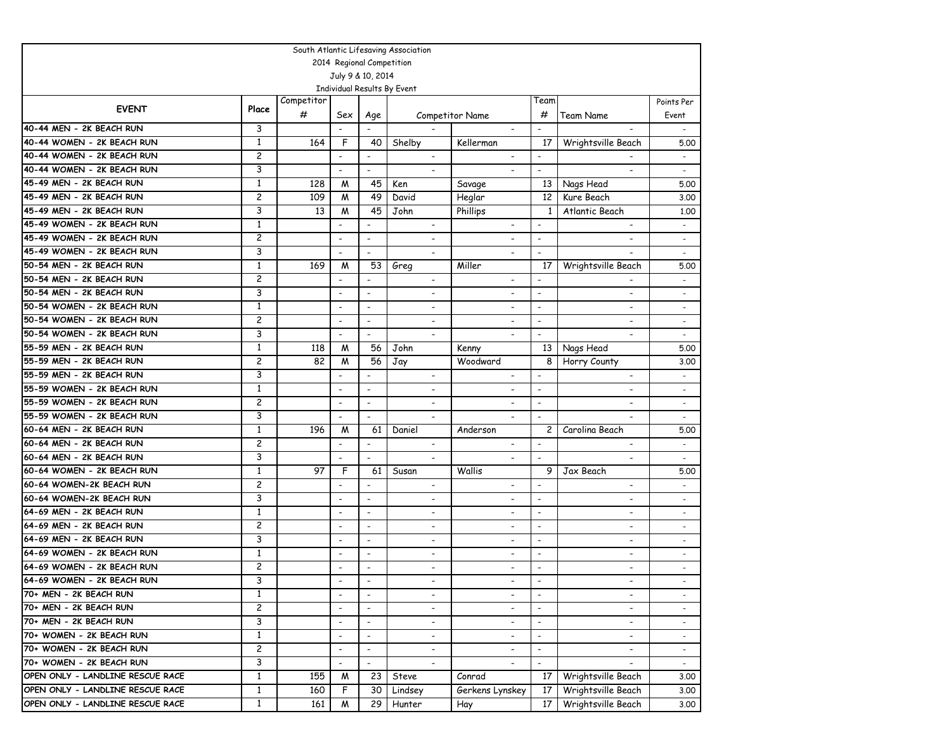| South Atlantic Lifesaving Association |                |                 |                          |                           |                             |                          |                          |                          |                          |  |  |
|---------------------------------------|----------------|-----------------|--------------------------|---------------------------|-----------------------------|--------------------------|--------------------------|--------------------------|--------------------------|--|--|
|                                       |                |                 |                          | 2014 Regional Competition |                             |                          |                          |                          |                          |  |  |
|                                       |                |                 |                          | July 9 & 10, 2014         |                             |                          |                          |                          |                          |  |  |
|                                       |                |                 |                          |                           | Individual Results By Event |                          |                          |                          |                          |  |  |
| <b>EVENT</b>                          | Place          | Competitor<br># | Sex                      | Age                       |                             | Competitor Name          | Team<br>#                | <b>Team Name</b>         | Points Per<br>Event      |  |  |
| 40-44 MEN - 2K BEACH RUN              | 3              |                 | $\overline{\phantom{a}}$ | $\overline{\phantom{a}}$  |                             |                          | $\overline{\phantom{a}}$ | $\overline{\phantom{a}}$ | $\overline{\phantom{a}}$ |  |  |
| 40-44 WOMEN - 2K BEACH RUN            | 1              | 164             | F                        | 40                        | Shelby                      | Kellerman                | 17                       | Wrightsville Beach       | 5.00                     |  |  |
| 40-44 WOMEN - 2K BEACH RUN            | 2              |                 | $\overline{\phantom{a}}$ |                           |                             |                          | $\overline{a}$           |                          |                          |  |  |
| 40-44 WOMEN - 2K BEACH RUN            | 3              |                 | $\overline{\phantom{a}}$ | $\blacksquare$            | $\overline{\phantom{a}}$    |                          | $\blacksquare$           |                          | $\overline{\phantom{a}}$ |  |  |
| 45-49 MEN - 2K BEACH RUN              | $\mathbf{1}$   | 128             | M                        | 45                        | Ken                         | Savage                   | 13                       | Nags Head                | 5.00                     |  |  |
| 45-49 MEN - 2K BEACH RUN              | 2              | 109             | M                        | 49                        | David                       | Heglar                   | 12 <sup>2</sup>          | Kure Beach               | 3.00                     |  |  |
| 45-49 MEN - 2K BEACH RUN              | 3              | 13              | M                        | 45                        | John                        | Phillips                 | 1                        | Atlantic Beach           | 1,00                     |  |  |
| 45-49 WOMEN - 2K BEACH RUN            | $\mathbf{1}$   |                 | $\overline{a}$           |                           |                             |                          | $\overline{a}$           |                          |                          |  |  |
| 45-49 WOMEN - 2K BEACH RUN            | 2              |                 | $\overline{\phantom{a}}$ | $\blacksquare$            | $\overline{\phantom{a}}$    | $\overline{\phantom{a}}$ | $\blacksquare$           | $\blacksquare$           | $\overline{\phantom{a}}$ |  |  |
| 45-49 WOMEN - 2K BEACH RUN            | 3              |                 | $\overline{\phantom{a}}$ | $\blacksquare$            | $\overline{a}$              | $\overline{\phantom{a}}$ | $\blacksquare$           |                          | $\overline{\phantom{0}}$ |  |  |
| 50-54 MEN - 2K BEACH RUN              | $\mathbf{1}$   | 169             | M                        | 53                        | Greg                        | Miller                   | 17                       | Wrightsville Beach       | 5.00                     |  |  |
| 50-54 MEN - 2K BEACH RUN              | 2              |                 | $\blacksquare$           |                           | $\overline{\phantom{a}}$    | $\overline{\phantom{a}}$ |                          |                          |                          |  |  |
| 50-54 MEN - 2K BEACH RUN              | 3              |                 | $\overline{\phantom{a}}$ | $\overline{\phantom{a}}$  | $\blacksquare$              |                          | $\overline{\phantom{a}}$ | $\overline{\phantom{0}}$ | $\overline{\phantom{a}}$ |  |  |
| 50-54 WOMEN - 2K BEACH RUN            | $\mathbf{1}$   |                 | $\overline{\phantom{a}}$ | $\overline{\phantom{a}}$  | $\overline{\phantom{a}}$    | $\overline{\phantom{a}}$ | $\overline{\phantom{a}}$ | $\overline{\phantom{a}}$ | $\overline{\phantom{a}}$ |  |  |
| 50-54 WOMEN - 2K BEACH RUN            | 2              |                 | $\overline{\phantom{a}}$ | $\overline{\phantom{a}}$  | $\overline{\phantom{0}}$    | $\overline{\phantom{a}}$ | $\blacksquare$           | $\overline{\phantom{a}}$ | $\overline{\phantom{a}}$ |  |  |
| 50-54 WOMEN - 2K BEACH RUN            | 3              |                 | $\overline{\phantom{a}}$ | $\overline{\phantom{a}}$  |                             |                          | $\overline{\phantom{a}}$ |                          |                          |  |  |
| 55-59 MEN - 2K BEACH RUN              | 1              | 118             | M                        | 56                        | John                        | Kenny                    | 13                       | Nags Head                | 5.00                     |  |  |
| 55-59 MEN - 2K BEACH RUN              | 2              | 82              | M                        | 56                        | Jay                         | Woodward                 | 8                        | Horry County             | 3.00                     |  |  |
| 55-59 MEN - 2K BEACH RUN              | 3              |                 | $\overline{\phantom{a}}$ | $\blacksquare$            | $\overline{\phantom{a}}$    | $\overline{\phantom{a}}$ | $\blacksquare$           | $\overline{\phantom{a}}$ | $\blacksquare$           |  |  |
| 55-59 WOMEN - 2K BEACH RUN            | $\mathbf{1}$   |                 | $\overline{\phantom{a}}$ | $\overline{\phantom{a}}$  | $\overline{\phantom{a}}$    | $\overline{\phantom{a}}$ | $\overline{\phantom{a}}$ | $\blacksquare$           | $\overline{\phantom{a}}$ |  |  |
| 55-59 WOMEN - 2K BEACH RUN            | 2              |                 | $\overline{\phantom{a}}$ | $\overline{\phantom{a}}$  | $\overline{a}$              | $\overline{\phantom{0}}$ | $\overline{\phantom{a}}$ |                          | $\overline{a}$           |  |  |
| 55-59 WOMEN - 2K BEACH RUN            | 3              |                 | $\overline{\phantom{a}}$ | $\overline{\phantom{a}}$  | $\overline{\phantom{a}}$    |                          | $\blacksquare$           | $\blacksquare$           | $\overline{\phantom{a}}$ |  |  |
| 60-64 MEN - 2K BEACH RUN              | $\mathbf{1}$   | 196             | M                        | 61                        | Daniel                      | Anderson                 | 2                        | Carolina Beach           | 5.00                     |  |  |
| 60-64 MEN - 2K BEACH RUN              | $\overline{c}$ |                 | $\overline{\phantom{a}}$ | $\overline{\phantom{a}}$  | $\overline{\phantom{a}}$    | $\blacksquare$           | $\overline{\phantom{a}}$ | $\overline{\phantom{a}}$ | $\overline{\phantom{a}}$ |  |  |
| 60-64 MEN - 2K BEACH RUN              | 3              |                 | $\overline{\phantom{a}}$ | $\overline{\phantom{a}}$  | ۰                           |                          | $\overline{a}$           | $\overline{\phantom{a}}$ | $\overline{\phantom{a}}$ |  |  |
| 60-64 WOMEN - 2K BEACH RUN            | $\mathbf{1}$   | 97              | F                        | 61                        | Susan                       | Wallis                   | 9                        | Jax Beach                | 5.00                     |  |  |
| 60-64 WOMEN-2K BEACH RUN              | 2              |                 | $\overline{\phantom{a}}$ | $\overline{\phantom{a}}$  |                             |                          | $\blacksquare$           |                          |                          |  |  |
| 60-64 WOMEN-2K BEACH RUN              | 3              |                 | $\overline{\phantom{a}}$ | $\overline{\phantom{a}}$  | $\overline{\phantom{a}}$    | $\overline{\phantom{a}}$ | $\blacksquare$           |                          |                          |  |  |
| 64-69 MEN - 2K BEACH RUN              | $\mathbf{1}$   |                 | $\overline{\phantom{a}}$ | $\overline{\phantom{a}}$  | $\overline{a}$              | $\overline{\phantom{a}}$ | $\overline{\phantom{a}}$ | $\overline{\phantom{a}}$ |                          |  |  |
| 64-69 MEN - 2K BEACH RUN              | $\overline{c}$ |                 | $\overline{\phantom{a}}$ | $\overline{\phantom{a}}$  | $\blacksquare$              | $\overline{\phantom{a}}$ | $\overline{\phantom{a}}$ | $\overline{\phantom{0}}$ | $\overline{\phantom{a}}$ |  |  |
| 64-69 MEN - 2K BEACH RUN              | 3              |                 | $\overline{\phantom{a}}$ | $\overline{\phantom{a}}$  | $\overline{\phantom{a}}$    | $\overline{\phantom{a}}$ | $\overline{\phantom{a}}$ | $\overline{\phantom{a}}$ | $\overline{\phantom{a}}$ |  |  |
| 64-69 WOMEN - 2K BEACH RUN            | 1              |                 | $\overline{\phantom{a}}$ | $\overline{\phantom{a}}$  | $\overline{\phantom{a}}$    | $\overline{\phantom{a}}$ | $\blacksquare$           | $\overline{\phantom{a}}$ | $\overline{\phantom{a}}$ |  |  |
| 64-69 WOMEN - 2K BEACH RUN            | 2              |                 | $\overline{\phantom{a}}$ | $\overline{\phantom{a}}$  | $\blacksquare$              | $\overline{\phantom{a}}$ | $\overline{\phantom{a}}$ | $\overline{\phantom{0}}$ | $\overline{\phantom{a}}$ |  |  |
| 64-69 WOMEN - 2K BEACH RUN            | 3              |                 |                          |                           | $\overline{\phantom{a}}$    | $\overline{\phantom{a}}$ |                          | $\overline{\phantom{a}}$ |                          |  |  |
| 70+ MEN - 2K BEACH RUN                | $\mathbf{1}$   |                 | $\overline{\phantom{a}}$ | $\overline{\phantom{a}}$  | ۰                           |                          | $\overline{\phantom{a}}$ |                          |                          |  |  |
| 70+ MEN - 2K BEACH RUN                | 2              |                 | $\overline{\phantom{a}}$ | $\overline{\phantom{a}}$  | -                           | $\overline{\phantom{a}}$ | $\overline{\phantom{a}}$ | $\overline{\phantom{a}}$ |                          |  |  |
| 70+ MEN - 2K BEACH RUN                | 3              |                 | $\overline{\phantom{a}}$ | $\overline{\phantom{a}}$  |                             |                          | $\overline{\phantom{a}}$ |                          |                          |  |  |
| 70+ WOMEN - 2K BEACH RUN              | $\mathbf{1}$   |                 | $\overline{\phantom{a}}$ | $\overline{\phantom{a}}$  | $\overline{\phantom{a}}$    | $\overline{\phantom{a}}$ | $\blacksquare$           |                          |                          |  |  |
| 70+ WOMEN - 2K BEACH RUN              | $\overline{c}$ |                 | $\overline{\phantom{a}}$ | $\blacksquare$            | $\overline{\phantom{a}}$    | $\overline{\phantom{0}}$ | $\blacksquare$           |                          | $\overline{\phantom{a}}$ |  |  |
| 70+ WOMEN - 2K BEACH RUN              | 3              |                 | $\overline{\phantom{a}}$ | $\overline{\phantom{a}}$  | $\blacksquare$              | $\overline{\phantom{a}}$ | $\blacksquare$           |                          | $\sim$                   |  |  |
| OPEN ONLY - LANDLINE RESCUE RACE      | $\mathbf{1}$   | 155             | M                        | 23                        | Steve                       | Conrad                   | 17                       | Wrightsville Beach       | 3.00                     |  |  |
| OPEN ONLY - LANDLINE RESCUE RACE      | $\mathbf{1}$   | 160             | F                        | 30                        | Lindsey                     | Gerkens Lynskey          | 17                       | Wrightsville Beach       | 3.00                     |  |  |
| OPEN ONLY - LANDLINE RESCUE RACE      | $\mathbf{1}$   | 161             | M                        | 29                        | Hunter                      | Hay                      | 17 <sup>1</sup>          | Wrightsville Beach       | 3.00                     |  |  |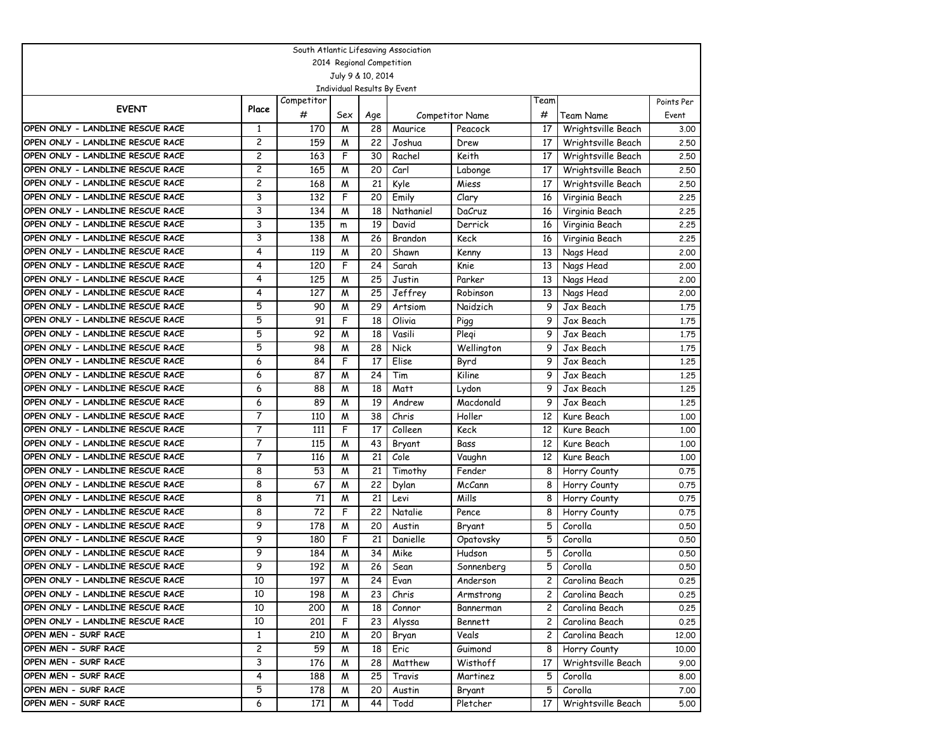|                                  | South Atlantic Lifesaving Association |            |                           |                 |                             |                        |                |                    |            |  |  |  |
|----------------------------------|---------------------------------------|------------|---------------------------|-----------------|-----------------------------|------------------------|----------------|--------------------|------------|--|--|--|
|                                  |                                       |            | 2014 Regional Competition |                 |                             |                        |                |                    |            |  |  |  |
|                                  |                                       |            | July 9 & 10, 2014         |                 |                             |                        |                |                    |            |  |  |  |
|                                  |                                       |            |                           |                 | Individual Results By Event |                        |                |                    |            |  |  |  |
| <b>EVENT</b>                     | Place                                 | Competitor |                           |                 |                             |                        | Team           |                    | Points Per |  |  |  |
|                                  |                                       | #          | Sex                       | Age             |                             | <b>Competitor Name</b> | #              | Team Name          | Event      |  |  |  |
| OPEN ONLY - LANDLINE RESCUE RACE | 1                                     | 170        | M                         | 28              | Maurice                     | Peacock                | 17             | Wrightsville Beach | 3.00       |  |  |  |
| OPEN ONLY - LANDLINE RESCUE RACE | 2                                     | 159        | M                         | 22              | Joshua                      | Drew                   | 17             | Wrightsville Beach | 2,50       |  |  |  |
| OPEN ONLY - LANDLINE RESCUE RACE | $\overline{c}$                        | 163        | F                         | 30              | Rachel                      | Keith                  | 17             | Wrightsville Beach | 2.50       |  |  |  |
| OPEN ONLY - LANDLINE RESCUE RACE | 2                                     | 165        | M                         | 20              | Carl                        | Labonge                | 17             | Wrightsville Beach | 2.50       |  |  |  |
| OPEN ONLY - LANDLINE RESCUE RACE | 2                                     | 168        | M                         | 21              | Kyle                        | Miess                  | 17             | Wrightsville Beach | 2.50       |  |  |  |
| OPEN ONLY - LANDLINE RESCUE RACE | 3                                     | 132        | F                         | 20              | Emily                       | Clary                  | 16             | Virginia Beach     | 2.25       |  |  |  |
| OPEN ONLY - LANDLINE RESCUE RACE | 3                                     | 134        | M                         | 18              | Nathaniel                   | DaCruz                 | 16             | Virginia Beach     | 2.25       |  |  |  |
| OPEN ONLY - LANDLINE RESCUE RACE | 3                                     | 135        | m                         | 19              | David                       | Derrick                | 16             | Virginia Beach     | 2.25       |  |  |  |
| OPEN ONLY - LANDLINE RESCUE RACE | 3                                     | 138        | M                         | 26              | Brandon                     | Keck                   | 16             | Virginia Beach     | 2.25       |  |  |  |
| OPEN ONLY - LANDLINE RESCUE RACE | 4                                     | 119        | M                         | 20              | Shawn                       | Kenny                  | 13             | Nags Head          | 2,00       |  |  |  |
| OPEN ONLY - LANDLINE RESCUE RACE | 4                                     | 120        | F                         | 24              | Sarah                       | Knie                   | 13             | Nags Head          | 2,00       |  |  |  |
| OPEN ONLY - LANDLINE RESCUE RACE | 4                                     | 125        | M                         | 25              | Justin                      | Parker                 | 13             | Nags Head          | 2,00       |  |  |  |
| OPEN ONLY - LANDLINE RESCUE RACE | 4                                     | 127        | M                         | 25              | Jeffrey                     | Robinson               | 13             | Nags Head          | 2,00       |  |  |  |
| OPEN ONLY - LANDLINE RESCUE RACE | 5                                     | 90         | M                         | 29              | Artsiom                     | Naidzich               | 9              | Jax Beach          | 1.75       |  |  |  |
| OPEN ONLY - LANDLINE RESCUE RACE | 5                                     | 91         | F                         | 18              | Olivia                      | Pigg                   | 9              | Jax Beach          | 1.75       |  |  |  |
| OPEN ONLY - LANDLINE RESCUE RACE | 5                                     | 92         | M                         | 18              | Vasili                      | Plegi                  | 9              | Jax Beach          | 1.75       |  |  |  |
| OPEN ONLY - LANDLINE RESCUE RACE | 5                                     | 98         | M                         | 28              | Nick                        | Wellington             | 9              | Jax Beach          | 1.75       |  |  |  |
| OPEN ONLY - LANDLINE RESCUE RACE | 6                                     | 84         | F                         | 17              | Elise                       | Byrd                   | 9              | Jax Beach          | 1.25       |  |  |  |
| OPEN ONLY - LANDLINE RESCUE RACE | 6                                     | 87         | M                         | 24              | Tim                         | Kiline                 | 9              | Jax Beach          | 1,25       |  |  |  |
| OPEN ONLY - LANDLINE RESCUE RACE | 6                                     | 88         | M                         | 18              | Matt                        | Lydon                  | 9              | Jax Beach          | 1,25       |  |  |  |
| OPEN ONLY - LANDLINE RESCUE RACE | 6                                     | 89         | M                         | 19              | Andrew                      | Macdonald              | 9              | Jax Beach          | 1,25       |  |  |  |
| OPEN ONLY - LANDLINE RESCUE RACE | 7                                     | 110        | M                         | 38              | Chris                       | Holler                 | 12             | Kure Beach         | 1.00       |  |  |  |
| OPEN ONLY - LANDLINE RESCUE RACE | 7                                     | 111        | F                         | 17              | Colleen                     | Keck                   | 12             | Kure Beach         | 1.00       |  |  |  |
| OPEN ONLY - LANDLINE RESCUE RACE | $\overline{7}$                        | 115        | M                         | 43              | Bryant                      | Bass                   | 12             | Kure Beach         | 1.00       |  |  |  |
| OPEN ONLY - LANDLINE RESCUE RACE | 7                                     | 116        | M                         | 21              | Cole                        | Vaughn                 | 12             | Kure Beach         | 1.00       |  |  |  |
| OPEN ONLY - LANDLINE RESCUE RACE | 8                                     | 53         | M                         | 21              | Timothy                     | Fender                 | 8              | Horry County       | 0.75       |  |  |  |
| OPEN ONLY - LANDLINE RESCUE RACE | 8                                     | 67         | M                         | 22              | Dylan                       | McCann                 | 8              | Horry County       | 0.75       |  |  |  |
| OPEN ONLY - LANDLINE RESCUE RACE | 8                                     | 71         | M                         | 21              | Levi                        | Mills                  | 8              | Horry County       | 0.75       |  |  |  |
| OPEN ONLY - LANDLINE RESCUE RACE | 8                                     | 72         | F                         | 22              | Natalie                     | Pence                  | 8              | Horry County       | 0.75       |  |  |  |
| OPEN ONLY - LANDLINE RESCUE RACE | 9                                     | 178        | M                         | 20              | Austin                      | Bryant                 | 5              | Corolla            | 0.50       |  |  |  |
| OPEN ONLY - LANDLINE RESCUE RACE | 9                                     | 180        | F                         | 21              | Danielle                    | Opatovsky              | 5              | Corolla            | 0.50       |  |  |  |
| OPEN ONLY - LANDLINE RESCUE RACE | 9                                     | 184        | M                         | 34              | Mike                        | Hudson                 | 5              | Corolla            | 0.50       |  |  |  |
| OPEN ONLY - LANDLINE RESCUE RACE | 9                                     | 192        | M                         | 26              | Sean                        | Sonnenberg             | 5              | Corolla            | 0.50       |  |  |  |
| OPEN ONLY - LANDLINE RESCUE RACE | 10                                    | 197        | $\overline{M}$            | $\overline{24}$ | Evan                        | Anderson               | 2 <sub>1</sub> | Carolina Beach     | 0.25       |  |  |  |
| OPEN ONLY - LANDLINE RESCUE RACE | 10                                    | 198        | M                         | 23              | Chris                       | Armstrong              | $\mathbf{2}$   | Carolina Beach     | 0.25       |  |  |  |
| OPEN ONLY - LANDLINE RESCUE RACE | 10                                    | 200        | M                         | 18              | Connor                      | Bannerman              | $\mathbf{2}$   | Carolina Beach     | 0.25       |  |  |  |
| OPEN ONLY - LANDLINE RESCUE RACE | 10                                    | 201        | F                         | 23              | Alyssa                      | Bennett                | 2              | Carolina Beach     | 0.25       |  |  |  |
| OPEN MEN - SURF RACE             | $\mathbf{1}$                          | 210        | M                         | 20              | Bryan                       | Veals                  | 2              | Carolina Beach     | 12.00      |  |  |  |
| OPEN MEN - SURF RACE             | $\overline{c}$                        | 59         | M                         | 18              | Eric                        | Guimond                | 8              | Horry County       | 10.00      |  |  |  |
| OPEN MEN - SURF RACE             | 3                                     | 176        | M                         | 28              | Matthew                     | Wisthoff               | 17             | Wrightsville Beach | 9.00       |  |  |  |
| OPEN MEN - SURF RACE             | 4                                     | 188        | M                         | 25              | Travis                      | Martinez               | 5              | Corolla            | 8.00       |  |  |  |
| OPEN MEN - SURF RACE             | 5                                     | 178        | M                         | 20              | Austin                      | Bryant                 | 5              | Corolla            | 7.00       |  |  |  |
| OPEN MEN - SURF RACE             | 6                                     | 171        | M                         | 44              | Todd                        | Pletcher               | 17             | Wrightsville Beach | 5.00       |  |  |  |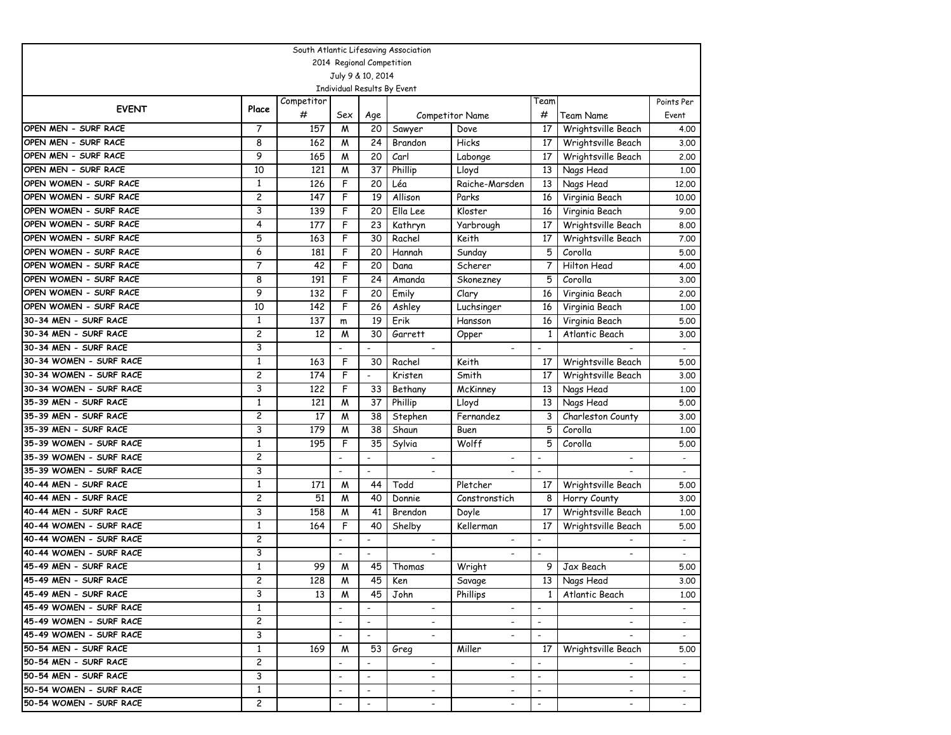| South Atlantic Lifesaving Association |                |            |                          |                           |                             |                          |                          |                          |                          |  |  |  |
|---------------------------------------|----------------|------------|--------------------------|---------------------------|-----------------------------|--------------------------|--------------------------|--------------------------|--------------------------|--|--|--|
|                                       |                |            |                          | 2014 Regional Competition |                             |                          |                          |                          |                          |  |  |  |
|                                       |                |            |                          | July 9 & 10, 2014         |                             |                          |                          |                          |                          |  |  |  |
|                                       |                |            |                          |                           | Individual Results By Event |                          |                          |                          |                          |  |  |  |
| <b>EVENT</b>                          | Place          | Competitor |                          |                           |                             |                          | Team                     |                          | Points Per               |  |  |  |
|                                       |                | #          | Sex                      | Age                       |                             | <b>Competitor Name</b>   | #                        | Team Name                | Event                    |  |  |  |
| OPEN MEN - SURF RACE                  | 7              | 157        | M                        | 20                        | Sawyer                      | Dove                     | 17                       | Wrightsville Beach       | 4.00                     |  |  |  |
| OPEN MEN - SURF RACE                  | 8              | 162        | M                        | 24                        | Brandon                     | Hicks                    | 17                       | Wrightsville Beach       | 3.00                     |  |  |  |
| OPEN MEN - SURF RACE                  | 9              | 165        | M                        | 20                        | Carl                        | Labonge                  | 17                       | Wrightsville Beach       | 2.00                     |  |  |  |
| OPEN MEN - SURF RACE                  | 10             | 121        | Μ                        | 37                        | Phillip                     | Lloyd                    | 13                       | Nags Head                | 1,00                     |  |  |  |
| OPEN WOMEN - SURF RACE                | $\mathbf{1}$   | 126        | F                        | 20                        | Léa                         | Raiche-Marsden           | 13                       | Nags Head                | 12.00                    |  |  |  |
| OPEN WOMEN - SURF RACE                | $\overline{c}$ | 147        | F                        | 19                        | Allison                     | Parks                    | 16                       | Virginia Beach           | 10,00                    |  |  |  |
| OPEN WOMEN - SURF RACE                | 3              | 139        | F                        | 20                        | Ella Lee                    | Kloster                  | 16                       | Virginia Beach           | 9.00                     |  |  |  |
| OPEN WOMEN - SURF RACE                | 4              | 177        | F                        | 23                        | Kathryn                     | Yarbrough                | 17                       | Wrightsville Beach       | 8.00                     |  |  |  |
| OPEN WOMEN - SURF RACE                | 5              | 163        | F                        | 30                        | Rachel                      | Keith                    | 17                       | Wrightsville Beach       | 7.00                     |  |  |  |
| OPEN WOMEN - SURF RACE                | 6              | 181        | F                        | 20                        | Hannah                      | Sunday                   | 5                        | Corolla                  | 5.00                     |  |  |  |
| OPEN WOMEN - SURF RACE                | 7              | 42         | F                        | 20                        | Dana                        | Scherer                  | 7                        | Hilton Head              | 4.00                     |  |  |  |
| OPEN WOMEN - SURF RACE                | 8              | 191        | F                        | 24                        | Amanda                      | Skonezney                | 5                        | Corolla                  | 3.00                     |  |  |  |
| OPEN WOMEN - SURF RACE                | 9              | 132        | F                        | 20                        | Emily                       | Clary                    | 16                       | Virginia Beach           | 2.00                     |  |  |  |
| OPEN WOMEN - SURF RACE                | 10             | 142        | F                        | 26                        | Ashley                      | Luchsinger               | 16                       | Virginia Beach           | 1.00                     |  |  |  |
| 30-34 MEN - SURF RACE                 | 1              | 137        | m                        | 19                        | Erik                        | Hansson                  | 16                       | Virginia Beach           | 5.00                     |  |  |  |
| 30-34 MEN - SURF RACE                 | $\overline{c}$ | 12         | M                        | 30                        | Garrett                     | Opper                    | 1                        | Atlantic Beach           | 3.00                     |  |  |  |
| 30-34 MEN - SURF RACE                 | 3              |            |                          | $\overline{a}$            |                             |                          | $\overline{\phantom{a}}$ |                          |                          |  |  |  |
| 30-34 WOMEN - SURF RACE               | 1              | 163        | F                        | 30                        | Rachel                      | Keith                    | 17                       | Wrightsville Beach       | 5.00                     |  |  |  |
| 30-34 WOMEN - SURF RACE               | 2              | 174        | F                        | $\overline{a}$            | Kristen                     | Smith                    | 17                       | Wrightsville Beach       | 3.00                     |  |  |  |
| 30-34 WOMEN - SURF RACE               | 3              | 122        | F                        | 33                        | Bethany                     | McKinney                 | 13                       | Nags Head                | 1,00                     |  |  |  |
| 35-39 MEN - SURF RACE                 | 1              | 121        | M                        | 37                        | Phillip                     | Lloyd                    | 13                       | Nags Head                | 5.00                     |  |  |  |
| 35-39 MEN - SURF RACE                 | 2              | 17         | M                        | 38                        | Stephen                     | Fernandez                | 3                        | Charleston County        | 3.00                     |  |  |  |
| 35-39 MEN - SURF RACE                 | 3              | 179        | M                        | 38                        | Shaun                       | Buen                     | 5                        | Corolla                  | 1.00                     |  |  |  |
| 35-39 WOMEN - SURF RACE               | $\mathbf{1}$   | 195        | F                        | 35                        | Sylvia                      | Wolff                    | 5                        | Corolla                  | 5.00                     |  |  |  |
| 35-39 WOMEN - SURF RACE               | 2              |            | $\overline{\phantom{a}}$ | $\overline{\phantom{a}}$  |                             |                          | $\overline{\phantom{a}}$ |                          | $\overline{a}$           |  |  |  |
| 35-39 WOMEN - SURF RACE               | 3              |            | $\overline{\phantom{a}}$ | $\overline{\phantom{a}}$  |                             |                          | $\overline{\phantom{a}}$ |                          |                          |  |  |  |
| 40-44 MEN - SURF RACE                 | 1              | 171        | M                        | 44                        | Todd                        | Pletcher                 | 17                       | Wrightsville Beach       | 5.00                     |  |  |  |
| 40-44 MEN - SURF RACE                 | 2              | 51         | M                        | 40                        | Donnie                      | Constronstich            | 8                        | Horry County             | 3.00                     |  |  |  |
| 40-44 MEN - SURF RACE                 | 3              | 158        | M                        | 41                        | Brendon                     | Doyle                    | 17                       | Wrightsville Beach       | 1,00                     |  |  |  |
| 40-44 WOMEN - SURF RACE               | $\mathbf{1}$   | 164        | F                        | 40                        | Shelby                      | Kellerman                | 17                       | Wrightsville Beach       | 5.00                     |  |  |  |
| 40-44 WOMEN - SURF RACE               | $\overline{c}$ |            | $\overline{\phantom{a}}$ | $\overline{a}$            | $\overline{\phantom{a}}$    | $\overline{\phantom{a}}$ | $\overline{\phantom{a}}$ |                          | $\overline{\phantom{a}}$ |  |  |  |
| 40-44 WOMEN - SURF RACE               | 3              |            |                          | $\overline{a}$            |                             | $\overline{\phantom{a}}$ |                          | $\overline{\phantom{a}}$ | $\sim$                   |  |  |  |
| 45-49 MEN - SURF RACE                 | $\mathbf{1}$   | 99         | M                        | 45                        | Thomas                      | Wright                   | 9                        | Jax Beach                | 5.00                     |  |  |  |
| 45-49 MEN - SURF RACE                 | 2              | 128        | ${\mathsf M}$            | 45                        | Ken                         | Savage                   |                          | 13 Nags Head             | 3.00                     |  |  |  |
| 45-49 MEN - SURF RACE                 | 3              | 13         | M                        | 45                        | John                        | Phillips                 | $\mathbf{1}$             | Atlantic Beach           | 1.00                     |  |  |  |
| 45-49 WOMEN - SURF RACE               | $\mathbf{1}$   |            |                          |                           |                             |                          |                          |                          |                          |  |  |  |
| 45-49 WOMEN - SURF RACE               | 2              |            | $\overline{\phantom{a}}$ | $\overline{\phantom{a}}$  |                             | $\overline{\phantom{a}}$ | $\overline{\phantom{a}}$ |                          |                          |  |  |  |
| 45-49 WOMEN - SURF RACE               | 3              |            |                          | $\blacksquare$            |                             | $\overline{\phantom{a}}$ | $\overline{\phantom{a}}$ |                          | $\sim$                   |  |  |  |
| 50-54 MEN - SURF RACE                 | $\mathbf{1}$   | 169        | M                        | 53                        | Greg                        | Miller                   | 17                       | Wrightsville Beach       | 5.00                     |  |  |  |
| 50-54 MEN - SURF RACE                 | 2              |            |                          |                           |                             | $\overline{\phantom{a}}$ | $\overline{\phantom{a}}$ |                          |                          |  |  |  |
| 50-54 MEN - SURF RACE                 | 3              |            | $\overline{\phantom{a}}$ | $\overline{\phantom{a}}$  | $\overline{\phantom{a}}$    | $\overline{\phantom{a}}$ | $\overline{\phantom{a}}$ | $\overline{\phantom{a}}$ | $\sim$                   |  |  |  |
| 50-54 WOMEN - SURF RACE               | $\mathbf{1}$   |            | $\overline{\phantom{a}}$ | $\overline{\phantom{a}}$  | $\overline{\phantom{a}}$    | $\overline{\phantom{a}}$ | $\overline{\phantom{a}}$ | $\overline{\phantom{a}}$ | $\sim$                   |  |  |  |
| 50-54 WOMEN - SURF RACE               | $\mathbf{2}$   |            | $\overline{\phantom{a}}$ | $\overline{\phantom{a}}$  | $\overline{a}$              | $\frac{1}{2}$            | $\overline{\phantom{a}}$ | $\overline{\phantom{a}}$ | $\sim$                   |  |  |  |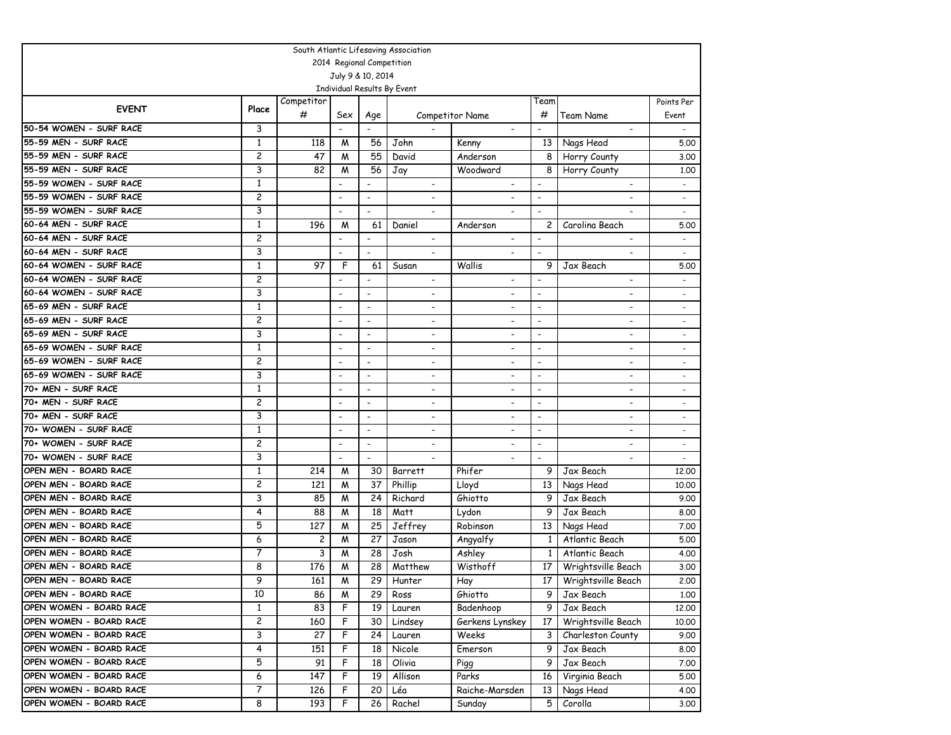| South Atlantic Lifesaving Association |                   |            |                          |                              |                             |                              |                          |                          |                          |  |  |  |
|---------------------------------------|-------------------|------------|--------------------------|------------------------------|-----------------------------|------------------------------|--------------------------|--------------------------|--------------------------|--|--|--|
| 2014 Regional Competition             |                   |            |                          |                              |                             |                              |                          |                          |                          |  |  |  |
|                                       | July 9 & 10, 2014 |            |                          |                              |                             |                              |                          |                          |                          |  |  |  |
|                                       |                   |            |                          |                              | Individual Results By Event |                              |                          |                          |                          |  |  |  |
| <b>EVENT</b>                          | Place             | Competitor |                          |                              |                             |                              | Team                     |                          | Points Per               |  |  |  |
|                                       |                   | #          | Sex                      | Age                          |                             | Competitor Name              | #                        | Team Name                | Event                    |  |  |  |
| 50-54 WOMEN - SURF RACE               | 3                 |            |                          |                              |                             |                              | $\overline{\phantom{a}}$ | $\overline{\phantom{a}}$ | $\sim$                   |  |  |  |
| 55-59 MEN - SURF RACE                 | 1                 | 118        | M                        | 56                           | John                        | Kenny                        | 13                       | Nags Head                | 5.00                     |  |  |  |
| 55-59 MEN - SURF RACE                 | 2                 | 47         | M                        | 55                           | David                       | Anderson                     | 8                        | Horry County             | 3,00                     |  |  |  |
| 55-59 MEN - SURF RACE                 | 3                 | 82         | M                        | 56                           | Jay                         | Woodward                     | 8                        | Horry County             | 1,00                     |  |  |  |
| 55-59 WOMEN - SURF RACE               | 1                 |            | $\overline{\phantom{a}}$ |                              |                             |                              |                          |                          |                          |  |  |  |
| 55-59 WOMEN - SURF RACE               | 2                 |            | $\overline{\phantom{a}}$ | $\overline{\phantom{a}}$     | $\blacksquare$              |                              | $\blacksquare$           |                          |                          |  |  |  |
| 55-59 WOMEN - SURF RACE               | 3                 |            |                          |                              |                             |                              |                          |                          |                          |  |  |  |
| 60-64 MEN - SURF RACE                 | $\mathbf{1}$      | 196        | M                        | 61                           | Daniel                      | Anderson                     | 2                        | Carolina Beach           | 5.00                     |  |  |  |
| 60-64 MEN - SURF RACE                 | 2                 |            | $\overline{\phantom{a}}$ | $\overline{\phantom{a}}$     |                             | $\overline{\phantom{a}}$     |                          |                          |                          |  |  |  |
| 60-64 MEN - SURF RACE                 | 3                 |            | $\overline{\phantom{a}}$ | $\overline{\phantom{a}}$     |                             | $\overline{\phantom{a}}$     | $\blacksquare$           |                          | $\overline{\phantom{a}}$ |  |  |  |
| 60-64 WOMEN - SURF RACE               | 1                 | 97         | F                        | 61                           | Susan                       | Wallis                       | 9                        | Jax Beach                | 5.00                     |  |  |  |
| 60-64 WOMEN - SURF RACE               | 2                 |            |                          |                              |                             |                              |                          |                          |                          |  |  |  |
| 60-64 WOMEN - SURF RACE               | 3                 |            | $\overline{\phantom{a}}$ | $\overline{\phantom{a}}$     | $\overline{\phantom{a}}$    | $\overline{\phantom{a}}$     | $\overline{\phantom{a}}$ | $\blacksquare$           | $\overline{\phantom{a}}$ |  |  |  |
| 65-69 MEN - SURF RACE                 | $\mathbf{1}$      |            | $\overline{\phantom{a}}$ | $\overline{\phantom{a}}$     | $\overline{\phantom{a}}$    | $\overline{\phantom{a}}$     | $\blacksquare$           | $\overline{\phantom{a}}$ | $\overline{\phantom{a}}$ |  |  |  |
| 65-69 MEN - SURF RACE                 | 2                 |            | $\overline{\phantom{a}}$ | $\overline{\phantom{a}}$     | $\overline{a}$              | $\overline{\phantom{a}}$     | $\blacksquare$           |                          |                          |  |  |  |
| 65-69 MEN - SURF RACE                 | 3                 |            | $\overline{\phantom{a}}$ | $\overline{\phantom{a}}$     | $\blacksquare$              | $\overline{\phantom{a}}$     | $\overline{\phantom{a}}$ | $\blacksquare$           |                          |  |  |  |
| 65-69 WOMEN - SURF RACE               | 1                 |            | $\overline{\phantom{a}}$ | $\overline{\phantom{a}}$     | $\overline{a}$              | $\overline{a}$               | $\blacksquare$           | $\overline{\phantom{a}}$ |                          |  |  |  |
| 65-69 WOMEN - SURF RACE               | 2                 |            | $\overline{\phantom{a}}$ | $\overline{\phantom{a}}$     | $\overline{\phantom{a}}$    | $\overline{\phantom{a}}$     | $\blacksquare$           | $\blacksquare$           | $\overline{\phantom{a}}$ |  |  |  |
| 65-69 WOMEN - SURF RACE               | 3                 |            | $\overline{\phantom{a}}$ | $\overline{\phantom{a}}$     | $\overline{\phantom{a}}$    | $\overline{\phantom{a}}$     | $\overline{\phantom{a}}$ | $\overline{\phantom{a}}$ | $\overline{\phantom{0}}$ |  |  |  |
| 70+ MEN - SURF RACE                   | 1                 |            | $\overline{\phantom{a}}$ | $\overline{\phantom{a}}$     | $\overline{a}$              | $\overline{\phantom{a}}$     | $\overline{\phantom{a}}$ |                          | $\overline{\phantom{0}}$ |  |  |  |
| 70+ MEN - SURF RACE                   | 2                 |            | $\overline{\phantom{a}}$ | $\qquad \qquad \blacksquare$ | $\overline{\phantom{0}}$    | $\qquad \qquad \blacksquare$ | $\overline{\phantom{a}}$ | $\overline{\phantom{a}}$ | $\overline{\phantom{a}}$ |  |  |  |
| 70+ MEN - SURF RACE                   | 3                 |            | $\overline{\phantom{a}}$ | $\overline{\phantom{a}}$     | $\blacksquare$              | $\overline{\phantom{a}}$     | $\overline{\phantom{a}}$ | $\overline{a}$           | $\overline{\phantom{a}}$ |  |  |  |
| 70+ WOMEN - SURF RACE                 | $\mathbf{1}$      |            | $\overline{\phantom{a}}$ | $\overline{\phantom{a}}$     | $\overline{\phantom{a}}$    | $\overline{a}$               | $\blacksquare$           | $\overline{a}$           | $\overline{\phantom{a}}$ |  |  |  |
| 70+ WOMEN - SURF RACE                 | 2                 |            | $\overline{\phantom{a}}$ | $\overline{\phantom{a}}$     |                             |                              | $\blacksquare$           |                          |                          |  |  |  |
| 70+ WOMEN - SURF RACE                 | 3                 |            | $\overline{\phantom{a}}$ | $\overline{\phantom{a}}$     |                             |                              |                          |                          |                          |  |  |  |
| OPEN MEN - BOARD RACE                 | 1                 | 214        | M                        | 30                           | Barrett                     | Phifer                       | 9                        | Jax Beach                | 12,00                    |  |  |  |
| OPEN MEN - BOARD RACE                 | 2                 | 121        | M                        | 37                           | Phillip                     | Lloyd                        | 13                       | Nags Head                | 10.00                    |  |  |  |
| OPEN MEN - BOARD RACE                 | 3                 | 85         | M                        | 24                           | Richard                     | Ghiotto                      | 9                        | Jax Beach                | 9.00                     |  |  |  |
| OPEN MEN - BOARD RACE                 | 4                 | 88         | M                        | 18                           | Matt                        | Lydon                        | 9                        | Jax Beach                | 8.00                     |  |  |  |
| OPEN MEN - BOARD RACE                 | 5                 | 127        | M                        | 25                           | Jeffrey                     | Robinson                     | 13                       | Nags Head                | 7.00                     |  |  |  |
| OPEN MEN - BOARD RACE                 | 6                 | 2          | M                        | 27                           | Jason                       | Angyalfy                     | 1                        | Atlantic Beach           | 5.00                     |  |  |  |
| OPEN MEN - BOARD RACE                 | 7                 | 3          | M                        | 28                           | Josh                        | Ashley                       | $\mathbf{1}$             | Atlantic Beach           | 4.00                     |  |  |  |
| OPEN MEN - BOARD RACE                 | 8                 | 176        | M                        | 28                           | Matthew                     | Wisthoff                     | 17 <sup>1</sup>          | Wrightsville Beach       | 3.00                     |  |  |  |
| OPEN MEN - BOARD RACE                 | 9                 | 161        | $\overline{M}$           | $\overline{29}$              | Hunter                      | Hay                          |                          | 17 Wrightsville Beach    | 2,00                     |  |  |  |
| OPEN MEN - BOARD RACE                 | 10                | 86         | M                        | 29                           | Ross                        | Ghiotto                      | 9                        | Jax Beach                | 1.00                     |  |  |  |
| OPEN WOMEN - BOARD RACE               | $\mathbf{1}$      | 83         | F                        | 19                           | Lauren                      | Badenhoop                    | 9                        | Jax Beach                | 12.00                    |  |  |  |
| OPEN WOMEN - BOARD RACE               | 2                 | 160        | F                        |                              | 30 Lindsey                  | Gerkens Lynskey              | 17 <sup>2</sup>          | Wrightsville Beach       | 10.00                    |  |  |  |
| OPEN WOMEN - BOARD RACE               | 3                 | 27         | F                        | 24                           | Lauren                      | Weeks                        | 3                        | Charleston County        | 9.00                     |  |  |  |
| OPEN WOMEN - BOARD RACE               | 4                 | 151        | F                        | 18                           | Nicole                      | Emerson                      | 9                        | Jax Beach                | 8.00                     |  |  |  |
| OPEN WOMEN - BOARD RACE               | 5                 | 91         | F                        | 18                           | Olivia                      | Pigg                         | 9                        | Jax Beach                | 7.00                     |  |  |  |
| OPEN WOMEN - BOARD RACE               | 6                 | 147        | F                        | 19                           | Allison                     | Parks                        | 16                       | Virginia Beach           | 5.00                     |  |  |  |
| OPEN WOMEN - BOARD RACE               | 7                 | 126        | F                        | 20                           | Léa                         | Raiche-Marsden               | 13                       | Nags Head                | 4.00                     |  |  |  |
| OPEN WOMEN - BOARD RACE               | 8                 | 193        | F                        | 26                           | Rachel                      | Sunday                       | 5                        | Corolla                  | 3.00                     |  |  |  |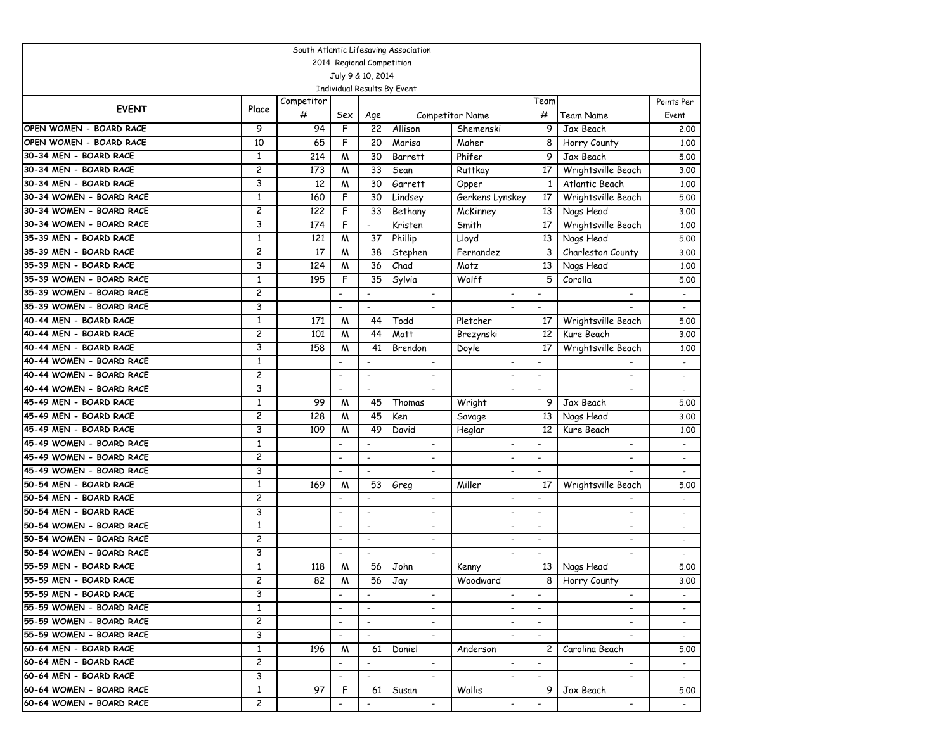| South Atlantic Lifesaving Association             |                    |            |                          |                           |                              |                          |                          |                                      |                             |  |  |
|---------------------------------------------------|--------------------|------------|--------------------------|---------------------------|------------------------------|--------------------------|--------------------------|--------------------------------------|-----------------------------|--|--|
|                                                   |                    |            |                          | 2014 Regional Competition |                              |                          |                          |                                      |                             |  |  |
|                                                   |                    |            |                          | July 9 & 10, 2014         |                              |                          |                          |                                      |                             |  |  |
|                                                   |                    |            |                          |                           | Individual Results By Event  |                          |                          |                                      |                             |  |  |
| <b>EVENT</b>                                      | Place              | Competitor |                          |                           |                              |                          | Team                     |                                      | Points Per                  |  |  |
|                                                   | 9                  | #          | Sex                      | Age                       |                              | <b>Competitor Name</b>   | #                        | Team Name                            | Event                       |  |  |
| OPEN WOMEN - BOARD RACE                           |                    | 94         | F                        | 22                        | Allison                      | Shemenski                | 9                        | Jax Beach                            | 2.00                        |  |  |
| OPEN WOMEN - BOARD RACE<br>30-34 MEN - BOARD RACE | 10<br>$\mathbf{1}$ | 65<br>214  | F                        | 20                        | Marisa                       | Maher<br>Phifer          | 8<br>9                   | Horry County                         | 1.00                        |  |  |
| 30-34 MEN - BOARD RACE                            | $\overline{c}$     | 173        | M<br>M                   | 30<br>33                  | Barrett                      |                          | 17                       | Jax Beach                            | 5.00                        |  |  |
| 30-34 MEN - BOARD RACE                            | 3                  | 12         |                          |                           | Sean                         | Ruttkay                  | $\mathbf{1}$             | Wrightsville Beach<br>Atlantic Beach | 3.00                        |  |  |
| 30-34 WOMEN - BOARD RACE                          | 1                  | 160        | M<br>F                   | 30<br>30                  | Garrett                      | Opper                    | 17                       | Wrightsville Beach                   | 1,00<br>5.00                |  |  |
| 30-34 WOMEN - BOARD RACE                          | 2                  |            | F                        |                           | Lindsey                      | Gerkens Lynskey          |                          |                                      |                             |  |  |
| 30-34 WOMEN - BOARD RACE                          | 3                  | 122<br>174 | F                        | 33<br>$\overline{a}$      | Bethany                      | McKinney<br>Smith        | 13<br>17                 | Nags Head                            | 3.00                        |  |  |
| 35-39 MEN - BOARD RACE                            | $\mathbf{1}$       | 121        | M                        | 37                        | Kristen<br>Phillip           | Lloyd                    | 13                       | Wrightsville Beach                   | 1.00<br>5.00                |  |  |
| 35-39 MEN - BOARD RACE                            | 2                  | 17         | M                        | 38                        | Stephen                      | Fernandez                | 3                        | Nags Head                            |                             |  |  |
| 35-39 MEN - BOARD RACE                            | 3                  | 124        | M                        | 36                        | Chad                         | Motz                     | 13                       | Charleston County<br>Nags Head       | 3.00<br>1,00                |  |  |
| 35-39 WOMEN - BOARD RACE                          | $\mathbf{1}$       | 195        | F                        | 35                        |                              | Wolff                    | 5                        | Corolla                              | 5.00                        |  |  |
| 35-39 WOMEN - BOARD RACE                          | 2                  |            |                          |                           | Sylvia                       |                          | $\overline{\phantom{a}}$ |                                      |                             |  |  |
| 35-39 WOMEN - BOARD RACE                          | 3                  |            | $\overline{\phantom{a}}$ | $\overline{\phantom{a}}$  |                              |                          | $\overline{\phantom{a}}$ |                                      | $\overline{a}$              |  |  |
| 40-44 MEN - BOARD RACE                            | $\mathbf{1}$       | 171        | M                        | 44                        | Todd                         | Pletcher                 | 17                       | Wrightsville Beach                   | 5.00                        |  |  |
| 40-44 MEN - BOARD RACE                            | 2                  | 101        | M                        | 44                        | Matt                         | Brezynski                | 12                       | Kure Beach                           | 3.00                        |  |  |
| 40-44 MEN - BOARD RACE                            | 3                  | 158        | M                        | 41                        | Brendon                      | Doyle                    | 17                       | Wrightsville Beach                   | 1.00                        |  |  |
| 40-44 WOMEN - BOARD RACE                          | $\mathbf{1}$       |            |                          | $\blacksquare$            |                              |                          | $\overline{a}$           |                                      | $\mathcal{L}^{\mathcal{A}}$ |  |  |
| 40-44 WOMEN - BOARD RACE                          | 2                  |            | $\overline{\phantom{a}}$ | $\overline{\phantom{a}}$  | $\overline{\phantom{a}}$     | ٠                        | $\overline{\phantom{a}}$ | $\overline{\phantom{0}}$             | $\overline{\phantom{a}}$    |  |  |
| 40-44 WOMEN - BOARD RACE                          | 3                  |            | $\overline{\phantom{a}}$ | $\blacksquare$            |                              | $\overline{\phantom{0}}$ | $\overline{\phantom{a}}$ |                                      | $\sim$                      |  |  |
| 45-49 MEN - BOARD RACE                            | 1                  | 99         | M                        | 45                        | Thomas                       | Wright                   | 9                        | Jax Beach                            | 5.00                        |  |  |
| 45-49 MEN - BOARD RACE                            | 2                  | 128        | M                        | 45                        | Ken                          | Savage                   | 13                       | Nags Head                            | 3.00                        |  |  |
| 45-49 MEN - BOARD RACE                            | 3                  | 109        | M                        | 49                        | David                        | Heglar                   | 12                       | Kure Beach                           | 1.00                        |  |  |
| 45-49 WOMEN - BOARD RACE                          | $\mathbf{1}$       |            | $\overline{a}$           | $\overline{\phantom{a}}$  | $\overline{\phantom{a}}$     |                          | $\overline{a}$           | $\overline{\phantom{0}}$             |                             |  |  |
| 45-49 WOMEN - BOARD RACE                          | 2                  |            | $\overline{\phantom{a}}$ | $\overline{\phantom{a}}$  |                              |                          | $\overline{\phantom{a}}$ |                                      |                             |  |  |
| 45-49 WOMEN - BOARD RACE                          | 3                  |            | $\overline{\phantom{a}}$ | $\overline{\phantom{a}}$  | $\qquad \qquad \blacksquare$ | $\overline{\phantom{a}}$ | $\overline{\phantom{a}}$ |                                      |                             |  |  |
| 50-54 MEN - BOARD RACE                            | 1                  | 169        | M                        | 53                        | Greg                         | Miller                   | 17                       | Wrightsville Beach                   | 5.00                        |  |  |
| 50-54 MEN - BOARD RACE                            | 2                  |            |                          |                           |                              | $\overline{\phantom{0}}$ | $\overline{a}$           |                                      |                             |  |  |
| 50-54 MEN - BOARD RACE                            | 3                  |            | $\overline{\phantom{a}}$ | $\overline{\phantom{a}}$  | $\overline{\phantom{a}}$     | -                        | $\blacksquare$           | ٠                                    | $\overline{\phantom{a}}$    |  |  |
| 50-54 WOMEN - BOARD RACE                          | $\mathbf{1}$       |            | $\overline{\phantom{a}}$ | $\overline{\phantom{a}}$  | $\overline{\phantom{a}}$     | $\overline{\phantom{a}}$ | $\overline{\phantom{a}}$ | ٠                                    | $\overline{\phantom{a}}$    |  |  |
| 50-54 WOMEN - BOARD RACE                          | 2                  |            | $\overline{\phantom{a}}$ | $\overline{\phantom{a}}$  | $\overline{\phantom{a}}$     | $\overline{\phantom{a}}$ | $\overline{\phantom{a}}$ | $\overline{\phantom{0}}$             |                             |  |  |
| 50-54 WOMEN - BOARD RACE                          | 3                  |            | $\overline{\phantom{a}}$ | $\overline{\phantom{a}}$  | $\overline{\phantom{a}}$     | $\overline{\phantom{a}}$ | $\blacksquare$           | $\blacksquare$                       | $\overline{\phantom{a}}$    |  |  |
| 55-59 MEN - BOARD RACE                            | $\mathbf{1}$       | 118        | M                        | 56                        | John                         | Kenny                    | 13                       | Nags Head                            | 5.00                        |  |  |
| 55-59 MEN - BOARD RACE                            | 2                  | 82         | W                        | 56                        | Jay                          | Woodward                 |                          | Horry County                         | 3.00                        |  |  |
| 55-59 MEN - BOARD RACE                            | 3                  |            | $\overline{\phantom{a}}$ |                           |                              |                          |                          |                                      |                             |  |  |
| 55-59 WOMEN - BOARD RACE                          | $\mathbf{1}$       |            | $\overline{\phantom{a}}$ |                           |                              |                          | $\overline{\phantom{a}}$ |                                      |                             |  |  |
| 55-59 WOMEN - BOARD RACE                          | 2                  |            | $\overline{\phantom{a}}$ | $\overline{\phantom{a}}$  | $\overline{\phantom{a}}$     |                          | $\overline{\phantom{a}}$ | $\qquad \qquad \blacksquare$         | $\sim$                      |  |  |
| 55-59 WOMEN - BOARD RACE                          | 3                  |            | $\overline{\phantom{a}}$ | $\blacksquare$            |                              |                          |                          |                                      | $\sim$                      |  |  |
| 60-64 MEN - BOARD RACE                            | $\mathbf{1}$       | 196        | M                        | 61                        | Daniel                       | Anderson                 | $\mathbf{2}$             | Carolina Beach                       | 5.00                        |  |  |
| 60-64 MEN - BOARD RACE                            | 2                  |            | $\overline{\phantom{a}}$ |                           |                              | $\overline{\phantom{a}}$ |                          | $\overline{\phantom{0}}$             |                             |  |  |
| 60-64 MEN - BOARD RACE                            | 3                  |            | $\overline{\phantom{a}}$ | $\overline{\phantom{a}}$  | $\overline{\phantom{a}}$     | $\overline{\phantom{a}}$ | $\overline{\phantom{a}}$ | $\overline{\phantom{a}}$             | $\sim$                      |  |  |
| 60-64 WOMEN - BOARD RACE                          | $\mathbf{1}$       | 97         | F                        | 61                        | Susan                        | Wallis                   | 9                        | Jax Beach                            | 5.00                        |  |  |
| 60-64 WOMEN - BOARD RACE                          | 2                  |            |                          | $\overline{\phantom{a}}$  | $\overline{\phantom{a}}$     | $\overline{\phantom{a}}$ |                          | $\overline{\phantom{a}}$             | $\sim$                      |  |  |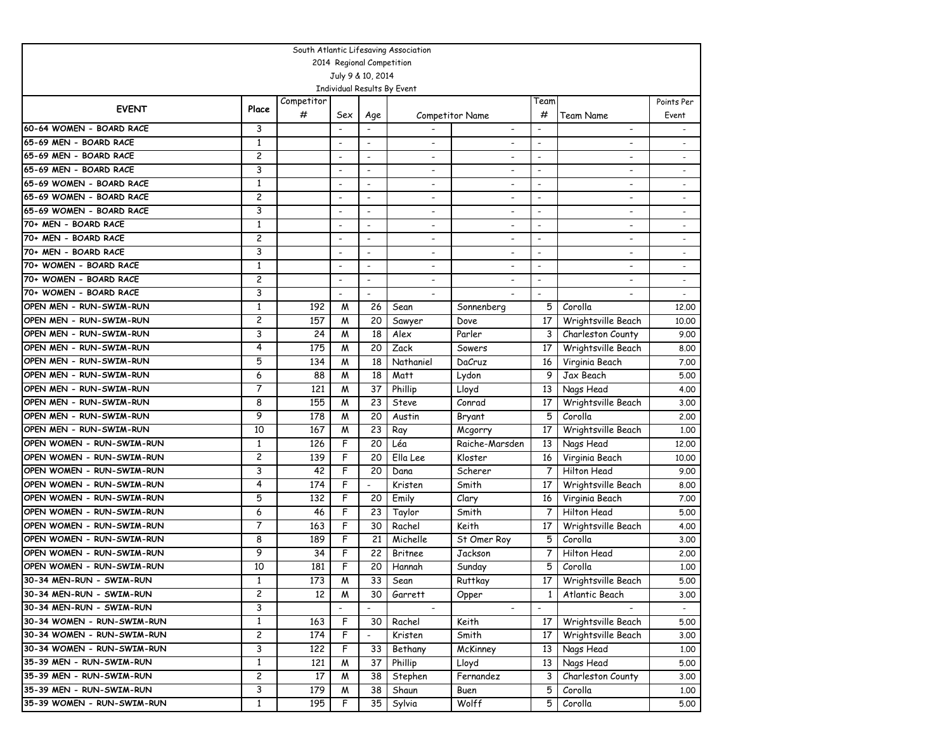| South Atlantic Lifesaving Association                 |                |            |                          |                          |                             |                              |                          |                          |                          |  |  |
|-------------------------------------------------------|----------------|------------|--------------------------|--------------------------|-----------------------------|------------------------------|--------------------------|--------------------------|--------------------------|--|--|
| 2014 Regional Competition                             |                |            |                          |                          |                             |                              |                          |                          |                          |  |  |
|                                                       |                |            |                          | July 9 & 10, 2014        |                             |                              |                          |                          |                          |  |  |
|                                                       |                |            |                          |                          | Individual Results By Event |                              |                          |                          |                          |  |  |
| <b>EVENT</b>                                          | Place          | Competitor |                          |                          |                             |                              | Team                     |                          | Points Per               |  |  |
|                                                       |                | #          | Sex                      | Age                      |                             | <b>Competitor Name</b>       | #                        | Team Name                | Event                    |  |  |
| 60-64 WOMEN - BOARD RACE                              | 3              |            |                          |                          |                             | $\overline{\phantom{a}}$     | $\overline{\phantom{a}}$ | $\overline{\phantom{a}}$ | $\overline{\phantom{a}}$ |  |  |
| 65-69 MEN - BOARD RACE                                | 1              |            | $\overline{\phantom{a}}$ | $\overline{\phantom{a}}$ |                             | $\overline{\phantom{a}}$     | $\blacksquare$           |                          |                          |  |  |
| 65-69 MEN - BOARD RACE                                | 2              |            |                          | $\overline{\phantom{a}}$ |                             |                              | $\blacksquare$           |                          |                          |  |  |
| 65-69 MEN - BOARD RACE                                | 3              |            | $\blacksquare$           | $\overline{\phantom{0}}$ | $\overline{\phantom{a}}$    | $\overline{\phantom{a}}$     | $\overline{\phantom{a}}$ | $\overline{\phantom{a}}$ | $\overline{\phantom{a}}$ |  |  |
| 65-69 WOMEN - BOARD RACE                              | $\mathbf{1}$   |            | $\overline{\phantom{a}}$ | $\overline{\phantom{a}}$ | $\overline{\phantom{0}}$    | $\overline{\phantom{a}}$     | $\blacksquare$           | $\overline{\phantom{a}}$ |                          |  |  |
| 65-69 WOMEN - BOARD RACE                              | 2              |            | $\overline{\phantom{a}}$ | $\overline{\phantom{a}}$ | $\overline{\phantom{a}}$    | $\overline{\phantom{a}}$     | $\overline{\phantom{a}}$ | $\blacksquare$           |                          |  |  |
| 65-69 WOMEN - BOARD RACE                              | 3              |            | $\overline{\phantom{a}}$ | $\overline{\phantom{a}}$ | $\overline{\phantom{0}}$    | $\overline{\phantom{a}}$     | $\overline{\phantom{0}}$ |                          |                          |  |  |
| 70+ MEN - BOARD RACE                                  | $\mathbf{1}$   |            | $\overline{a}$           | $\overline{\phantom{a}}$ |                             | $\overline{\phantom{a}}$     | $\overline{\phantom{a}}$ |                          |                          |  |  |
| 70+ MEN - BOARD RACE                                  | 2              |            | $\overline{\phantom{a}}$ | $\overline{\phantom{a}}$ | $\blacksquare$              | $\overline{\phantom{a}}$     | $\blacksquare$           | $\overline{\phantom{a}}$ | $\overline{\phantom{0}}$ |  |  |
| 70+ MEN - BOARD RACE                                  | 3              |            | $\overline{\phantom{a}}$ | $\overline{\phantom{a}}$ | $\overline{\phantom{a}}$    | $\overline{\phantom{a}}$     | $\overline{\phantom{a}}$ | $\blacksquare$           | $\overline{\phantom{0}}$ |  |  |
| 70+ WOMEN - BOARD RACE                                | 1              |            | $\overline{\phantom{a}}$ | $\overline{\phantom{a}}$ | $\overline{\phantom{a}}$    | $\overline{\phantom{a}}$     | $\overline{\phantom{a}}$ | $\blacksquare$           | $\overline{\phantom{a}}$ |  |  |
| 70+ WOMEN - BOARD RACE                                | 2              |            | $\overline{\phantom{a}}$ | $\overline{\phantom{a}}$ | $\overline{\phantom{a}}$    | $\qquad \qquad \blacksquare$ | $\overline{\phantom{a}}$ | $\overline{\phantom{a}}$ | $\overline{\phantom{a}}$ |  |  |
| 70+ WOMEN - BOARD RACE                                | 3              |            |                          | $\overline{\phantom{a}}$ |                             |                              | $\blacksquare$           |                          | $\overline{\phantom{a}}$ |  |  |
| OPEN MEN - RUN-SWIM-RUN                               | $\mathbf{1}$   | 192        | M                        | 26                       | Sean                        | Sonnenberg                   | 5                        | Corolla                  | 12,00                    |  |  |
| OPEN MEN - RUN-SWIM-RUN                               | 2              | 157        | M                        | 20                       | Sawyer                      | Dove                         | 17                       | Wrightsville Beach       | 10.00                    |  |  |
| OPEN MEN - RUN-SWIM-RUN                               | 3              | 24         | M                        | 18                       | Alex                        | Parler                       | 3                        | Charleston County        | 9.00                     |  |  |
| OPEN MEN - RUN-SWIM-RUN                               | 4              | 175        | M                        | 20                       | Zack                        | Sowers                       | 17                       | Wrightsville Beach       | 8.00                     |  |  |
| OPEN MEN - RUN-SWIM-RUN                               | 5              | 134        | M                        | 18                       | Nathaniel                   | DaCruz                       | 16                       | Virginia Beach           | 7.00                     |  |  |
| OPEN MEN - RUN-SWIM-RUN                               | 6              | 88         | M                        | 18                       | Matt                        | Lydon                        | 9                        | Jax Beach                | 5.00                     |  |  |
| OPEN MEN - RUN-SWIM-RUN                               | 7              | 121        | M                        | 37                       | Phillip                     | Lloyd                        | 13                       | Nags Head                | 4.00                     |  |  |
| OPEN MEN - RUN-SWIM-RUN                               | 8              | 155        | M                        | 23                       | <b>Steve</b>                | Conrad                       | 17                       | Wrightsville Beach       | 3.00                     |  |  |
| OPEN MEN - RUN-SWIM-RUN                               | 9              | 178        | M                        | 20                       | Austin                      | Bryant                       | 5                        | Corolla                  | 2,00                     |  |  |
| OPEN MEN - RUN-SWIM-RUN                               | 10             | 167        | M                        | 23                       | Ray                         | Mcgorry                      | 17                       | Wrightsville Beach       | 1.00                     |  |  |
| OPEN WOMEN - RUN-SWIM-RUN                             | 1              | 126        | F                        | 20                       | Léa                         | Raiche-Marsden               | 13                       | Nags Head                | 12.00                    |  |  |
| OPEN WOMEN - RUN-SWIM-RUN                             | 2              | 139        | F                        | 20                       | Ella Lee                    | Kloster                      | 16                       | Virginia Beach           | 10.00                    |  |  |
| OPEN WOMEN - RUN-SWIM-RUN                             | 3              | 42         | F                        | 20                       | Dana                        | Scherer                      | 7                        | Hilton Head              | 9.00                     |  |  |
| OPEN WOMEN - RUN-SWIM-RUN                             | 4              | 174        | F                        |                          | Kristen                     | Smith                        | 17                       | Wrightsville Beach       | 8.00                     |  |  |
| OPEN WOMEN - RUN-SWIM-RUN                             | 5              | 132        | F                        | 20                       | Emily                       | Clary                        | 16                       | Virginia Beach           | 7.00                     |  |  |
| OPEN WOMEN - RUN-SWIM-RUN                             | 6              | 46         | F                        | 23                       | Taylor                      | Smith                        | 7                        | Hilton Head              | 5.00                     |  |  |
| OPEN WOMEN - RUN-SWIM-RUN                             | 7              | 163        | F                        | 30                       | Rachel                      | Keith                        | 17                       | Wrightsville Beach       | 4.00                     |  |  |
| OPEN WOMEN - RUN-SWIM-RUN                             | 8              | 189        | F                        | 21                       | Michelle                    | St Omer Roy                  | 5                        | Corolla                  | 3.00                     |  |  |
| OPEN WOMEN - RUN-SWIM-RUN                             | 9              | 34         | F                        | 22                       | Britnee                     | Jackson                      | 7                        | Hilton Head              | 2.00                     |  |  |
| OPEN WOMEN - RUN-SWIM-RUN<br>30-34 MEN-RUN - SWIM-RUN | 10             | 181        | F                        | 20                       | Hannah                      | Sunday                       | 5                        | Corolla                  | 1,00                     |  |  |
|                                                       | 1              | 173        | $\overline{M}$           | 33                       | Sean                        | Ruttkay                      | 17                       | Wrightsville Beach       | 5.00                     |  |  |
| 30-34 MEN-RUN - SWIM-RUN                              | 2              | 12         | M                        | 30                       | Garrett                     | Opper                        | $\mathbf{1}$             | Atlantic Beach           | 3.00                     |  |  |
| 30-34 MEN-RUN - SWIM-RUN                              | 3              |            |                          |                          |                             |                              |                          |                          |                          |  |  |
| 30-34 WOMEN - RUN-SWIM-RUN                            | $\mathbf{1}$   | 163        | F                        | 30                       | Rachel                      | Keith                        | 17                       | Wrightsville Beach       | 5.00                     |  |  |
| 30-34 WOMEN - RUN-SWIM-RUN                            | $\overline{c}$ | 174        | F                        | $\overline{\phantom{a}}$ | Kristen                     | Smith                        | 17                       | Wrightsville Beach       | 3.00                     |  |  |
| 30-34 WOMEN - RUN-SWIM-RUN                            | 3              | 122        | F                        | 33                       | Bethany                     | McKinney                     | 13                       | Nags Head                | 1.00                     |  |  |
| 35-39 MEN - RUN-SWIM-RUN                              | 1              | 121        | M                        | 37                       | Phillip                     | Lloyd                        | 13                       | Nags Head                | 5.00                     |  |  |
| 35-39 MEN - RUN-SWIM-RUN                              | 2              | 17         | M                        | 38                       | Stephen                     | Fernandez                    | 3                        | Charleston County        | 3.00                     |  |  |
| 35-39 MEN - RUN-SWIM-RUN                              | 3              | 179        | M                        | 38                       | Shaun                       | Buen                         | 5                        | Corolla                  | 1.00                     |  |  |
| 35-39 WOMEN - RUN-SWIM-RUN                            | $\mathbf{1}$   | 195        | F                        | 35                       | Sylvia                      | Wolff                        | 5                        | Corolla                  | 5.00                     |  |  |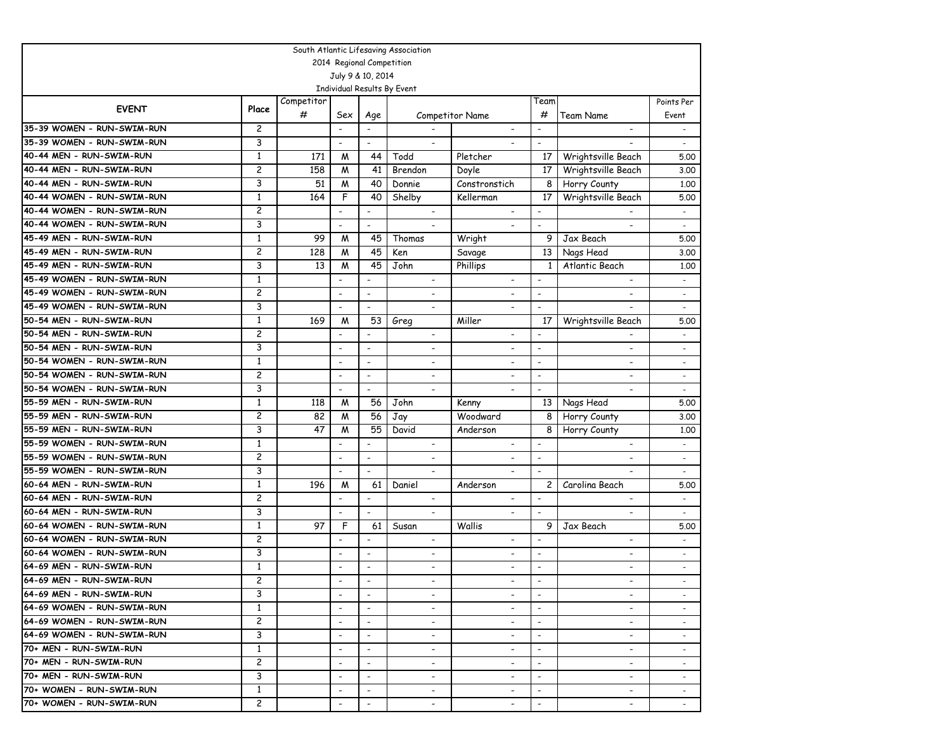| South Atlantic Lifesaving Association |                |            |                              |                          |                             |                          |                          |                          |                          |  |  |
|---------------------------------------|----------------|------------|------------------------------|--------------------------|-----------------------------|--------------------------|--------------------------|--------------------------|--------------------------|--|--|
|                                       |                |            | 2014 Regional Competition    |                          |                             |                          |                          |                          |                          |  |  |
|                                       |                |            | July 9 & 10, 2014            |                          |                             |                          |                          |                          |                          |  |  |
|                                       |                |            |                              |                          | Individual Results By Event |                          |                          |                          |                          |  |  |
| <b>EVENT</b>                          | Place          | Competitor |                              |                          |                             |                          | Team                     |                          | Points Per               |  |  |
|                                       |                | #          | Sex                          | Age                      |                             | Competitor Name          | #                        | Team Name                | Event                    |  |  |
| 35-39 WOMEN - RUN-SWIM-RUN            | 2              |            | $\overline{\phantom{a}}$     | $\overline{\phantom{a}}$ |                             | $\overline{\phantom{a}}$ | $\overline{\phantom{a}}$ | $\overline{\phantom{a}}$ | $\sim$                   |  |  |
| 35-39 WOMEN - RUN-SWIM-RUN            | 3              |            | $\overline{\phantom{a}}$     | $\overline{\phantom{a}}$ | $\overline{\phantom{a}}$    |                          | $\overline{\phantom{a}}$ |                          | $\overline{\phantom{a}}$ |  |  |
| 40-44 MEN - RUN-SWIM-RUN              | $\mathbf{1}$   | 171        | M                            | 44                       | Todd                        | Pletcher                 | 17                       | Wrightsville Beach       | 5.00                     |  |  |
| 40-44 MEN - RUN-SWIM-RUN              | $\overline{c}$ | 158        | M                            | 41                       | Brendon                     | Doyle                    | 17                       | Wrightsville Beach       | 3.00                     |  |  |
| 40-44 MEN - RUN-SWIM-RUN              | 3              | 51         | M                            | 40                       | Donnie                      | Constronstich            | 8                        | Horry County             | 1,00                     |  |  |
| 40-44 WOMEN - RUN-SWIM-RUN            | 1              | 164        | F                            | 40                       | Shelby                      | Kellerman                | 17                       | Wrightsville Beach       | 5.00                     |  |  |
| 40-44 WOMEN - RUN-SWIM-RUN            | 2              |            | $\overline{\phantom{a}}$     | $\overline{\phantom{a}}$ |                             |                          |                          |                          |                          |  |  |
| 40-44 WOMEN - RUN-SWIM-RUN            | 3              |            | $\qquad \qquad \blacksquare$ | $\blacksquare$           |                             | $\overline{\phantom{0}}$ | $\blacksquare$           |                          | $\overline{\phantom{a}}$ |  |  |
| 45-49 MEN - RUN-SWIM-RUN              | $\mathbf{1}$   | 99         | M                            | 45                       | Thomas                      | Wright                   | 9                        | Jax Beach                | 5.00                     |  |  |
| 45-49 MEN - RUN-SWIM-RUN              | 2              | 128        | M                            | 45                       | Ken                         | Savage                   | 13                       | Nags Head                | 3.00                     |  |  |
| 45-49 MEN - RUN-SWIM-RUN              | 3              | 13         | M                            | 45                       | John                        | Phillips                 | 1                        | Atlantic Beach           | 1,00                     |  |  |
| 45-49 WOMEN - RUN-SWIM-RUN            | $\mathbf{1}$   |            | $\overline{\phantom{a}}$     |                          | $\overline{\phantom{a}}$    | $\overline{\phantom{a}}$ |                          | $\overline{\phantom{a}}$ | $\overline{\phantom{a}}$ |  |  |
| 45-49 WOMEN - RUN-SWIM-RUN            | 2              |            |                              | $\overline{\phantom{a}}$ | $\overline{\phantom{a}}$    |                          | $\overline{\phantom{a}}$ |                          | $\blacksquare$           |  |  |
| 45-49 WOMEN - RUN-SWIM-RUN            | 3              |            | $\overline{\phantom{a}}$     | $\overline{\phantom{a}}$ | $\blacksquare$              | $\overline{\phantom{a}}$ | $\overline{\phantom{a}}$ |                          | $\overline{\phantom{a}}$ |  |  |
| 50-54 MEN - RUN-SWIM-RUN              | $\mathbf{1}$   | 169        | M                            | 53                       | Greg                        | Miller                   | 17                       | Wrightsville Beach       | 5.00                     |  |  |
| 50-54 MEN - RUN-SWIM-RUN              | 2              |            | $\qquad \qquad \blacksquare$ | $\blacksquare$           |                             | $\overline{\phantom{a}}$ | $\blacksquare$           |                          |                          |  |  |
| 50-54 MEN - RUN-SWIM-RUN              | 3              |            | $\overline{\phantom{a}}$     | $\overline{\phantom{a}}$ | $\overline{\phantom{a}}$    | $\overline{\phantom{a}}$ | $\blacksquare$           | ٠                        |                          |  |  |
| 50-54 WOMEN - RUN-SWIM-RUN            | 1              |            | $\overline{\phantom{a}}$     | $\overline{\phantom{a}}$ | $\overline{\phantom{a}}$    | $\overline{\phantom{0}}$ | $\overline{\phantom{a}}$ |                          |                          |  |  |
| 50-54 WOMEN - RUN-SWIM-RUN            | 2              |            | $\overline{\phantom{a}}$     | $\blacksquare$           | $\overline{\phantom{a}}$    | $\overline{\phantom{0}}$ | $\overline{\phantom{a}}$ | $\overline{\phantom{0}}$ | $\overline{\phantom{a}}$ |  |  |
| 50-54 WOMEN - RUN-SWIM-RUN            | 3              |            | $\overline{\phantom{a}}$     | $\overline{\phantom{a}}$ | $\overline{\phantom{a}}$    | $\overline{\phantom{a}}$ | $\overline{\phantom{a}}$ | $\blacksquare$           | $\overline{\phantom{a}}$ |  |  |
| 55-59 MEN - RUN-SWIM-RUN              | $\mathbf{1}$   | 118        | M                            | 56                       | John                        | Kenny                    | 13                       | Nags Head                | 5.00                     |  |  |
| 55-59 MEN - RUN-SWIM-RUN              | 2              | 82         | M                            | 56                       | Jay                         | Woodward                 | 8                        | Horry County             | 3.00                     |  |  |
| 55-59 MEN - RUN-SWIM-RUN              | 3              | 47         | M                            | 55                       | David                       | Anderson                 | 8                        | Horry County             | 1.00                     |  |  |
| 55-59 WOMEN - RUN-SWIM-RUN            | $\mathbf{1}$   |            | $\overline{\phantom{0}}$     | $\overline{\phantom{a}}$ | $\overline{\phantom{0}}$    | $\overline{\phantom{a}}$ | $\overline{\phantom{a}}$ | $\overline{\phantom{0}}$ | $\overline{\phantom{a}}$ |  |  |
| 55-59 WOMEN - RUN-SWIM-RUN            | 2              |            | $\overline{\phantom{a}}$     | $\overline{\phantom{a}}$ | ٠                           |                          | $\overline{\phantom{a}}$ |                          |                          |  |  |
| 55-59 WOMEN - RUN-SWIM-RUN            | 3              |            | $\overline{\phantom{a}}$     | $\blacksquare$           | $\overline{a}$              | $\overline{\phantom{0}}$ | $\overline{\phantom{a}}$ |                          |                          |  |  |
| 60-64 MEN - RUN-SWIM-RUN              | 1              | 196        | M                            | 61                       | Daniel                      | Anderson                 | 2                        | Carolina Beach           | 5.00                     |  |  |
| 60-64 MEN - RUN-SWIM-RUN              | 2              |            |                              | $\blacksquare$           | $\overline{\phantom{a}}$    | $\overline{\phantom{0}}$ | $\overline{a}$           |                          | $\overline{\phantom{a}}$ |  |  |
| 60-64 MEN - RUN-SWIM-RUN              | 3              |            | $\overline{\phantom{a}}$     | $\blacksquare$           | $\overline{\phantom{a}}$    | $\overline{\phantom{0}}$ | $\blacksquare$           | $\overline{\phantom{0}}$ | $\overline{\phantom{a}}$ |  |  |
| 60-64 WOMEN - RUN-SWIM-RUN            | $\mathbf{1}$   | 97         | F                            | 61                       | Susan                       | Wallis                   | 9                        | Jax Beach                | 5.00                     |  |  |
| 60-64 WOMEN - RUN-SWIM-RUN            | 2              |            | $\overline{\phantom{a}}$     | $\overline{\phantom{a}}$ | $\overline{\phantom{a}}$    | $\overline{\phantom{a}}$ | $\overline{\phantom{a}}$ | $\overline{\phantom{0}}$ | $\overline{\phantom{a}}$ |  |  |
| 60-64 WOMEN - RUN-SWIM-RUN            | 3              |            | $\overline{\phantom{a}}$     | $\overline{\phantom{a}}$ | $\overline{\phantom{a}}$    | $\overline{\phantom{a}}$ | $\overline{\phantom{a}}$ | $\overline{\phantom{a}}$ |                          |  |  |
| 64-69 MEN - RUN-SWIM-RUN              | $\mathbf{1}$   |            |                              | $\overline{\phantom{a}}$ | $\overline{a}$              |                          | $\overline{\phantom{a}}$ |                          |                          |  |  |
| 64-69 MEN - RUN-SWIM-RUN              | $\overline{c}$ |            |                              |                          |                             |                          |                          |                          |                          |  |  |
| 64-69 MEN - RUN-SWIM-RUN              | 3              |            | $\overline{\phantom{0}}$     | $\overline{\phantom{a}}$ |                             | $\overline{\phantom{a}}$ |                          | $\overline{\phantom{a}}$ |                          |  |  |
| 64-69 WOMEN - RUN-SWIM-RUN            | $\mathbf{1}$   |            |                              | $\overline{\phantom{a}}$ |                             | $\overline{\phantom{a}}$ | $\overline{\phantom{a}}$ |                          |                          |  |  |
| 64-69 WOMEN - RUN-SWIM-RUN            | $\overline{c}$ |            | $\overline{\phantom{0}}$     | $\overline{\phantom{a}}$ | $\overline{\phantom{a}}$    | $\overline{\phantom{a}}$ | $\overline{\phantom{a}}$ | $\overline{\phantom{a}}$ |                          |  |  |
| 64-69 WOMEN - RUN-SWIM-RUN            | 3              |            | $\overline{\phantom{a}}$     | $\overline{\phantom{a}}$ | $\overline{\phantom{a}}$    | $\overline{\phantom{a}}$ | $\overline{\phantom{a}}$ | $\overline{\phantom{a}}$ |                          |  |  |
| 170+ MEN - RUN-SWIM-RUN               | $\mathbf{1}$   |            | $\overline{\phantom{a}}$     | $\overline{\phantom{a}}$ | $\overline{\phantom{a}}$    | ٠                        | $\overline{\phantom{a}}$ | ٠                        |                          |  |  |
| 70+ MEN - RUN-SWIM-RUN                | 2              |            | $\overline{\phantom{a}}$     | $\overline{\phantom{a}}$ | $\overline{\phantom{a}}$    | $\overline{\phantom{a}}$ | $\overline{\phantom{a}}$ | $\overline{\phantom{a}}$ | $\overline{\phantom{a}}$ |  |  |
| 70+ MEN - RUN-SWIM-RUN                | 3              |            | $\overline{\phantom{a}}$     | $\overline{\phantom{a}}$ | $\overline{\phantom{a}}$    | $\overline{\phantom{a}}$ | $\overline{\phantom{a}}$ | $\overline{\phantom{a}}$ | $\overline{\phantom{a}}$ |  |  |
| 170+ WOMEN - RUN-SWIM-RUN             | 1              |            | $\overline{\phantom{a}}$     | $\overline{\phantom{a}}$ | $\overline{\phantom{a}}$    | $\overline{\phantom{a}}$ | $\overline{\phantom{a}}$ | $\overline{\phantom{a}}$ |                          |  |  |
| 70+ WOMEN - RUN-SWIM-RUN              | $\overline{c}$ |            |                              | $\overline{\phantom{a}}$ |                             |                          |                          |                          |                          |  |  |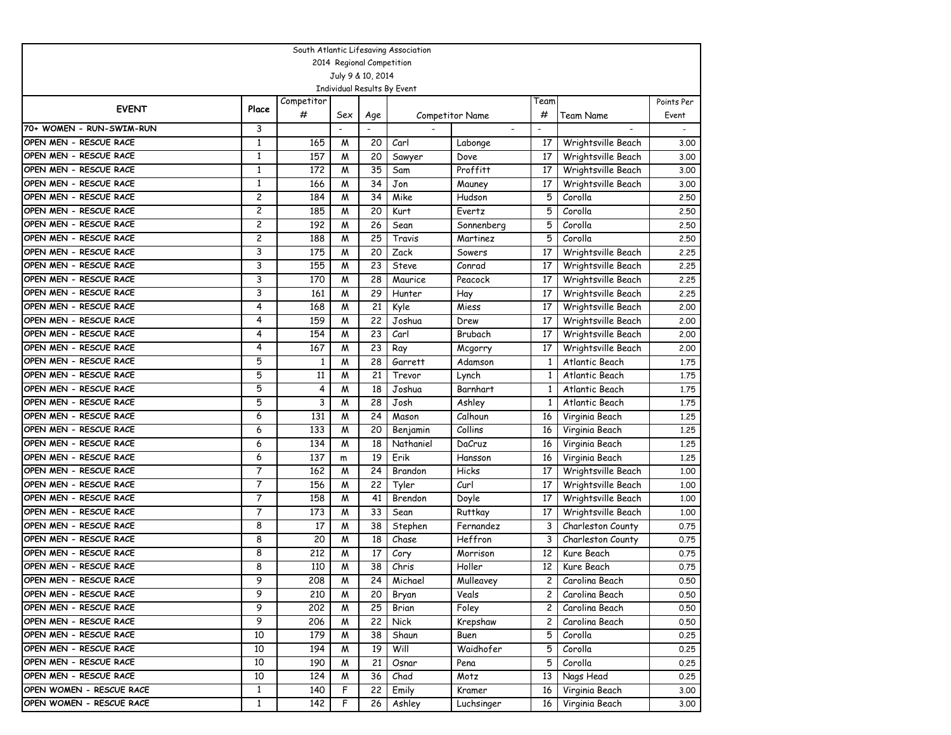|                          | South Atlantic Lifesaving Association |              |                          |                           |                             |                          |                          |                    |            |  |  |  |
|--------------------------|---------------------------------------|--------------|--------------------------|---------------------------|-----------------------------|--------------------------|--------------------------|--------------------|------------|--|--|--|
|                          |                                       |              |                          | 2014 Regional Competition |                             |                          |                          |                    |            |  |  |  |
|                          |                                       |              |                          | July 9 & 10, 2014         |                             |                          |                          |                    |            |  |  |  |
|                          |                                       |              |                          |                           | Individual Results By Event |                          |                          |                    |            |  |  |  |
| <b>EVENT</b>             | Place                                 | Competitor   |                          |                           |                             |                          | Team                     |                    | Points Per |  |  |  |
|                          |                                       | #            | Sex                      | Age                       |                             | <b>Competitor Name</b>   | #                        | Team Name          | Event      |  |  |  |
| 70+ WOMEN - RUN-SWIM-RUN | 3                                     |              | $\overline{\phantom{a}}$ |                           |                             | $\overline{\phantom{a}}$ | $\overline{\phantom{a}}$ |                    |            |  |  |  |
| OPEN MEN - RESCUE RACE   | $\mathbf{1}$                          | 165          | M                        | 20                        | Carl                        | Labonge                  | 17                       | Wrightsville Beach | 3.00       |  |  |  |
| OPEN MEN - RESCUE RACE   | $\mathbf{1}$                          | 157          | M                        | 20                        | Sawyer                      | Dove                     | 17                       | Wrightsville Beach | 3.00       |  |  |  |
| OPEN MEN - RESCUE RACE   | $\mathbf{1}$                          | 172          | M                        | 35                        | Sam                         | Proffitt                 | 17                       | Wrightsville Beach | 3.00       |  |  |  |
| OPEN MEN - RESCUE RACE   | $\mathbf{1}$                          | 166          | M                        | 34                        | Jon                         | Mauney                   | 17                       | Wrightsville Beach | 3.00       |  |  |  |
| OPEN MEN - RESCUE RACE   | 2                                     | 184          | M                        | 34                        | Mike                        | Hudson                   | 5                        | Corolla            | 2.50       |  |  |  |
| OPEN MEN - RESCUE RACE   | 2                                     | 185          | M                        | 20                        | Kurt                        | Evertz                   | 5                        | Corolla            | 2.50       |  |  |  |
| OPEN MEN - RESCUE RACE   | 2                                     | 192          | M                        | 26                        | Sean                        | Sonnenberg               | 5                        | Corolla            | 2.50       |  |  |  |
| OPEN MEN - RESCUE RACE   | 2                                     | 188          | M                        | 25                        | Travis                      | Martinez                 | 5                        | Corolla            | 2.50       |  |  |  |
| OPEN MEN - RESCUE RACE   | 3                                     | 175          | M                        | 20                        | Zack                        | Sowers                   | 17                       | Wrightsville Beach | 2.25       |  |  |  |
| OPEN MEN - RESCUE RACE   | 3                                     | 155          | M                        | 23                        | Steve                       | Conrad                   | 17                       | Wrightsville Beach | 2.25       |  |  |  |
| OPEN MEN - RESCUE RACE   | 3                                     | 170          | M                        | 28                        | Maurice                     | Peacock                  | 17                       | Wrightsville Beach | 2.25       |  |  |  |
| OPEN MEN - RESCUE RACE   | 3                                     | 161          | M                        | 29                        | Hunter                      | Hay                      | 17                       | Wrightsville Beach | 2.25       |  |  |  |
| OPEN MEN - RESCUE RACE   | 4                                     | 168          | M                        | 21                        | Kyle                        | Miess                    | 17                       | Wrightsville Beach | 2.00       |  |  |  |
| OPEN MEN - RESCUE RACE   | 4                                     | 159          | M                        | 22                        | Joshua                      | Drew                     | 17                       | Wrightsville Beach | 2.00       |  |  |  |
| OPEN MEN - RESCUE RACE   | 4                                     | 154          | M                        | 23                        | Carl                        | Brubach                  | 17                       | Wrightsville Beach | 2.00       |  |  |  |
| OPEN MEN - RESCUE RACE   | 4                                     | 167          | M                        | 23                        | Ray                         | Mcgorry                  | 17                       | Wrightsville Beach | 2.00       |  |  |  |
| OPEN MEN - RESCUE RACE   | 5                                     | $\mathbf{1}$ | M                        | 28                        | Garrett                     | Adamson                  | $\mathbf{1}$             | Atlantic Beach     | 1.75       |  |  |  |
| OPEN MEN - RESCUE RACE   | 5                                     | 11           | M                        | 21                        | Trevor                      | Lynch                    | $\mathbf{1}$             | Atlantic Beach     | 1.75       |  |  |  |
| OPEN MEN - RESCUE RACE   | 5                                     | 4            | M                        | 18                        | Joshua                      | Barnhart                 | $\mathbf{1}$             | Atlantic Beach     | 1.75       |  |  |  |
| OPEN MEN - RESCUE RACE   | 5                                     | 3            | M                        | 28                        | Josh                        | Ashley                   | 1                        | Atlantic Beach     | 1.75       |  |  |  |
| OPEN MEN - RESCUE RACE   | 6                                     | 131          | M                        | 24                        | Mason                       | Calhoun                  | 16                       | Virginia Beach     | 1.25       |  |  |  |
| OPEN MEN - RESCUE RACE   | 6                                     | 133          | M                        | 20                        | Benjamin                    | Collins                  | 16                       | Virginia Beach     | 1,25       |  |  |  |
| OPEN MEN - RESCUE RACE   | 6                                     | 134          | M                        | 18                        | Nathaniel                   | DaCruz                   | 16                       | Virginia Beach     | 1,25       |  |  |  |
| OPEN MEN - RESCUE RACE   | 6                                     | 137          | m                        | 19                        | Erik                        | Hansson                  | 16                       | Virginia Beach     | 1.25       |  |  |  |
| OPEN MEN - RESCUE RACE   | 7                                     | 162          | M                        | 24                        | Brandon                     | Hicks                    | 17                       | Wrightsville Beach | 1.00       |  |  |  |
| OPEN MEN - RESCUE RACE   | 7                                     | 156          | M                        | 22                        | Tyler                       | Curl                     | 17                       | Wrightsville Beach | 1.00       |  |  |  |
| OPEN MEN - RESCUE RACE   | 7                                     | 158          | M                        | 41                        | Brendon                     | Doyle                    | 17                       | Wrightsville Beach | 1,00       |  |  |  |
| OPEN MEN - RESCUE RACE   | 7                                     | 173          | M                        | 33                        | Sean                        | Ruttkay                  | 17                       | Wrightsville Beach | 1,00       |  |  |  |
| OPEN MEN - RESCUE RACE   | 8                                     | 17           | M                        | 38                        | Stephen                     | Fernandez                | 3                        | Charleston County  | 0.75       |  |  |  |
| OPEN MEN - RESCUE RACE   | 8                                     | 20           | M                        | 18                        | Chase                       | Heffron                  | 3                        | Charleston County  | 0.75       |  |  |  |
| OPEN MEN - RESCUE RACE   | 8                                     | 212          | M                        | 17                        | Cory                        | Morrison                 | 12                       | Kure Beach         | 0.75       |  |  |  |
| OPEN MEN - RESCUE RACE   | 8                                     | 110          | M                        | 38                        | Chris                       | Holler                   | 12                       | Kure Beach         | 0.75       |  |  |  |
| OPEN MEN - RESCUE RACE   | 9                                     | 208          | $\overline{M}$           | 24                        | Michael                     | Mulleavey                | 2 <sup>1</sup>           | Carolina Beach     | 0.50       |  |  |  |
| OPEN MEN - RESCUE RACE   | 9                                     | 210          | M                        | 20                        | Bryan                       | Veals                    | $\mathbf{2}$             | Carolina Beach     | 0.50       |  |  |  |
| OPEN MEN - RESCUE RACE   | 9                                     | 202          | M                        | 25                        | Brian                       | Foley                    | $\mathbf{2}$             | Carolina Beach     | 0.50       |  |  |  |
| OPEN MEN - RESCUE RACE   | 9                                     | 206          | M                        | 22                        | Nick                        | Krepshaw                 | $\mathbf{2}$             | Carolina Beach     | 0.50       |  |  |  |
| OPEN MEN - RESCUE RACE   | 10                                    | 179          | M                        | 38                        | Shaun                       | Buen                     | 5                        | Corolla            | 0.25       |  |  |  |
| OPEN MEN - RESCUE RACE   | 10                                    | 194          | M                        | 19                        | Will                        | Waidhofer                | 5                        | Corolla            | 0.25       |  |  |  |
| OPEN MEN - RESCUE RACE   | 10                                    | 190          | M                        | 21                        | Osnar                       | Pena                     | 5                        | Corolla            | 0.25       |  |  |  |
| OPEN MEN - RESCUE RACE   | 10                                    | 124          | M                        | 36                        | Chad                        | Motz                     | 13                       | Nags Head          | 0.25       |  |  |  |
| OPEN WOMEN - RESCUE RACE | $\mathbf{1}$                          | 140          | F                        | 22                        | Emily                       | Kramer                   | 16                       | Virginia Beach     | 3.00       |  |  |  |
| OPEN WOMEN - RESCUE RACE | $\mathbf{1}$                          | 142          | F                        | 26                        | Ashley                      | Luchsinger               | 16                       | Virginia Beach     | 3.00       |  |  |  |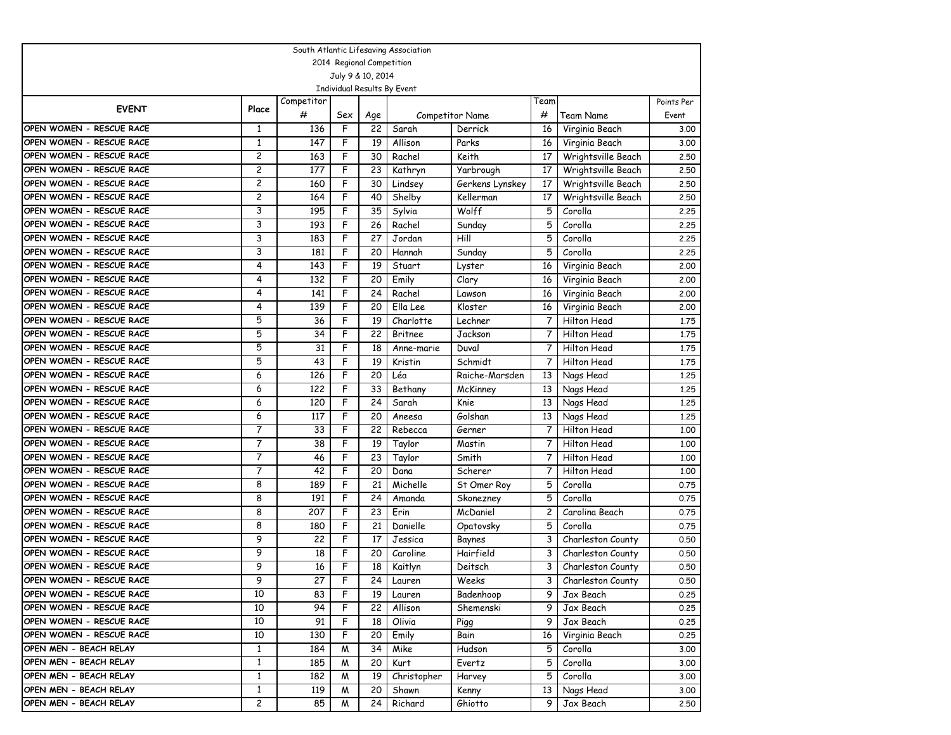| South Atlantic Lifesaving Association |                |                 |     |                   |                             |                        |                 |                     |            |  |  |
|---------------------------------------|----------------|-----------------|-----|-------------------|-----------------------------|------------------------|-----------------|---------------------|------------|--|--|
| 2014 Regional Competition             |                |                 |     |                   |                             |                        |                 |                     |            |  |  |
|                                       |                |                 |     | July 9 & 10, 2014 |                             |                        |                 |                     |            |  |  |
|                                       |                |                 |     |                   | Individual Results By Event |                        |                 |                     |            |  |  |
| <b>EVENT</b>                          | Place          | Competitor      |     |                   |                             |                        | Team            |                     | Points Per |  |  |
|                                       |                | #               | Sex | Age               |                             | <b>Competitor Name</b> | #               | Team Name           | Event      |  |  |
| OPEN WOMEN - RESCUE RACE              | 1              | 136             | F   | 22                | Sarah                       | Derrick                | 16              | Virginia Beach      | 3.00       |  |  |
| OPEN WOMEN - RESCUE RACE              | 1              | 147             | F   | 19                | Allison                     | Parks                  | 16              | Virginia Beach      | 3.00       |  |  |
| OPEN WOMEN - RESCUE RACE              | 2              | 163             | F   | 30                | Rachel                      | Keith                  | 17              | Wrightsville Beach  | 2,50       |  |  |
| OPEN WOMEN - RESCUE RACE              | 2              | 177             | F   | 23                | Kathryn                     | Yarbrough              | 17              | Wrightsville Beach  | 2.50       |  |  |
| OPEN WOMEN - RESCUE RACE              | $\overline{c}$ | 160             | F   | 30                | Lindsey                     | Gerkens Lynskey        | 17              | Wrightsville Beach  | 2.50       |  |  |
| OPEN WOMEN - RESCUE RACE              | 2              | 164             | F   | 40                | Shelby                      | Kellerman              | 17              | Wrightsville Beach  | 2.50       |  |  |
| OPEN WOMEN - RESCUE RACE              | 3              | 195             | F   | 35                | Sylvia                      | Wolff                  | 5               | Corolla             | 2.25       |  |  |
| OPEN WOMEN - RESCUE RACE              | 3              | 193             | F   | 26                | Rachel                      | Sunday                 | 5               | Corolla             | 2.25       |  |  |
| OPEN WOMEN - RESCUE RACE              | 3              | 183             | F   | 27                | Jordan                      | Hill                   | 5               | Corolla             | 2.25       |  |  |
| OPEN WOMEN - RESCUE RACE              | 3              | 181             | F   | 20                | Hannah                      | Sunday                 | 5               | Corolla             | 2.25       |  |  |
| OPEN WOMEN - RESCUE RACE              | 4              | 143             | F   | 19                | Stuart                      | Lyster                 | 16              | Virginia Beach      | 2.00       |  |  |
| OPEN WOMEN - RESCUE RACE              | 4              | 132             | F   | 20                | Emily                       | Clary                  | 16              | Virginia Beach      | 2.00       |  |  |
| OPEN WOMEN - RESCUE RACE              | 4              | 141             | F   | 24                | Rachel                      | Lawson                 | 16              | Virginia Beach      | 2,00       |  |  |
| OPEN WOMEN - RESCUE RACE              | $\overline{4}$ | 139             | F   | 20                | Ella Lee                    | Kloster                | 16              | Virginia Beach      | 2.00       |  |  |
| OPEN WOMEN - RESCUE RACE              | 5              | 36              | F   | 19                | Charlotte                   | Lechner                | 7               | Hilton Head         | 1.75       |  |  |
| OPEN WOMEN - RESCUE RACE              | 5              | 34              | F   | 22                | <b>Britnee</b>              | Jackson                | 7               | Hilton Head         | 1,75       |  |  |
| OPEN WOMEN - RESCUE RACE              | 5              | 31              | F   | 18                | Anne-marie                  | Duval                  | 7               | Hilton Head         | 1.75       |  |  |
| OPEN WOMEN - RESCUE RACE              | 5              | 43              | F   | 19                | Kristin                     | Schmidt                | 7               | Hilton Head         | 1.75       |  |  |
| OPEN WOMEN - RESCUE RACE              | 6              | 126             | F   | 20                | Léa                         | Raiche-Marsden         | 13              | Nags Head           | 1,25       |  |  |
| OPEN WOMEN - RESCUE RACE              | 6              | 122             | F   | 33                | Bethany                     | McKinney               | 13              | Nags Head           | 1,25       |  |  |
| OPEN WOMEN - RESCUE RACE              | 6              | 120             | F   | 24                | Sarah                       | Knie                   | 13              | Nags Head           | 1,25       |  |  |
| OPEN WOMEN - RESCUE RACE              | 6              | 117             | F   | 20                | Aneesa                      | Golshan                | 13              | Nags Head           | 1.25       |  |  |
| OPEN WOMEN - RESCUE RACE              | 7              | 33              | F   | 22                | Rebecca                     | Gerner                 | 7               | Hilton Head         | 1,00       |  |  |
| OPEN WOMEN - RESCUE RACE              | 7              | 38              | F   | 19                | Taylor                      | Mastin                 | 7               | Hilton Head         | 1.00       |  |  |
| OPEN WOMEN - RESCUE RACE              | 7              | 46              | F   | 23                | Taylor                      | Smith                  | 7               | Hilton Head         | 1.00       |  |  |
| OPEN WOMEN - RESCUE RACE              | $\overline{7}$ | 42              | F   | 20                | Dana                        | Scherer                | 7               | Hilton Head         | 1,00       |  |  |
| OPEN WOMEN - RESCUE RACE              | 8              | 189             | F   | 21                | Michelle                    | St Omer Roy            | 5               | Corolla             | 0.75       |  |  |
| OPEN WOMEN - RESCUE RACE              | 8              | 191             | F   | 24                | Amanda                      | Skonezney              | 5               | Corolla             | 0.75       |  |  |
| OPEN WOMEN - RESCUE RACE              | 8              | 207             | F   | 23                | Erin                        | McDaniel               | $\overline{c}$  | Carolina Beach      | 0.75       |  |  |
| OPEN WOMEN - RESCUE RACE              | 8              | 180             | F   | 21                | Danielle                    | Opatovsky              | 5               | Corolla             | 0.75       |  |  |
| OPEN WOMEN - RESCUE RACE              | 9              | 22              | F   | 17                | Jessica                     | Baynes                 | 3               | Charleston County   | 0.50       |  |  |
| OPEN WOMEN - RESCUE RACE              | 9              | 18              | F   | 20                | Caroline                    | Hairfield              | 3               | Charleston County   | 0.50       |  |  |
| OPEN WOMEN - RESCUE RACE              | 9              | 16              | F   | 18                | Kaitlyn                     | Deitsch                | 3               | Charleston County   | 0.50       |  |  |
| OPEN WOMEN - RESCUE RACE              | 9              | $\overline{27}$ | F   | $\overline{24}$   | Lauren                      | Weeks                  |                 | 3 Charleston County | 0.50       |  |  |
| OPEN WOMEN - RESCUE RACE              | 10             | 83              | F   | 19 <sup>1</sup>   | Lauren                      | Badenhoop              | 9.              | Jax Beach           | 0.25       |  |  |
| OPEN WOMEN - RESCUE RACE              | 10             | 94              | F   | 22                | Allison                     | Shemenski              | 9               | Jax Beach           | 0.25       |  |  |
| OPEN WOMEN - RESCUE RACE              | 10             | 91              | F   | 18                | Olivia                      | Pigg                   | 9.              | Jax Beach           | 0.25       |  |  |
| OPEN WOMEN - RESCUE RACE              | 10             | 130             | F   | 20                | Emily                       | Bain                   | 16 <sup>1</sup> | Virginia Beach      | 0.25       |  |  |
| OPEN MEN - BEACH RELAY                | $\mathbf{1}$   | 184             | M   | 34                | Mike                        | Hudson                 | 5               | Corolla             | 3.00       |  |  |
| OPEN MEN - BEACH RELAY                | $\mathbf{1}$   | 185             | M   | 20                | Kurt                        | Evertz                 | 5               | Corolla             | 3.00       |  |  |
| OPEN MEN - BEACH RELAY                | $\mathbf{1}$   | 182             | M   | 19                | Christopher                 | Harvey                 | 5               | Corolla             | 3.00       |  |  |
| OPEN MEN - BEACH RELAY                | $\mathbf{1}$   | 119             | M   | 20                | Shawn                       | Kenny                  | 13 <sup>1</sup> | Nags Head           | 3.00       |  |  |
| OPEN MEN - BEACH RELAY                | $\overline{c}$ | 85              | M   | 24                | Richard                     | Ghiotto                | 9               | Jax Beach           | 2.50       |  |  |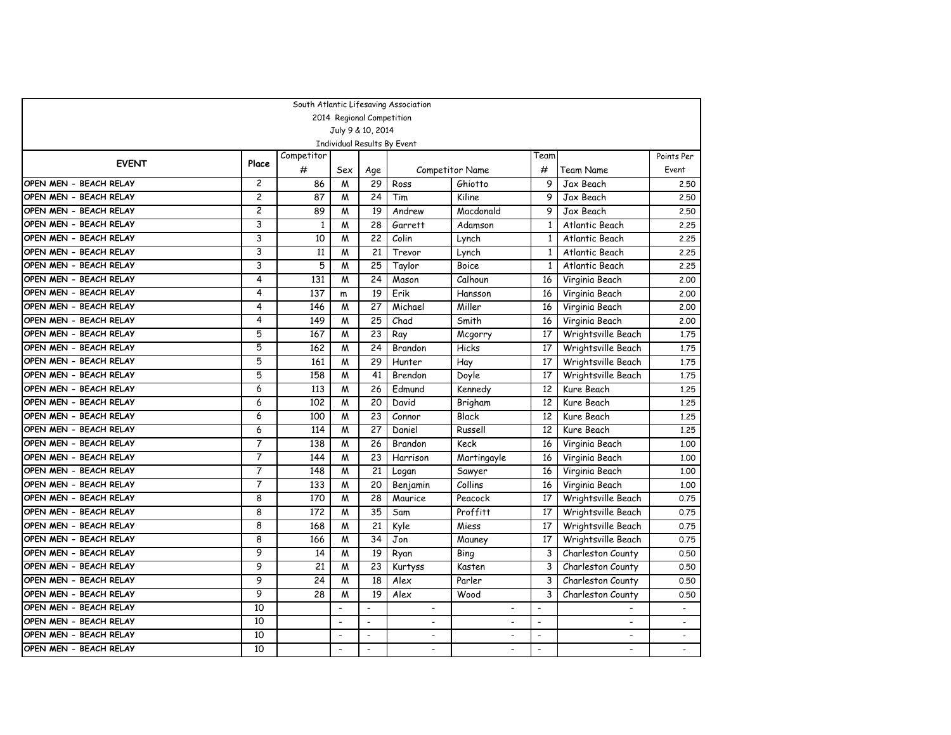|                        |                |            |                          |                           | South Atlantic Lifesaving Association |                          |                          |                    |                          |
|------------------------|----------------|------------|--------------------------|---------------------------|---------------------------------------|--------------------------|--------------------------|--------------------|--------------------------|
|                        |                |            |                          | 2014 Regional Competition |                                       |                          |                          |                    |                          |
|                        |                |            |                          | July 9 & 10, 2014         |                                       |                          |                          |                    |                          |
|                        |                |            |                          |                           | Individual Results By Event           |                          |                          |                    |                          |
| <b>EVENT</b>           | Place          | Competitor |                          |                           |                                       |                          | Team                     |                    | Points Per               |
|                        |                | #          | Sex                      | Age                       |                                       | <b>Competitor Name</b>   | #                        | Team Name          | Event                    |
| OPEN MEN - BEACH RELAY | $\overline{c}$ | 86         | M                        | 29                        | Ross                                  | Ghiotto                  | 9                        | Jax Beach          | 2.50                     |
| OPEN MEN - BEACH RELAY | $\overline{2}$ | 87         | M                        | 24                        | Tim                                   | Kiline                   | 9                        | Jax Beach          | 2.50                     |
| OPEN MEN - BEACH RELAY | 2              | 89         | M                        | 19                        | Andrew                                | Macdonald                | 9                        | Jax Beach          | 2.50                     |
| OPEN MEN - BEACH RELAY | 3              | 1          | M                        | 28                        | Garrett                               | Adamson                  | 1                        | Atlantic Beach     | 2.25                     |
| OPEN MEN - BEACH RELAY | 3              | 10         | M                        | 22                        | Colin                                 | Lynch                    | $\mathbf{1}$             | Atlantic Beach     | 2.25                     |
| OPEN MEN - BEACH RELAY | 3              | 11         | M                        | 21                        | Trevor                                | Lynch                    | $\mathbf{1}$             | Atlantic Beach     | 2.25                     |
| OPEN MEN - BEACH RELAY | 3              | 5          | M                        | 25                        | Taylor                                | <b>Boice</b>             | $\mathbf{1}$             | Atlantic Beach     | 2.25                     |
| OPEN MEN - BEACH RELAY | 4              | 131        | M                        | 24                        | Mason                                 | Calhoun                  | 16                       | Virginia Beach     | 2,00                     |
| OPEN MEN - BEACH RELAY | 4              | 137        | m                        | 19                        | Erik                                  | Hansson                  | 16                       | Virginia Beach     | 2,00                     |
| OPEN MEN - BEACH RELAY | 4              | 146        | M                        | 27                        | Michael                               | Miller                   | 16                       | Virginia Beach     | 2.00                     |
| OPEN MEN - BEACH RELAY | 4              | 149        | M                        | 25                        | Chad                                  | Smith                    | 16                       | Virginia Beach     | 2.00                     |
| OPEN MEN - BEACH RELAY | 5              | 167        | M                        | 23                        | Ray                                   | Mcgorry                  | 17                       | Wrightsville Beach | 1.75                     |
| OPEN MEN - BEACH RELAY | 5              | 162        | M                        | 24                        | Brandon                               | Hicks                    | 17                       | Wrightsville Beach | 1,75                     |
| OPEN MEN - BEACH RELAY | 5              | 161        | M                        | 29                        | Hunter                                | Hay                      | 17                       | Wrightsville Beach | 1,75                     |
| OPEN MEN - BEACH RELAY | 5              | 158        | M                        | 41                        | Brendon                               | Doyle                    | 17                       | Wrightsville Beach | 1,75                     |
| OPEN MEN - BEACH RELAY | 6              | 113        | M                        | 26                        | Edmund                                | Kennedy                  | 12                       | Kure Beach         | 1.25                     |
| OPEN MEN - BEACH RELAY | 6              | 102        | M                        | 20                        | David                                 | Brigham                  | 12                       | Kure Beach         | 1,25                     |
| OPEN MEN - BEACH RELAY | 6              | 100        | M                        | 23                        | Connor                                | Black                    | 12                       | Kure Beach         | 1,25                     |
| OPEN MEN - BEACH RELAY | 6              | 114        | M                        | 27                        | Daniel                                | Russell                  | 12                       | Kure Beach         | 1,25                     |
| OPEN MEN - BEACH RELAY | 7              | 138        | M                        | 26                        | Brandon                               | Keck                     | 16                       | Virginia Beach     | 1,00                     |
| OPEN MEN - BEACH RELAY | 7              | 144        | M                        | 23                        | Harrison                              | Martingayle              | 16                       | Virginia Beach     | 1.00                     |
| OPEN MEN - BEACH RELAY | $\overline{7}$ | 148        | M                        | 21                        | Logan                                 | Sawyer                   | 16                       | Virginia Beach     | 1.00                     |
| OPEN MEN - BEACH RELAY | 7              | 133        | M                        | 20                        | Benjamin                              | Collins                  | 16                       | Virginia Beach     | 1.00                     |
| OPEN MEN - BEACH RELAY | 8              | 170        | M                        | 28                        | Maurice                               | Peacock                  | 17                       | Wrightsville Beach | 0.75                     |
| OPEN MEN - BEACH RELAY | 8              | 172        | M                        | 35                        | Sam                                   | Proffitt                 | 17                       | Wrightsville Beach | 0.75                     |
| OPEN MEN - BEACH RELAY | 8              | 168        | M                        | 21                        | Kyle                                  | Miess                    | 17                       | Wrightsville Beach | 0.75                     |
| OPEN MEN - BEACH RELAY | 8              | 166        | M                        | 34                        | Jon                                   | Mauney                   | 17                       | Wrightsville Beach | 0.75                     |
| OPEN MEN - BEACH RELAY | 9              | 14         | M                        | 19                        | Ryan                                  | Bing                     | 3                        | Charleston County  | 0.50                     |
| OPEN MEN - BEACH RELAY | 9              | 21         | M                        | 23                        | Kurtyss                               | Kasten                   | 3                        | Charleston County  | 0.50                     |
| OPEN MEN - BEACH RELAY | 9              | 24         | M                        | 18                        | Alex                                  | Parler                   | 3                        | Charleston County  | 0.50                     |
| OPEN MEN - BEACH RELAY | 9              | 28         | M                        | 19                        | Alex                                  | Wood                     | 3                        | Charleston County  | 0.50                     |
| OPEN MEN - BEACH RELAY | 10             |            | $\overline{\phantom{a}}$ |                           | $\overline{\phantom{0}}$              |                          |                          |                    |                          |
| OPEN MEN - BEACH RELAY | 10             |            | $\overline{a}$           | $\overline{a}$            |                                       | $\overline{\phantom{a}}$ | $\overline{a}$           |                    | $\overline{\phantom{a}}$ |
| OPEN MEN - BEACH RELAY | 10             |            | $\blacksquare$           | $\blacksquare$            | $\overline{\phantom{a}}$              | $\blacksquare$           | $\blacksquare$           | $\blacksquare$     | $\blacksquare$           |
| OPEN MEN - BEACH RELAY | 10             |            | $\blacksquare$           | $\overline{\phantom{a}}$  |                                       | $\overline{\phantom{0}}$ | $\overline{\phantom{a}}$ |                    |                          |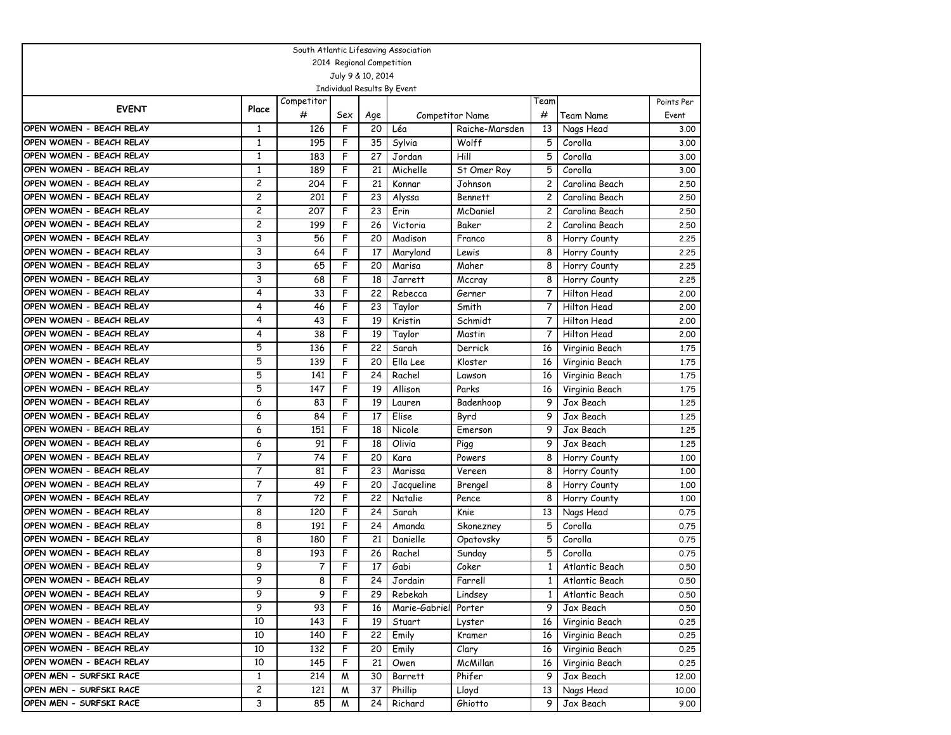| South Atlantic Lifesaving Association |                           |            |                   |                 |                             |                        |                |                  |            |  |  |  |  |
|---------------------------------------|---------------------------|------------|-------------------|-----------------|-----------------------------|------------------------|----------------|------------------|------------|--|--|--|--|
|                                       | 2014 Regional Competition |            |                   |                 |                             |                        |                |                  |            |  |  |  |  |
|                                       |                           |            | July 9 & 10, 2014 |                 |                             |                        |                |                  |            |  |  |  |  |
|                                       |                           |            |                   |                 | Individual Results By Event |                        |                |                  |            |  |  |  |  |
| <b>EVENT</b>                          | Place                     | Competitor |                   |                 |                             |                        | Team           |                  | Points Per |  |  |  |  |
|                                       |                           | #          | Sex               | Age             |                             | <b>Competitor Name</b> | #              | Team Name        | Event      |  |  |  |  |
| OPEN WOMEN - BEACH RELAY              | 1                         | 126        | F                 | 20              | Léa                         | Raiche-Marsden         | 13             | Nags Head        | 3.00       |  |  |  |  |
| OPEN WOMEN - BEACH RELAY              | 1                         | 195        | F                 | 35              | Sylvia                      | Wolff                  | 5              | Corolla          | 3.00       |  |  |  |  |
| OPEN WOMEN - BEACH RELAY              | $\mathbf{1}$              | 183        | F                 | 27              | Jordan                      | Hill                   | 5              | Corolla          | 3.00       |  |  |  |  |
| OPEN WOMEN - BEACH RELAY              | $\mathbf{1}$              | 189        | F                 | 21              | Michelle                    | St Omer Roy            | 5              | Corolla          | 3.00       |  |  |  |  |
| OPEN WOMEN - BEACH RELAY              | $\overline{c}$            | 204        | F                 | 21              | Konnar                      | Johnson                | $\overline{c}$ | Carolina Beach   | 2.50       |  |  |  |  |
| OPEN WOMEN - BEACH RELAY              | 2                         | 201        | F                 | 23              | Alyssa                      | <b>Bennett</b>         | 2              | Carolina Beach   | 2.50       |  |  |  |  |
| OPEN WOMEN - BEACH RELAY              | 2                         | 207        | F                 | 23              | Erin                        | McDaniel               | $\overline{c}$ | Carolina Beach   | 2.50       |  |  |  |  |
| OPEN WOMEN - BEACH RELAY              | $\overline{c}$            | 199        | F                 | 26              | Victoria                    | Baker                  | $\mathbf{2}$   | Carolina Beach   | 2,50       |  |  |  |  |
| OPEN WOMEN - BEACH RELAY              | 3                         | 56         | F                 | 20              | Madison                     | Franco                 | 8              | Horry County     | 2.25       |  |  |  |  |
| OPEN WOMEN - BEACH RELAY              | 3                         | 64         | F                 | 17              | Maryland                    | Lewis                  | 8              | Horry County     | 2.25       |  |  |  |  |
| OPEN WOMEN - BEACH RELAY              | 3                         | 65         | F                 | 20              | Marisa                      | Maher                  | 8              | Horry County     | 2.25       |  |  |  |  |
| OPEN WOMEN - BEACH RELAY              | 3                         | 68         | F                 | 18              | Jarrett                     | Mccray                 | 8              | Horry County     | 2.25       |  |  |  |  |
| OPEN WOMEN - BEACH RELAY              | 4                         | 33         | F                 | 22              | Rebecca                     | Gerner                 | 7              | Hilton Head      | 2.00       |  |  |  |  |
| OPEN WOMEN - BEACH RELAY              | 4                         | 46         | F                 | 23              | Taylor                      | Smith                  | 7              | Hilton Head      | 2.00       |  |  |  |  |
| OPEN WOMEN - BEACH RELAY              | 4                         | 43         | F                 | 19              | Kristin                     | Schmidt                | 7              | Hilton Head      | 2.00       |  |  |  |  |
| OPEN WOMEN - BEACH RELAY              | 4                         | 38         | F                 | 19              | Taylor                      | Mastin                 | 7              | Hilton Head      | 2.00       |  |  |  |  |
| OPEN WOMEN - BEACH RELAY              | 5                         | 136        | F                 | 22              | Sarah                       | Derrick                | 16             | Virginia Beach   | 1.75       |  |  |  |  |
| OPEN WOMEN - BEACH RELAY              | 5                         | 139        | F                 | 20              | Ella Lee                    | Kloster                | 16             | Virginia Beach   | 1.75       |  |  |  |  |
| OPEN WOMEN - BEACH RELAY              | 5                         | 141        | F                 | 24              | Rachel                      | Lawson                 | 16             | Virginia Beach   | 1.75       |  |  |  |  |
| OPEN WOMEN - BEACH RELAY              | 5                         | 147        | F                 | 19              | Allison                     | Parks                  | 16             | Virginia Beach   | 1.75       |  |  |  |  |
| OPEN WOMEN - BEACH RELAY              | 6                         | 83         | F                 | 19              | Lauren                      | Badenhoop              | 9              | Jax Beach        | 1,25       |  |  |  |  |
| OPEN WOMEN - BEACH RELAY              | 6                         | 84         | F                 | 17              | Elise                       | Byrd                   | 9              | Jax Beach        | 1.25       |  |  |  |  |
| OPEN WOMEN - BEACH RELAY              | 6                         | 151        | F                 | 18              | Nicole                      | Emerson                | 9              | Jax Beach        | 1.25       |  |  |  |  |
| OPEN WOMEN - BEACH RELAY              | 6                         | 91         | F                 | 18              | Olivia                      | Pigg                   | 9              | Jax Beach        | 1.25       |  |  |  |  |
| OPEN WOMEN - BEACH RELAY              | 7                         | 74         | F                 | 20              | Kara                        | Powers                 | 8              | Horry County     | 1.00       |  |  |  |  |
| OPEN WOMEN - BEACH RELAY              | $\overline{7}$            | 81         | F                 | 23              | Marissa                     | Vereen                 | 8              | Horry County     | 1,00       |  |  |  |  |
| OPEN WOMEN - BEACH RELAY              | 7                         | 49         | F                 | 20              | Jacqueline                  | Brengel                | 8              | Horry County     | 1,00       |  |  |  |  |
| OPEN WOMEN - BEACH RELAY              | 7                         | 72         | F                 | 22              | Natalie                     | Pence                  | 8              | Horry County     | 1.00       |  |  |  |  |
| OPEN WOMEN - BEACH RELAY              | 8                         | 120        | F                 | 24              | Sarah                       | Knie                   | 13             | Nags Head        | 0.75       |  |  |  |  |
| OPEN WOMEN - BEACH RELAY              | 8                         | 191        | F                 | 24              | Amanda                      | Skonezney              | 5              | Corolla          | 0.75       |  |  |  |  |
| OPEN WOMEN - BEACH RELAY              | 8                         | 180        | F                 | 21              | Danielle                    | Opatovsky              | 5              | Corolla          | 0.75       |  |  |  |  |
| OPEN WOMEN - BEACH RELAY              | 8                         | 193        | F                 | 26              | Rachel                      | Sunday                 | 5              | Corolla          | 0.75       |  |  |  |  |
| OPEN WOMEN - BEACH RELAY              | 9                         | 7          | F                 | 17              | Gabi                        | Coker                  | $\mathbf{1}$   | Atlantic Beach   | 0.50       |  |  |  |  |
| OPEN WOMEN - BEACH RELAY              | 9                         | 8          | F                 | $\overline{24}$ | Jordain                     | Farrell                |                | 1 Atlantic Beach | 0.50       |  |  |  |  |
| OPEN WOMEN - BEACH RELAY              | 9                         | 9          | F                 | 29              | Rebekah                     | Lindsey                | $\mathbf{1}$   | Atlantic Beach   | 0.50       |  |  |  |  |
| OPEN WOMEN - BEACH RELAY              | 9                         | 93         | F                 | 16              | Marie-Gabriel               | Porter                 | 9.             | Jax Beach        | 0.50       |  |  |  |  |
| OPEN WOMEN - BEACH RELAY              | 10                        | 143        | F                 | 19              | Stuart                      | Lyster                 | 16             | Virginia Beach   | 0.25       |  |  |  |  |
| OPEN WOMEN - BEACH RELAY              | 10                        | 140        | F                 | 22              | Emily                       | Kramer                 | 16             | Virginia Beach   | 0.25       |  |  |  |  |
| OPEN WOMEN - BEACH RELAY              | 10                        | 132        | F                 | 20              | Emily                       | Clary                  | 16             | Virginia Beach   | 0.25       |  |  |  |  |
| OPEN WOMEN - BEACH RELAY              | 10                        | 145        | F                 | 21              | Owen                        | McMillan               | 16             | Virginia Beach   | 0.25       |  |  |  |  |
| OPEN MEN - SURFSKI RACE               | $\mathbf{1}$              | 214        | M                 | 30              | Barrett                     | Phifer                 | 9              | Jax Beach        | 12.00      |  |  |  |  |
| OPEN MEN - SURFSKI RACE               | $\overline{c}$            | 121        | M                 | 37              | Phillip                     | Lloyd                  | 13             | Nags Head        | 10.00      |  |  |  |  |
| OPEN MEN - SURFSKI RACE               | 3                         | 85         | M                 | 24              | Richard                     | Ghiotto                | 9              | Jax Beach        | 9.00       |  |  |  |  |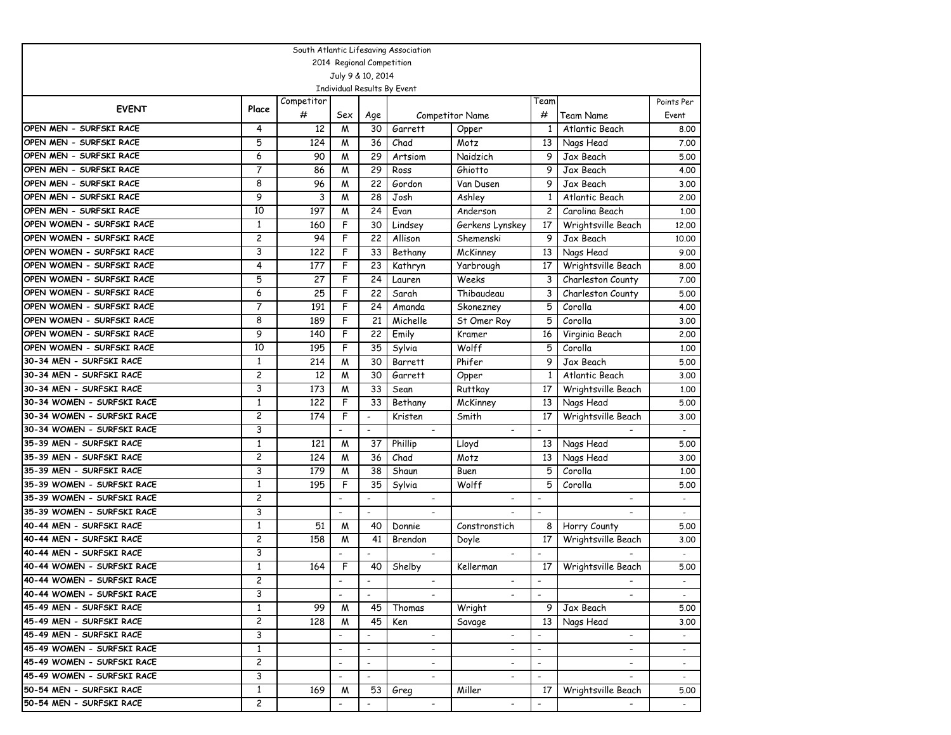| South Atlantic Lifesaving Association |                         |            |                          |                           |                             |                          |                          |                          |                          |
|---------------------------------------|-------------------------|------------|--------------------------|---------------------------|-----------------------------|--------------------------|--------------------------|--------------------------|--------------------------|
|                                       |                         |            |                          | 2014 Regional Competition |                             |                          |                          |                          |                          |
|                                       |                         |            |                          | July 9 & 10, 2014         |                             |                          |                          |                          |                          |
|                                       |                         |            |                          |                           | Individual Results By Event |                          |                          |                          |                          |
| <b>EVENT</b>                          | Place                   | Competitor |                          |                           |                             |                          | Team                     |                          | Points Per               |
|                                       |                         | #          | Sex                      | Age                       |                             | <b>Competitor Name</b>   | #                        | Team Name                | Event                    |
| OPEN MEN - SURFSKI RACE               | 4                       | 12         | M                        | 30                        | Garrett                     | Opper                    | 1                        | Atlantic Beach           | 8.00                     |
| OPEN MEN - SURFSKI RACE               | 5                       | 124        | M                        | 36                        | Chad                        | Motz                     | 13                       | Nags Head                | 7.00                     |
| OPEN MEN - SURFSKI RACE               | 6                       | 90         | M                        | 29                        | Artsiom                     | Naidzich                 | 9                        | Jax Beach                | 5.00                     |
| OPEN MEN - SURFSKI RACE               | 7                       | 86         | M                        | 29                        | Ross                        | Ghiotto                  | 9                        | Jax Beach                | 4.00                     |
| OPEN MEN - SURFSKI RACE               | 8                       | 96         | M                        | 22                        | Gordon                      | Van Dusen                | 9                        | Jax Beach                | 3.00                     |
| OPEN MEN - SURFSKI RACE               | 9                       | 3          | M                        | 28                        | Josh                        | Ashley                   | 1                        | Atlantic Beach           | 2,00                     |
| OPEN MEN - SURFSKI RACE               | 10                      | 197        | M                        | 24                        | Evan                        | Anderson                 | $\mathbf{2}$             | Carolina Beach           | 1.00                     |
| OPEN WOMEN - SURFSKI RACE             | $\mathbf{1}$            | 160        | F                        | 30                        | Lindsey                     | Gerkens Lynskey          | 17                       | Wrightsville Beach       | 12,00                    |
| OPEN WOMEN - SURFSKI RACE             | 2                       | 94         | F                        | 22                        | Allison                     | Shemenski                | 9                        | Jax Beach                | 10.00                    |
| OPEN WOMEN - SURFSKI RACE             | 3                       | 122        | F                        | 33                        | Bethany                     | McKinney                 | 13                       | Nags Head                | 9.00                     |
| OPEN WOMEN - SURFSKI RACE             | 4                       | 177        | F                        | 23                        | Kathryn                     | Yarbrough                | 17                       | Wrightsville Beach       | 8.00                     |
| OPEN WOMEN - SURFSKI RACE             | 5                       | 27         | F                        | 24                        | Lauren                      | Weeks                    | 3                        | Charleston County        | 7.00                     |
| OPEN WOMEN - SURFSKI RACE             | 6                       | 25         | F                        | 22                        | Sarah                       | Thibaudeau               | 3                        | Charleston County        | 5.00                     |
| OPEN WOMEN - SURFSKI RACE             | $\overline{7}$          | 191        | F                        | 24                        | Amanda                      | Skonezney                | 5                        | Corolla                  | 4.00                     |
| OPEN WOMEN - SURFSKI RACE             | 8                       | 189        | F                        | 21                        | Michelle                    | St Omer Roy              | 5                        | Corolla                  | 3.00                     |
| OPEN WOMEN - SURFSKI RACE             | 9                       | 140        | F                        | 22                        | Emily                       | Kramer                   | 16                       | Virginia Beach           | 2,00                     |
| OPEN WOMEN - SURFSKI RACE             | 10                      | 195        | F                        | 35                        | Sylvia                      | Wolff                    | 5                        | Corolla                  | 1,00                     |
| 30-34 MEN - SURFSKI RACE              | $\mathbf{1}$            | 214        | M                        | 30                        | Barrett                     | Phifer                   | 9                        | Jax Beach                | 5.00                     |
| 30-34 MEN - SURFSKI RACE              | 2                       | 12         | M                        | 30                        | Garrett                     | Opper                    | $\mathbf{1}$             | Atlantic Beach           | 3.00                     |
| 30-34 MEN - SURFSKI RACE              | 3                       | 173        | М                        | 33                        | Sean                        | Ruttkay                  | 17                       | Wrightsville Beach       | 1,00                     |
| 30-34 WOMEN - SURFSKI RACE            | 1                       | 122        | F                        | 33                        | Bethany                     | McKinney                 | 13                       | Nags Head                | 5.00                     |
| 30-34 WOMEN - SURFSKI RACE            | 2                       | 174        | F                        |                           | Kristen                     | Smith                    | 17                       | Wrightsville Beach       | 3.00                     |
| 30-34 WOMEN - SURFSKI RACE            | 3                       |            | $\overline{\phantom{a}}$ | $\overline{\phantom{a}}$  | $\overline{\phantom{a}}$    | $\overline{\phantom{a}}$ | $\overline{\phantom{a}}$ |                          | $\sim$                   |
| 35-39 MEN - SURFSKI RACE              | $\mathbf{1}$            | 121        | M                        | 37                        | Phillip                     | Lloyd                    | 13                       | Nags Head                | 5.00                     |
| 35-39 MEN - SURFSKI RACE              | $\overline{\mathbf{c}}$ | 124        | M                        | 36                        | Chad                        | Motz                     | 13                       | Nags Head                | 3.00                     |
| 35-39 MEN - SURFSKI RACE              | 3                       | 179        | M                        | 38                        | Shaun                       | Buen                     | 5                        | Corolla                  | 1,00                     |
| 35-39 WOMEN - SURFSKI RACE            | 1                       | 195        | F                        | 35                        | Sylvia                      | Wolff                    | 5                        | Corolla                  | 5.00                     |
| 35-39 WOMEN - SURFSKI RACE            | 2                       |            | $\blacksquare$           | $\overline{\phantom{a}}$  | $\blacksquare$              | $\overline{\phantom{a}}$ | $\blacksquare$           | $\overline{\phantom{a}}$ | $\overline{\phantom{a}}$ |
| 35-39 WOMEN - SURFSKI RACE            | 3                       |            | $\overline{\phantom{a}}$ | $\overline{a}$            |                             |                          | $\overline{\phantom{a}}$ |                          |                          |
| 40-44 MEN - SURFSKI RACE              | $\mathbf{1}$            | 51         | M                        | 40                        | Donnie                      | Constronstich            | 8                        | Horry County             | 5.00                     |
| 40-44 MEN - SURFSKI RACE              | 2                       | 158        | M                        | 41                        | Brendon                     | Doyle                    | 17                       | Wrightsville Beach       | 3,00                     |
| 40-44 MEN - SURFSKI RACE              | 3                       |            |                          |                           |                             |                          |                          |                          |                          |
| 40-44 WOMEN - SURFSKI RACE            | $\mathbf{1}$            | 164        | F                        | 40                        | Shelby                      | Kellerman                | 17 <sup>1</sup>          | Wrightsville Beach       | 5.00                     |
| 40-44 WOMEN - SURFSKI RACE            | 2                       |            | $\overline{\phantom{a}}$ | $\overline{\phantom{a}}$  |                             |                          | $\overline{\phantom{a}}$ |                          |                          |
| 40-44 WOMEN - SURFSKI RACE            | 3                       |            |                          |                           |                             |                          |                          |                          |                          |
| 45-49 MEN - SURFSKI RACE              | 1                       | 99         | M                        | 45                        | Thomas                      | Wright                   | 9                        | Jax Beach                | 5.00                     |
| 45-49 MEN - SURFSKI RACE              | 2                       | 128        | M                        | 45                        | Ken                         | Savage                   | 13                       | Nags Head                | 3.00                     |
| 45-49 MEN - SURFSKI RACE              | 3                       |            | $\overline{\phantom{a}}$ | $\overline{\phantom{a}}$  | $\overline{\phantom{a}}$    | $\overline{\phantom{a}}$ | $\blacksquare$           | $\overline{\phantom{a}}$ | $\overline{\phantom{a}}$ |
| 45-49 WOMEN - SURFSKI RACE            | $\mathbf{1}$            |            | $\overline{\phantom{a}}$ | $\overline{\phantom{a}}$  | $\overline{\phantom{a}}$    | $\overline{\phantom{a}}$ | $\overline{\phantom{a}}$ | $\overline{\phantom{a}}$ | $\sim$                   |
| 45-49 WOMEN - SURFSKI RACE            | $\overline{c}$          |            | $\overline{\phantom{a}}$ | $\overline{\phantom{a}}$  | $\overline{\phantom{a}}$    | $\overline{\phantom{a}}$ | $\overline{\phantom{a}}$ |                          | $\overline{\phantom{a}}$ |
| 45-49 WOMEN - SURFSKI RACE            | 3                       |            | $\overline{\phantom{a}}$ | $\overline{\phantom{a}}$  | $\overline{\phantom{a}}$    | $\overline{\phantom{a}}$ | $\overline{\phantom{a}}$ |                          | $\sim$                   |
| 50-54 MEN - SURFSKI RACE              | $\mathbf{1}$            | 169        | M                        | 53                        | Greg                        | Miller                   | 17                       | Wrightsville Beach       | 5.00                     |
| 50-54 MEN - SURFSKI RACE              | 2                       |            | $\overline{\phantom{a}}$ | $\overline{\phantom{a}}$  | $\overline{\phantom{a}}$    | $\overline{\phantom{a}}$ |                          |                          | $\sim$                   |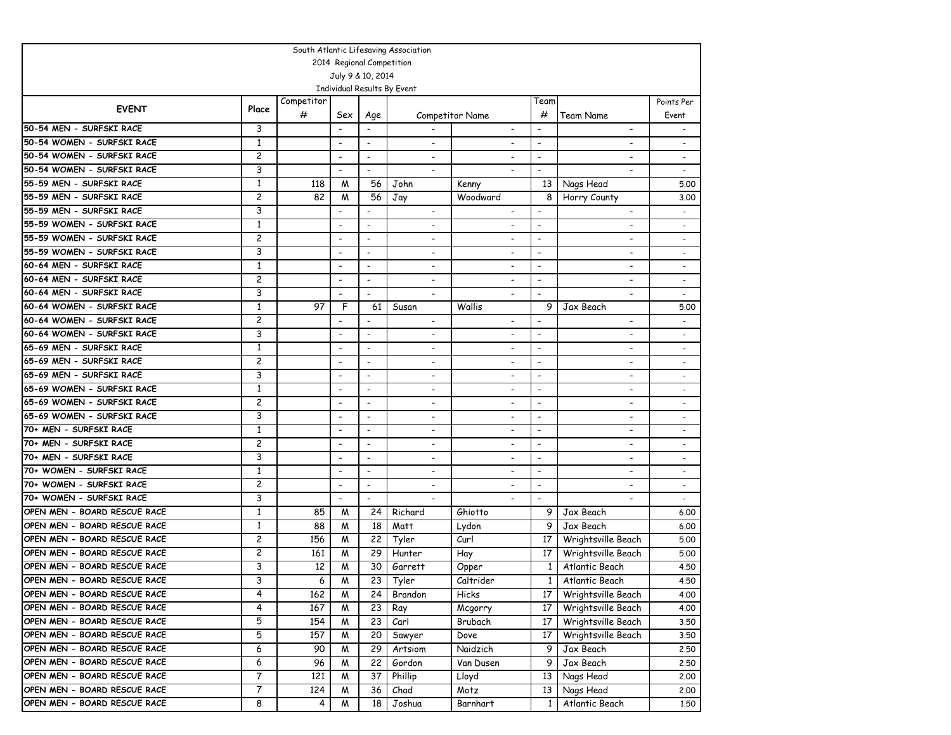| South Atlantic Lifesaving Association |                |            |                          |                          |                             |                          |                          |                          |                          |
|---------------------------------------|----------------|------------|--------------------------|--------------------------|-----------------------------|--------------------------|--------------------------|--------------------------|--------------------------|
| 2014 Regional Competition             |                |            |                          |                          |                             |                          |                          |                          |                          |
| July 9 & 10, 2014                     |                |            |                          |                          |                             |                          |                          |                          |                          |
|                                       |                |            |                          |                          | Individual Results By Event |                          |                          |                          |                          |
| <b>EVENT</b>                          | Place          | Competitor |                          |                          |                             |                          | Team                     |                          | Points Per               |
|                                       |                | #          | Sex                      | Age                      |                             | Competitor Name          | #                        | Team Name                | Event                    |
| 50-54 MEN - SURFSKI RACE              | 3              |            |                          |                          |                             | $\overline{\phantom{a}}$ | $\overline{\phantom{a}}$ | $\overline{\phantom{a}}$ | $\overline{\phantom{a}}$ |
| 50-54 WOMEN - SURFSKI RACE            | 1              |            | $\overline{\phantom{a}}$ | $\overline{\phantom{a}}$ | $\overline{\phantom{a}}$    |                          | $\blacksquare$           |                          |                          |
| 50-54 WOMEN - SURFSKI RACE            | $\overline{c}$ |            | $\overline{\phantom{a}}$ | $\overline{\phantom{a}}$ |                             |                          | $\overline{\phantom{a}}$ |                          |                          |
| 50-54 WOMEN - SURFSKI RACE            | 3              |            | $\overline{\phantom{a}}$ | $\overline{\phantom{a}}$ | $\overline{\phantom{0}}$    |                          | $\blacksquare$           |                          | $\overline{\phantom{a}}$ |
| 55-59 MEN - SURFSKI RACE              | 1              | 118        | M                        | 56                       | John                        | Kenny                    |                          | 13 Nags Head             | 5.00                     |
| 55-59 MEN - SURFSKI RACE              | 2              | 82         | M                        | 56                       | Jay                         | Woodward                 | 8                        | Horry County             | 3.00                     |
| 55-59 MEN - SURFSKI RACE              | 3              |            | $\overline{\phantom{a}}$ |                          |                             |                          |                          |                          |                          |
| 55-59 WOMEN - SURFSKI RACE            | 1              |            | $\overline{\phantom{a}}$ | $\overline{\phantom{a}}$ |                             |                          | $\overline{\phantom{a}}$ |                          |                          |
| 55-59 WOMEN - SURFSKI RACE            | 2              |            | $\overline{\phantom{a}}$ | $\overline{\phantom{a}}$ | $\overline{\phantom{a}}$    | $\overline{\phantom{a}}$ | $\blacksquare$           | $\overline{\phantom{a}}$ | $\overline{\phantom{0}}$ |
| 55-59 WOMEN - SURFSKI RACE            | 3              |            | $\overline{\phantom{a}}$ | $\overline{\phantom{a}}$ | $\overline{\phantom{a}}$    | $\overline{\phantom{a}}$ | $\overline{\phantom{a}}$ | $\overline{\phantom{a}}$ | $\overline{\phantom{0}}$ |
| 60-64 MEN - SURFSKI RACE              | $\mathbf{1}$   |            | $\overline{\phantom{a}}$ | $\overline{\phantom{a}}$ | $\overline{\phantom{a}}$    | $\overline{\phantom{a}}$ | $\overline{\phantom{a}}$ | $\overline{\phantom{a}}$ | $\overline{\phantom{a}}$ |
| 60-64 MEN - SURFSKI RACE              | 2              |            | $\overline{\phantom{a}}$ | $\overline{\phantom{a}}$ | $\overline{\phantom{a}}$    | $\overline{\phantom{a}}$ | $\overline{\phantom{a}}$ | $\overline{\phantom{a}}$ | $\overline{\phantom{a}}$ |
| 60-64 MEN - SURFSKI RACE              | 3              |            |                          | $\overline{\phantom{a}}$ |                             |                          | $\overline{\phantom{a}}$ |                          |                          |
| 60-64 WOMEN - SURFSKI RACE            | $\mathbf{1}$   | 97         | F                        | 61                       | Susan                       | Wallis                   | 9                        | Jax Beach                | 5.00                     |
| 60-64 WOMEN - SURFSKI RACE            | 2              |            | $\overline{\phantom{a}}$ |                          |                             | $\overline{\phantom{a}}$ |                          |                          |                          |
| 60-64 WOMEN - SURFSKI RACE            | 3              |            | $\overline{\phantom{a}}$ | $\overline{\phantom{a}}$ | $\overline{\phantom{a}}$    | $\blacksquare$           | $\blacksquare$           | $\overline{\phantom{a}}$ |                          |
| 65-69 MEN - SURFSKI RACE              | 1              |            | $\overline{\phantom{a}}$ | $\overline{\phantom{a}}$ | $\overline{\phantom{a}}$    | $\overline{\phantom{a}}$ | $\blacksquare$           | $\overline{\phantom{a}}$ |                          |
| 65-69 MEN - SURFSKI RACE              | 2              |            | $\overline{\phantom{a}}$ | $\overline{\phantom{a}}$ | $\overline{\phantom{a}}$    | $\blacksquare$           | $\overline{\phantom{a}}$ |                          |                          |
| 65-69 MEN - SURFSKI RACE              | 3              |            | $\overline{\phantom{a}}$ | $\overline{\phantom{a}}$ | $\overline{\phantom{a}}$    | $\overline{\phantom{a}}$ | $\overline{\phantom{a}}$ | $\overline{\phantom{a}}$ | $\overline{\phantom{0}}$ |
| 65-69 WOMEN - SURFSKI RACE            | 1              |            | $\overline{\phantom{a}}$ | $\overline{\phantom{a}}$ | $\overline{\phantom{a}}$    | $\overline{\phantom{a}}$ | $\overline{\phantom{a}}$ | $\overline{\phantom{0}}$ | $\overline{\phantom{0}}$ |
| 65-69 WOMEN - SURFSKI RACE            | 2              |            | $\overline{\phantom{a}}$ | $\overline{\phantom{a}}$ | $\overline{a}$              | $\overline{\phantom{0}}$ | $\blacksquare$           | $\overline{\phantom{0}}$ | $\overline{\phantom{0}}$ |
| 65-69 WOMEN - SURFSKI RACE            | 3              |            | $\overline{\phantom{a}}$ | $\overline{\phantom{a}}$ | $\overline{\phantom{a}}$    | $\overline{\phantom{a}}$ | $\blacksquare$           | $\blacksquare$           | $\overline{\phantom{a}}$ |
| 70+ MEN - SURFSKI RACE                | 1              |            | $\overline{\phantom{a}}$ | $\overline{\phantom{a}}$ |                             |                          | $\overline{\phantom{a}}$ |                          |                          |
| 70+ MEN - SURFSKI RACE                | 2              |            | $\overline{\phantom{a}}$ | $\overline{\phantom{a}}$ | $\overline{\phantom{0}}$    | $\overline{\phantom{a}}$ | $\overline{\phantom{a}}$ | $\overline{\phantom{0}}$ | $\overline{\phantom{a}}$ |
| 70+ MEN - SURFSKI RACE                | 3              |            | $\overline{\phantom{a}}$ | $\overline{\phantom{a}}$ | $\overline{\phantom{a}}$    | $\blacksquare$           | $\blacksquare$           | $\overline{\phantom{0}}$ | $\overline{\phantom{0}}$ |
| 70+ WOMEN - SURFSKI RACE              | $\mathbf{1}$   |            | $\overline{\phantom{a}}$ | $\overline{\phantom{a}}$ |                             | $\blacksquare$           | $\overline{\phantom{a}}$ |                          |                          |
| 70+ WOMEN - SURFSKI RACE              | 2              |            | $\overline{\phantom{a}}$ | $\overline{\phantom{a}}$ | $\overline{\phantom{a}}$    | $\overline{\phantom{a}}$ | $\overline{\phantom{a}}$ |                          |                          |
| 70+ WOMEN - SURFSKI RACE              | 3              |            | $\overline{a}$           | $\overline{\phantom{a}}$ |                             |                          | $\overline{a}$           |                          |                          |
| OPEN MEN - BOARD RESCUE RACE          | $\mathbf{1}$   | 85         | M                        | 24                       | Richard                     | Ghiotto                  | 9                        | Jax Beach                | 6.00                     |
| OPEN MEN - BOARD RESCUE RACE          | $\mathbf{1}$   | 88         | M                        | 18                       | Matt                        | Lydon                    | 9                        | Jax Beach                | 6.00                     |
| OPEN MEN - BOARD RESCUE RACE          | 2              | 156        | M                        | 22                       | Tyler                       | Curl                     | 17                       | Wrightsville Beach       | 5.00                     |
| OPEN MEN - BOARD RESCUE RACE          | 2              | 161        | M                        | 29                       | Hunter                      | Hay                      | 17                       | Wrightsville Beach       | 5.00                     |
| OPEN MEN - BOARD RESCUE RACE          | 3              | 12         | M                        | 30                       | Garrett                     | Opper                    | $\mathbf{1}$             | Atlantic Beach           | 4.50                     |
| OPEN MEN - BOARD RESCUE RACE          | 3              | 6          | М                        | $\overline{23}$          | Tyler                       | Caltrider                |                          | 1 Atlantic Beach         | 4.50                     |
| OPEN MEN - BOARD RESCUE RACE          | 4              | 162        | M                        | 24                       | Brandon                     | Hicks                    | 17 <sup>1</sup>          | Wrightsville Beach       | 4.00                     |
| OPEN MEN - BOARD RESCUE RACE          | 4              | 167        | M                        | 23                       | Ray                         | Mcgorry                  | 17                       | Wrightsville Beach       | 4.00                     |
| OPEN MEN - BOARD RESCUE RACE          | 5              | 154        | M                        | 23                       | Carl                        | Brubach                  | 17                       | Wrightsville Beach       | 3.50                     |
| OPEN MEN - BOARD RESCUE RACE          | 5              | 157        | M                        | 20                       | Sawyer                      | Dove                     | 17                       | Wrightsville Beach       | 3.50                     |
| OPEN MEN - BOARD RESCUE RACE          | 6              | 90         | M                        | 29                       | Artsiom                     | Naidzich                 | 9                        | Jax Beach                | 2.50                     |
| OPEN MEN - BOARD RESCUE RACE          | 6              | 96         | M                        | 22                       | Gordon                      | Van Dusen                | 9                        | Jax Beach                | 2.50                     |
| OPEN MEN - BOARD RESCUE RACE          | 7              | 121        | M                        | 37                       | Phillip                     | Lloyd                    | 13                       | Nags Head                | 2.00                     |
| OPEN MEN - BOARD RESCUE RACE          | 7              | 124        | M                        | 36                       | Chad                        | Motz                     | 13                       | Nags Head                | 2.00                     |
| OPEN MEN - BOARD RESCUE RACE          | 8              | 4          | M                        | 18                       | Joshua                      | Barnhart                 | 1                        | Atlantic Beach           | 1.50                     |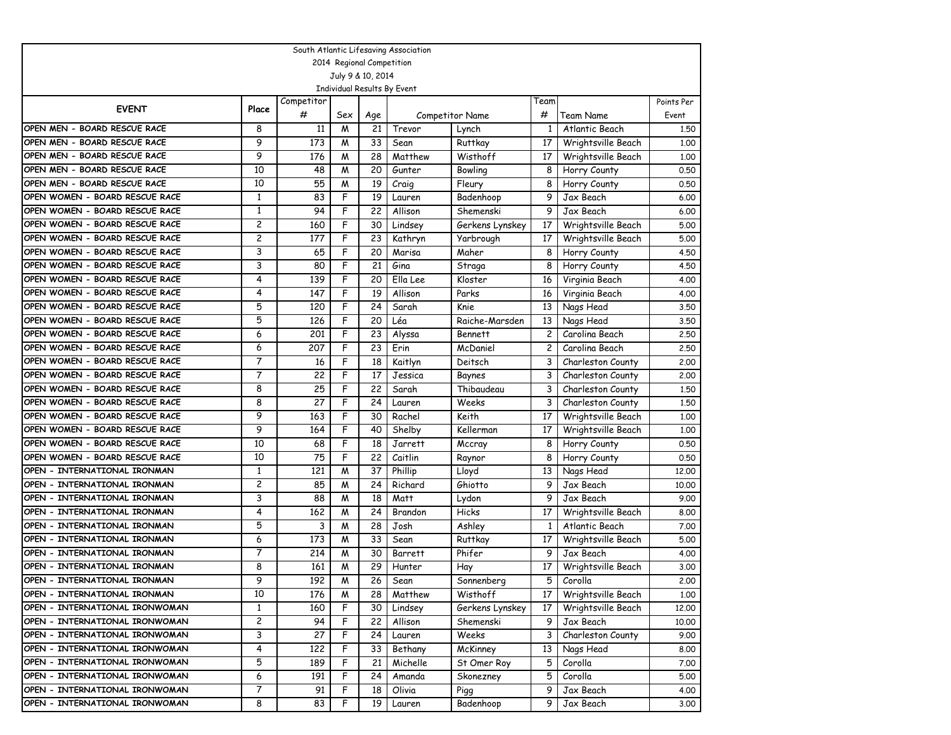| South Atlantic Lifesaving Association                        |                |            |        |          |                             |                              |                |                              |              |
|--------------------------------------------------------------|----------------|------------|--------|----------|-----------------------------|------------------------------|----------------|------------------------------|--------------|
| 2014 Regional Competition                                    |                |            |        |          |                             |                              |                |                              |              |
| July 9 & 10, 2014                                            |                |            |        |          |                             |                              |                |                              |              |
|                                                              |                |            |        |          | Individual Results By Event |                              |                |                              |              |
| <b>EVENT</b>                                                 | Place          | Competitor |        |          |                             |                              | Team           |                              | Points Per   |
|                                                              |                | #          | Sex    | Age      |                             | <b>Competitor Name</b>       | #              | Team Name                    | Event        |
| OPEN MEN - BOARD RESCUE RACE<br>OPEN MEN - BOARD RESCUE RACE | 8<br>9         | 11         | M      | 21       | Trevor                      | Lynch                        | 1              | Atlantic Beach               | 1,50         |
|                                                              | 9              | 173        | M      | 33       | Sean                        | <b>Ruttkay</b>               | 17             | Wrightsville Beach           | 1,00         |
| OPEN MEN - BOARD RESCUE RACE                                 |                | 176        | M      | 28       | Matthew                     | Wisthoff                     | 17             | Wrightsville Beach           | 1,00         |
| OPEN MEN - BOARD RESCUE RACE<br>OPEN MEN - BOARD RESCUE RACE | 10<br>10       | 48         | M      | 20       | Gunter                      | Bowling                      | 8              | Horry County                 | 0.50         |
| OPEN WOMEN - BOARD RESCUE RACE                               | 1              | 55<br>83   | W<br>F | 19<br>19 | Craig                       | Fleury<br>Badenhoop          | 8<br>9         | Horry County                 | 0.50         |
| OPEN WOMEN - BOARD RESCUE RACE                               | 1              | 94         | F      |          | Lauren<br>Allison           |                              | 9              | Jax Beach<br>Jax Beach       | 6.00         |
| OPEN WOMEN - BOARD RESCUE RACE                               | 2              | 160        | F      | 22<br>30 |                             | Shemenski                    | 17             | Wrightsville Beach           | 6.00         |
| OPEN WOMEN - BOARD RESCUE RACE                               | 2              | 177        | F      | 23       | Lindsey<br>Kathryn          | Gerkens Lynskey<br>Yarbrough | 17             | Wrightsville Beach           | 5.00<br>5.00 |
| OPEN WOMEN - BOARD RESCUE RACE                               | 3              | 65         | F      | 20       |                             | Maher                        | 8              |                              |              |
| OPEN WOMEN - BOARD RESCUE RACE                               | 3              | 80         | F      | 21       | Marisa<br>Gina              | Straga                       | 8              | Horry County<br>Horry County | 4.50<br>4.50 |
| OPEN WOMEN - BOARD RESCUE RACE                               | 4              | 139        | F      | 20       | Ella Lee                    | Kloster                      |                |                              | 4.00         |
| OPEN WOMEN - BOARD RESCUE RACE                               | 4              | 147        | F      | 19       | Allison                     | Parks                        | 16<br>16       | Virginia Beach               | 4.00         |
| OPEN WOMEN - BOARD RESCUE RACE                               | 5              | 120        | F      | 24       | Sarah                       | Knie                         | 13             | Virginia Beach<br>Nags Head  | 3.50         |
| OPEN WOMEN - BOARD RESCUE RACE                               | 5              | 126        | F      | 20       | Léa                         | Raiche-Marsden               | 13             | Nags Head                    | 3.50         |
| OPEN WOMEN - BOARD RESCUE RACE                               | 6              | 201        | F      | 23       | Alyssa                      | <b>Bennett</b>               | $\overline{c}$ | Carolina Beach               | 2.50         |
| OPEN WOMEN - BOARD RESCUE RACE                               | 6              | 207        | F      | 23       | Erin                        | McDaniel                     | 2              | Carolina Beach               | 2.50         |
| OPEN WOMEN - BOARD RESCUE RACE                               | 7              | 16         | F      | 18       | Kaitlyn                     | Deitsch                      | 3              | Charleston County            | 2.00         |
| OPEN WOMEN - BOARD RESCUE RACE                               | $\overline{7}$ | 22         | F      | 17       | Jessica                     | Baynes                       | 3              | Charleston County            | 2.00         |
| OPEN WOMEN - BOARD RESCUE RACE                               | 8              | 25         | F      | 22       | Sarah                       | Thibaudeau                   | 3              | Charleston County            | 1,50         |
| OPEN WOMEN - BOARD RESCUE RACE                               | 8              | 27         | F      | 24       | Lauren                      | Weeks                        | 3              | Charleston County            | 1,50         |
| OPEN WOMEN - BOARD RESCUE RACE                               | 9              | 163        | F      | 30       | Rachel                      | Keith                        | 17             | Wrightsville Beach           | 1,00         |
| OPEN WOMEN - BOARD RESCUE RACE                               | 9              | 164        | F      | 40       | Shelby                      | Kellerman                    | 17             | Wrightsville Beach           | 1,00         |
| OPEN WOMEN - BOARD RESCUE RACE                               | 10             | 68         | F      | 18       | Jarrett                     | Mccray                       | 8              | Horry County                 | 0.50         |
| OPEN WOMEN - BOARD RESCUE RACE                               | 10             | 75         | F      | 22       | Caitlin                     | Raynor                       | 8              | Horry County                 | 0.50         |
| OPEN - INTERNATIONAL IRONMAN                                 | 1              | 121        | M      | 37       | Phillip                     | Lloyd                        | 13             | Nags Head                    | 12,00        |
| OPEN - INTERNATIONAL IRONMAN                                 | 2              | 85         | M      | 24       | Richard                     | Ghiotto                      | 9              | Jax Beach                    | 10,00        |
| OPEN - INTERNATIONAL IRONMAN                                 | 3              | 88         | M      | 18       | Matt                        | Lydon                        | 9              | Jax Beach                    | 9.00         |
| OPEN – INTERNATIONAL IRONMAN                                 | 4              | 162        | M      | 24       | Brandon                     | Hicks                        | 17             | Wrightsville Beach           | 8.00         |
| OPEN - INTERNATIONAL IRONMAN                                 | 5              | 3          | M      | 28       | Josh                        | Ashley                       | $\mathbf{1}$   | Atlantic Beach               | 7.00         |
| OPEN - INTERNATIONAL IRONMAN                                 | 6              | 173        | M      | 33       | Sean                        | Ruttkay                      | 17             | Wrightsville Beach           | 5.00         |
| OPEN - INTERNATIONAL IRONMAN                                 | 7              | 214        | M      | 30       | Barrett                     | Phifer                       | 9              | Jax Beach                    | 4.00         |
| OPEN - INTERNATIONAL IRONMAN                                 | 8              | 161        | M      | 29       | Hunter                      | Hay                          | 17             | Wrightsville Beach           | 3.00         |
| OPEN - INTERNATIONAL IRONMAN                                 | 9              | 192        | W      | 26       | Sean                        | Sonnenberg                   | 5              | Corolla                      | 2,00         |
| OPEN - INTERNATIONAL IRONMAN                                 | 10             | 176        | W      | 28       | Matthew                     | Wisthoff                     | 17             | Wrightsville Beach           | 1.00         |
| OPEN - INTERNATIONAL IRONWOMAN                               | $\mathbf{1}$   | 160        | F      | 30       | Lindsey                     | Gerkens Lynskey              | 17             | Wrightsville Beach           | 12.00        |
| OPEN - INTERNATIONAL IRONWOMAN                               | 2              | 94         | F      | 22       | Allison                     | Shemenski                    | 9              | Jax Beach                    | 10.00        |
| OPEN - INTERNATIONAL IRONWOMAN                               | 3              | 27         | F      | 24       | Lauren                      | Weeks                        | 3              | Charleston County            | 9.00         |
| OPEN - INTERNATIONAL IRONWOMAN                               | 4              | 122        | F      | 33       | Bethany                     | McKinney                     | 13             | Nags Head                    | 8.00         |
| OPEN - INTERNATIONAL IRONWOMAN                               | 5              | 189        | F      | 21       | Michelle                    | St Omer Roy                  | 5              | Corolla                      | 7.00         |
| OPEN - INTERNATIONAL IRONWOMAN                               | 6              | 191        | F      | 24       | Amanda                      | Skonezney                    | 5              | Corolla                      | 5.00         |
| OPEN - INTERNATIONAL IRONWOMAN                               | 7              | 91         | F      | 18       | Olivia                      | Pigg                         | 9              | Jax Beach                    | 4.00         |
| OPEN - INTERNATIONAL IRONWOMAN                               | 8              | 83         | F      | 19       | Lauren                      | Badenhoop                    | 9              | Jax Beach                    | 3.00         |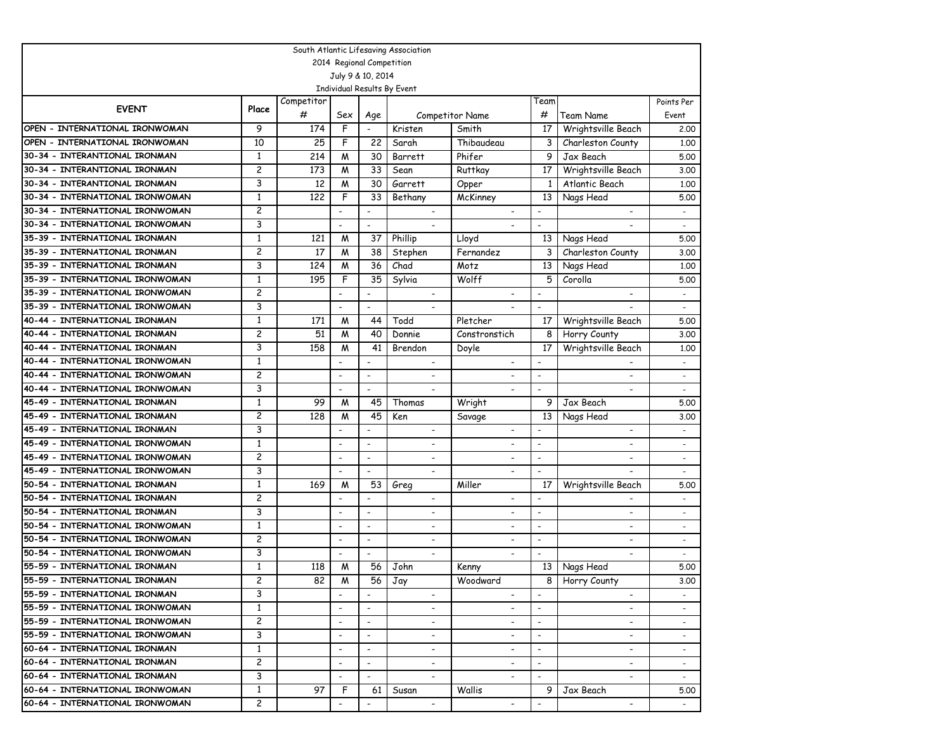| South Atlantic Lifesaving Association |              |            |                          |                          |                             |                          |                          |                          |                          |
|---------------------------------------|--------------|------------|--------------------------|--------------------------|-----------------------------|--------------------------|--------------------------|--------------------------|--------------------------|
| 2014 Regional Competition             |              |            |                          |                          |                             |                          |                          |                          |                          |
| July 9 & 10, 2014                     |              |            |                          |                          |                             |                          |                          |                          |                          |
|                                       |              |            |                          |                          | Individual Results By Event |                          |                          |                          |                          |
| <b>EVENT</b>                          | Place        | Competitor |                          |                          |                             |                          | Team                     |                          | Points Per               |
|                                       |              | #          | Sex                      | Age                      |                             | <b>Competitor Name</b>   | #                        | Team Name                | Event                    |
| OPEN - INTERNATIONAL IRONWOMAN        | 9            | 174        | F                        | $\overline{\phantom{a}}$ | Kristen                     | Smith                    | 17                       | Wrightsville Beach       | 2.00                     |
| OPEN - INTERNATIONAL IRONWOMAN        | 10           | 25         | F                        | 22                       | Sarah                       | Thibaudeau               | 3                        | Charleston County        | 1,00                     |
| 30-34 - INTERANTIONAL IRONMAN         | 1            | 214        | M                        | 30                       | Barrett                     | Phifer                   | 9                        | Jax Beach                | 5.00                     |
| 30-34 - INTERANTIONAL IRONMAN         | 2            | 173        | M                        | 33                       | Sean                        | Ruttkay                  | 17                       | Wrightsville Beach       | 3.00                     |
| 30-34 - INTERANTIONAL IRONMAN         | 3            | 12         | M                        | 30                       | Garrett                     | Opper                    | $\mathbf{1}$             | Atlantic Beach           | 1,00                     |
| 30-34 - INTERNATIONAL IRONWOMAN       | 1            | 122        | F                        | 33                       | Bethany                     | McKinney                 | 13                       | Nags Head                | 5.00                     |
| 30-34 - INTERNATIONAL IRONWOMAN       | 2            |            | $\overline{\phantom{0}}$ | $\overline{\phantom{a}}$ |                             |                          |                          |                          |                          |
| 30-34 - INTERNATIONAL IRONWOMAN       | 3            |            |                          | $\overline{\phantom{a}}$ |                             |                          | $\overline{a}$           |                          |                          |
| 35-39 - INTERNATIONAL IRONMAN         | $\mathbf{1}$ | 121        | M                        | 37                       | Phillip                     | Lloyd                    | 13                       | Nags Head                | 5.00                     |
| 35-39 - INTERNATIONAL IRONMAN         | 2            | 17         | M                        | 38                       | Stephen                     | Fernandez                | 3                        | Charleston County        | 3.00                     |
| 35-39 - INTERNATIONAL IRONMAN         | 3            | 124        | M                        | 36                       | Chad                        | Motz                     | 13                       | Nags Head                | 1,00                     |
| 35-39 - INTERNATIONAL IRONWOMAN       | $\mathbf{1}$ | 195        | F                        | 35                       | Sylvia                      | Wolff                    | 5                        | Corolla                  | 5.00                     |
| 35-39 - INTERNATIONAL IRONWOMAN       | 2            |            |                          |                          |                             |                          | $\overline{\phantom{a}}$ |                          |                          |
| 35-39 - INTERNATIONAL IRONWOMAN       | 3            |            | $\overline{a}$           | $\overline{\phantom{a}}$ | $\overline{a}$              |                          | $\overline{\phantom{a}}$ |                          | $\overline{a}$           |
| 40-44 - INTERNATIONAL IRONMAN         | $\mathbf{1}$ | 171        | M                        | 44                       | Todd                        | Pletcher                 | 17                       | Wrightsville Beach       | 5.00                     |
| 40-44 - INTERNATIONAL IRONMAN         | 2            | 51         | M                        | 40                       | Donnie                      | Constronstich            | 8                        | Horry County             | 3.00                     |
| 40-44 - INTERNATIONAL IRONMAN         | 3            | 158        | M                        | 41                       | Brendon                     | Doyle                    | 17                       | Wrightsville Beach       | 1,00                     |
| 40-44 - INTERNATIONAL IRONWOMAN       | $\mathbf{1}$ |            |                          |                          |                             | $\overline{\phantom{0}}$ | $\overline{a}$           |                          | $\blacksquare$           |
| 40-44 - INTERNATIONAL IRONWOMAN       | 2            |            | $\overline{\phantom{a}}$ | $\overline{\phantom{a}}$ | $\overline{\phantom{a}}$    | $\overline{\phantom{0}}$ | $\overline{\phantom{a}}$ | ٠                        | $\overline{\phantom{a}}$ |
| 40-44 - INTERNATIONAL IRONWOMAN       | 3            |            | $\overline{\phantom{a}}$ | $\overline{\phantom{a}}$ |                             | ٠                        | $\overline{\phantom{a}}$ |                          |                          |
| 45-49 - INTERNATIONAL IRONMAN         | 1            | 99         | M                        | 45                       | Thomas                      | Wright                   | 9                        | Jax Beach                | 5.00                     |
| 45-49 - INTERNATIONAL IRONMAN         | 2            | 128        | M                        | 45                       | Ken                         | Savage                   | 13                       | Nags Head                | 3.00                     |
| 45-49 - INTERNATIONAL IRONMAN         | 3            |            |                          | $\overline{\phantom{a}}$ | $\overline{\phantom{a}}$    |                          | $\overline{\phantom{a}}$ |                          |                          |
| 45-49 - INTERNATIONAL IRONWOMAN       | $\mathbf{1}$ |            | $\overline{\phantom{a}}$ | $\overline{\phantom{a}}$ | $\overline{\phantom{0}}$    | $\overline{\phantom{0}}$ | $\overline{\phantom{a}}$ | $\overline{a}$           |                          |
| 45-49 - INTERNATIONAL IRONWOMAN       | 2            |            | $\overline{\phantom{a}}$ | $\overline{\phantom{a}}$ | $\overline{\phantom{a}}$    | $\overline{\phantom{a}}$ | $\overline{\phantom{a}}$ | -                        |                          |
| 45-49 - INTERNATIONAL IRONWOMAN       | 3            |            | $\overline{\phantom{a}}$ | $\overline{\phantom{a}}$ | $\overline{\phantom{0}}$    | $\overline{\phantom{a}}$ | $\overline{\phantom{a}}$ |                          |                          |
| 50-54 - INTERNATIONAL IRONMAN         | 1            | 169        | M                        | 53                       | Greg                        | Miller                   | 17                       | Wrightsville Beach       | 5.00                     |
| 50-54 - INTERNATIONAL IRONMAN         | 2            |            |                          |                          |                             | $\overline{\phantom{0}}$ | $\overline{a}$           |                          |                          |
| 50-54 - INTERNATIONAL IRONMAN         | 3            |            | $\overline{\phantom{a}}$ | $\overline{\phantom{a}}$ | $\overline{\phantom{a}}$    | $\overline{\phantom{0}}$ | $\overline{\phantom{a}}$ | ٠                        | $\overline{\phantom{a}}$ |
| 50-54 - INTERNATIONAL IRONWOMAN       | $\mathbf{1}$ |            | $\overline{\phantom{a}}$ | $\overline{\phantom{a}}$ | $\overline{\phantom{a}}$    | $\overline{\phantom{a}}$ | $\overline{\phantom{a}}$ | $\overline{\phantom{0}}$ | $\overline{\phantom{a}}$ |
| 50-54 - INTERNATIONAL IRONWOMAN       | 2            |            | $\overline{\phantom{a}}$ | $\overline{\phantom{a}}$ | $\overline{\phantom{a}}$    | $\overline{\phantom{0}}$ | $\overline{\phantom{a}}$ | -                        |                          |
| 50-54 - INTERNATIONAL IRONWOMAN       | 3            |            | $\overline{\phantom{0}}$ | $\overline{\phantom{a}}$ | $\overline{\phantom{a}}$    | $\overline{\phantom{a}}$ | $\overline{\phantom{a}}$ | $\blacksquare$           |                          |
| 55-59 - INTERNATIONAL IRONMAN         | $\mathbf{1}$ | 118        | M                        | 56                       | John                        | Kenny                    | 13                       | Nags Head                | 5.00                     |
| 55-59 - INTERNATIONAL IRONMAN         | 2            | 82         | M                        | $\overline{56}$          | Jay                         | Woodward                 | 8                        | Horry County             | 3.00                     |
| 55-59 - INTERNATIONAL IRONMAN         | 3            |            | $\overline{\phantom{a}}$ |                          |                             | $\overline{\phantom{a}}$ |                          | $\overline{\phantom{a}}$ |                          |
| 55-59 - INTERNATIONAL IRONWOMAN       | 1            |            | $\overline{\phantom{a}}$ |                          |                             |                          | $\overline{\phantom{a}}$ |                          |                          |
| 55-59 - INTERNATIONAL IRONWOMAN       | 2            |            | $\overline{\phantom{a}}$ | $\overline{\phantom{a}}$ |                             |                          | $\overline{\phantom{a}}$ | $\overline{\phantom{a}}$ |                          |
| 55-59 - INTERNATIONAL IRONWOMAN       | 3            |            | $\overline{\phantom{a}}$ | $\overline{\phantom{a}}$ | $\overline{\phantom{a}}$    | -                        | $\overline{\phantom{a}}$ | ٠                        | $\overline{\phantom{a}}$ |
| 60-64 - INTERNATIONAL IRONMAN         | 1            |            | $\overline{\phantom{a}}$ | $\overline{\phantom{a}}$ | $\overline{\phantom{a}}$    | -                        | $\overline{\phantom{a}}$ | ٠                        |                          |
| 60-64 - INTERNATIONAL IRONMAN         | 2            |            | $\overline{\phantom{a}}$ | $\overline{\phantom{a}}$ | $\overline{\phantom{a}}$    | $\overline{\phantom{a}}$ | $\overline{\phantom{a}}$ | $\overline{\phantom{a}}$ | $\overline{\phantom{a}}$ |
| 60-64 - INTERNATIONAL IRONMAN         | 3            |            | $\overline{\phantom{a}}$ | $\overline{\phantom{a}}$ | $\overline{\phantom{a}}$    | $\overline{\phantom{0}}$ | $\overline{\phantom{a}}$ | $\overline{\phantom{a}}$ | $\overline{\phantom{a}}$ |
| 60-64 - INTERNATIONAL IRONWOMAN       | 1            | 97         | F                        | 61                       | Susan                       | Wallis                   | 9                        | Jax Beach                | 5.00                     |
| 60-64 - INTERNATIONAL IRONWOMAN       | 2            |            |                          | $\overline{\phantom{a}}$ | $\overline{\phantom{a}}$    | $\overline{\phantom{0}}$ |                          | $\overline{\phantom{a}}$ |                          |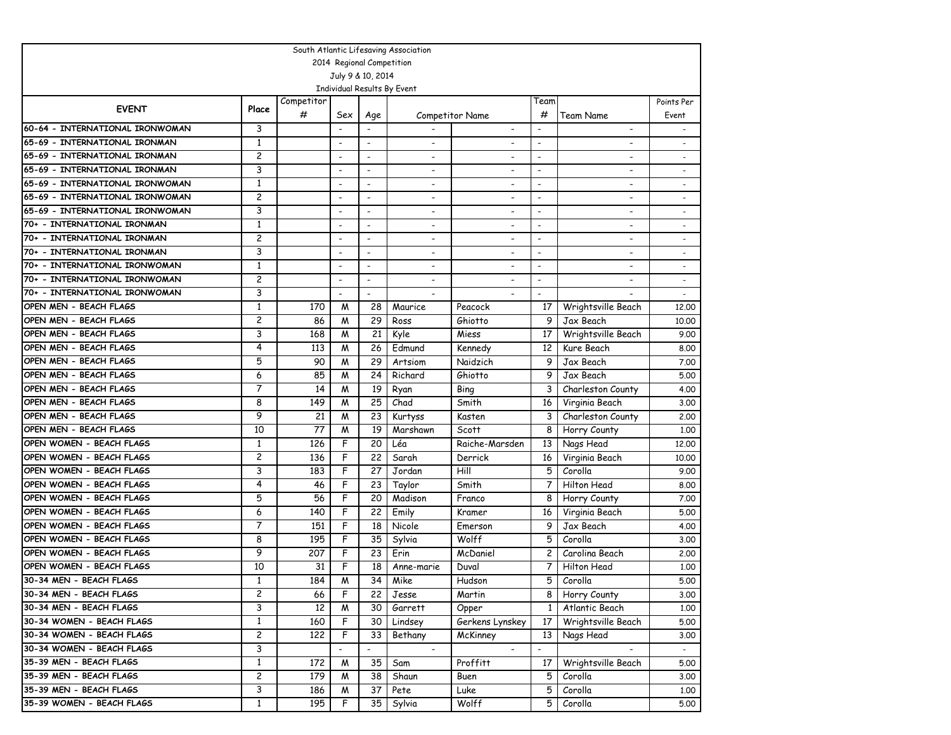| South Atlantic Lifesaving Association            |                         |            |                          |                          |                          |                          |                          |                          |                          |  |
|--------------------------------------------------|-------------------------|------------|--------------------------|--------------------------|--------------------------|--------------------------|--------------------------|--------------------------|--------------------------|--|
| 2014 Regional Competition                        |                         |            |                          |                          |                          |                          |                          |                          |                          |  |
| July 9 & 10, 2014<br>Individual Results By Event |                         |            |                          |                          |                          |                          |                          |                          |                          |  |
|                                                  |                         |            |                          |                          |                          |                          |                          |                          |                          |  |
| <b>EVENT</b>                                     | Place                   | Competitor |                          |                          |                          |                          | Team                     |                          | Points Per               |  |
|                                                  |                         | #          | Sex                      | Age                      |                          | <b>Competitor Name</b>   | #                        | Team Name                | Event                    |  |
| 60-64 - INTERNATIONAL IRONWOMAN                  | 3                       |            |                          |                          |                          | $\overline{\phantom{a}}$ |                          | $\overline{\phantom{a}}$ |                          |  |
| 65-69 - INTERNATIONAL IRONMAN                    | 1                       |            | $\overline{\phantom{a}}$ | $\blacksquare$           |                          | $\overline{\phantom{a}}$ | $\overline{\phantom{a}}$ | $\overline{\phantom{a}}$ |                          |  |
| 65-69 - INTERNATIONAL IRONMAN                    | $\overline{c}$          |            | $\overline{a}$           | $\overline{a}$           |                          |                          | $\blacksquare$           |                          |                          |  |
| 65-69 - INTERNATIONAL IRONMAN                    | 3                       |            | $\overline{\phantom{a}}$ | $\overline{\phantom{a}}$ | $\overline{\phantom{a}}$ | $\overline{\phantom{a}}$ | $\overline{\phantom{a}}$ | $\overline{\phantom{0}}$ | $\overline{\phantom{a}}$ |  |
| 65-69 - INTERNATIONAL IRONWOMAN                  | 1                       |            | $\overline{\phantom{a}}$ | $\blacksquare$           | $\overline{\phantom{a}}$ | $\overline{\phantom{0}}$ | $\overline{\phantom{a}}$ |                          |                          |  |
| 65-69 - INTERNATIONAL IRONWOMAN                  | $\overline{c}$          |            | $\overline{\phantom{a}}$ | $\overline{a}$           |                          |                          | -                        |                          |                          |  |
| 65-69 - INTERNATIONAL IRONWOMAN                  | 3                       |            | $\overline{\phantom{a}}$ | $\overline{\phantom{a}}$ | $\blacksquare$           | $\overline{\phantom{a}}$ | ٠                        | $\overline{\phantom{0}}$ |                          |  |
| 70+ - INTERNATIONAL IRONMAN                      | $\mathbf{1}$            |            | $\overline{a}$           | $\overline{a}$           |                          |                          | $\overline{\phantom{0}}$ |                          |                          |  |
| 70+ - INTERNATIONAL IRONMAN                      | $\overline{\mathbf{c}}$ |            | $\overline{\phantom{a}}$ | $\overline{\phantom{a}}$ | $\overline{\phantom{a}}$ | $\overline{\phantom{a}}$ | $\blacksquare$           | $\overline{\phantom{a}}$ |                          |  |
| 70+ - INTERNATIONAL IRONMAN                      | 3                       |            | $\overline{\phantom{a}}$ | $\overline{\phantom{a}}$ | $\overline{\phantom{a}}$ | $\overline{\phantom{a}}$ | $\blacksquare$           |                          |                          |  |
| 70+ - INTERNATIONAL IRONWOMAN                    | $\mathbf{1}$            |            | $\overline{\phantom{a}}$ | $\overline{a}$           | $\overline{\phantom{a}}$ | $\overline{\phantom{a}}$ | $\overline{\phantom{0}}$ | $\overline{\phantom{a}}$ |                          |  |
| 70+ - INTERNATIONAL IRONWOMAN                    | 2                       |            | $\overline{\phantom{a}}$ | $\overline{\phantom{a}}$ | $\blacksquare$           | $\overline{\phantom{a}}$ | $\overline{\phantom{a}}$ | $\overline{\phantom{a}}$ |                          |  |
| 70+ - INTERNATIONAL IRONWOMAN                    | 3                       |            |                          | $\overline{\phantom{a}}$ |                          |                          | $\blacksquare$           |                          |                          |  |
| OPEN MEN - BEACH FLAGS                           | 1                       | 170        | M                        | 28                       | Maurice                  | Peacock                  | 17                       | Wrightsville Beach       | 12,00                    |  |
| OPEN MEN - BEACH FLAGS                           | $\overline{\mathbf{c}}$ | 86         | M                        | 29                       | Ross                     | Ghiotto                  | 9                        | Jax Beach                | 10,00                    |  |
| OPEN MEN - BEACH FLAGS                           | 3                       | 168        | M                        | 21                       | Kyle                     | Miess                    | 17                       | Wrightsville Beach       | 9.00                     |  |
| OPEN MEN - BEACH FLAGS                           | 4                       | 113        | M                        | 26                       | Edmund                   | Kennedy                  | 12                       | Kure Beach               | 8.00                     |  |
| OPEN MEN - BEACH FLAGS                           | 5                       | 90         | M                        | 29                       | Artsiom                  | Naidzich                 | 9                        | Jax Beach                | 7.00                     |  |
| OPEN MEN - BEACH FLAGS                           | 6                       | 85         | M                        | 24                       | Richard                  | Ghiotto                  | 9                        | Jax Beach                | 5.00                     |  |
| OPEN MEN - BEACH FLAGS                           | 7                       | 14         | M                        | 19                       | Ryan                     | Bing                     | 3                        | Charleston County        | 4.00                     |  |
| OPEN MEN - BEACH FLAGS                           | 8                       | 149        | M                        | 25                       | Chad                     | Smith                    | 16                       | Virginia Beach           | 3.00                     |  |
| OPEN MEN - BEACH FLAGS                           | 9                       | 21         | M                        | 23                       | Kurtyss                  | Kasten                   | 3                        | Charleston County        | 2,00                     |  |
| OPEN MEN - BEACH FLAGS                           | 10                      | 77         | M                        | 19                       | Marshawn                 | Scott                    | 8                        | Horry County             | 1,00                     |  |
| OPEN WOMEN - BEACH FLAGS                         | 1                       | 126        | F                        | 20                       | Léa                      | Raiche-Marsden           | 13                       | Nags Head                | 12,00                    |  |
| OPEN WOMEN - BEACH FLAGS                         | 2                       | 136        | F                        | 22                       | Sarah                    | Derrick                  | 16                       | Virginia Beach           | 10.00                    |  |
| OPEN WOMEN - BEACH FLAGS                         | 3                       | 183        | F                        | 27                       | Jordan                   | Hill                     | 5                        | Corolla                  | 9.00                     |  |
| OPEN WOMEN - BEACH FLAGS                         | 4                       | 46         | F                        | 23                       | Taylor                   | Smith                    | 7                        | Hilton Head              | 8.00                     |  |
| OPEN WOMEN - BEACH FLAGS                         | 5                       | 56         | F                        | 20                       | Madison                  | Franco                   | 8                        | Horry County             | 7.00                     |  |
| OPEN WOMEN - BEACH FLAGS                         | 6                       | 140        | F                        | 22                       | Emily                    | Kramer                   | 16                       | Virginia Beach           | 5.00                     |  |
| OPEN WOMEN - BEACH FLAGS                         | 7                       | 151        | F                        | 18                       | Nicole                   | Emerson                  | 9                        | Jax Beach                | 4.00                     |  |
| OPEN WOMEN - BEACH FLAGS                         | 8                       | 195        | F                        | 35                       | Sylvia                   | Wolff                    | 5                        | Corolla                  | 3.00                     |  |
| OPEN WOMEN - BEACH FLAGS                         | 9                       | 207        | F                        | 23                       | Erin                     | McDaniel                 | 2                        | Carolina Beach           | 2.00                     |  |
| OPEN WOMEN - BEACH FLAGS                         | 10                      | 31         | F                        | 18                       | Anne-marie               | Duval                    | 7                        | Hilton Head              | 1,00                     |  |
| 30-34 MEN - BEACH FLAGS                          | 1                       | 184        | M                        | $\overline{34}$          | Mike                     | Hudson                   | 5                        | Corolla                  | 5.00                     |  |
| 30-34 MEN - BEACH FLAGS                          | 2                       | 66         | F                        | 22                       | Jesse                    | Martin                   | 8                        | Horry County             | 3.00                     |  |
| 30-34 MEN - BEACH FLAGS                          | 3                       | 12         | M                        | 30                       | Garrett                  | Opper                    | $\mathbf{1}$             | Atlantic Beach           | 1,00                     |  |
| 30-34 WOMEN - BEACH FLAGS                        | $\mathbf{1}$            | 160        | F                        | 30                       | Lindsey                  | Gerkens Lynskey          | 17                       | Wrightsville Beach       | 5.00                     |  |
| 30-34 WOMEN - BEACH FLAGS                        | 2                       | 122        | F                        | 33                       | Bethany                  | McKinney                 | 13                       | Nags Head                | 3.00                     |  |
| 30-34 WOMEN - BEACH FLAGS                        | 3                       |            |                          | $\overline{\phantom{a}}$ | $\overline{a}$           |                          | $\overline{\phantom{a}}$ |                          |                          |  |
| 35-39 MEN - BEACH FLAGS                          | $\mathbf{1}$            | 172        | M                        | 35                       | Sam                      | Proffitt                 | 17                       | Wrightsville Beach       | 5.00                     |  |
| 35-39 MEN - BEACH FLAGS                          | 2                       | 179        | M                        | 38                       | Shaun                    | Buen                     | 5.                       | Corolla                  | 3.00                     |  |
| 35-39 MEN - BEACH FLAGS                          | 3                       | 186        | M                        | 37                       | Pete                     | Luke                     | 5                        | Corolla                  | 1.00                     |  |
| 35-39 WOMEN - BEACH FLAGS                        | $\mathbf{1}$            | 195        | F                        | 35                       | Sylvia                   | Wolff                    | 5.                       | Corolla                  | 5.00                     |  |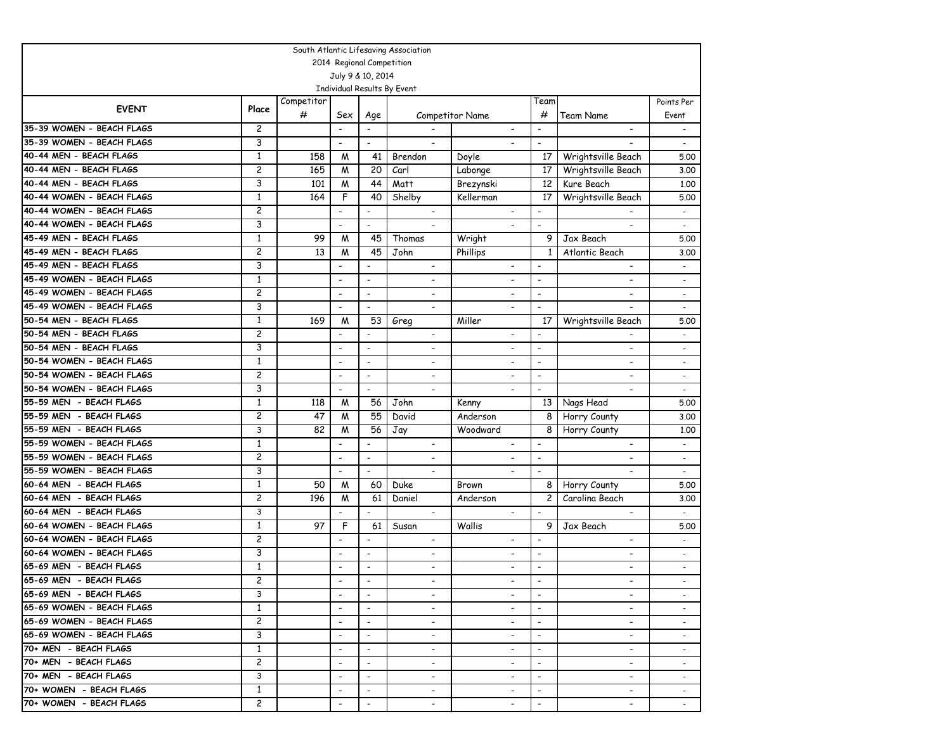| South Atlantic Lifesaving Association                  |                |                 |                          |                                            |                                                      |                            |                                                      |                                            |                          |
|--------------------------------------------------------|----------------|-----------------|--------------------------|--------------------------------------------|------------------------------------------------------|----------------------------|------------------------------------------------------|--------------------------------------------|--------------------------|
| 2014 Regional Competition                              |                |                 |                          |                                            |                                                      |                            |                                                      |                                            |                          |
| July 9 & 10, 2014                                      |                |                 |                          |                                            |                                                      |                            |                                                      |                                            |                          |
|                                                        |                |                 |                          |                                            | Individual Results By Event                          |                            |                                                      |                                            |                          |
| <b>EVENT</b>                                           | Place          | Competitor<br># | Sex                      |                                            |                                                      |                            | Team<br>#                                            | Team Name                                  | Points Per<br>Event      |
| 35-39 WOMEN - BEACH FLAGS                              | 2              |                 | $\overline{\phantom{a}}$ | Age<br>$\overline{\phantom{a}}$            |                                                      | Competitor Name            | $\overline{\phantom{a}}$                             |                                            |                          |
| 35-39 WOMEN - BEACH FLAGS                              | 3              |                 |                          |                                            |                                                      | $\overline{\phantom{a}}$   |                                                      | $\overline{\phantom{a}}$                   | $\sim$                   |
| 40-44 MEN - BEACH FLAGS                                | $\mathbf{1}$   |                 | $\overline{\phantom{a}}$ |                                            | $\overline{\phantom{a}}$                             |                            | $\overline{\phantom{a}}$                             |                                            | $\overline{\phantom{a}}$ |
|                                                        | $\overline{c}$ | 158             | M                        | 41                                         | Brendon                                              | Doyle                      | 17                                                   | Wrightsville Beach                         | 5.00                     |
| 40-44 MEN - BEACH FLAGS<br>40-44 MEN - BEACH FLAGS     | 3              | 165             | M                        | 20<br>44                                   | Carl                                                 | Labonge                    | 17<br>12                                             | Wrightsville Beach                         | 3.00                     |
| 40-44 WOMEN - BEACH FLAGS                              | $\mathbf{1}$   | 101<br>164      | M<br>F                   | 40                                         | Matt<br>Shelby                                       | Brezynski                  | 17                                                   | Kure Beach                                 | 1,00                     |
| 40-44 WOMEN - BEACH FLAGS                              | 2              |                 |                          |                                            |                                                      | Kellerman                  |                                                      | Wrightsville Beach                         | 5.00                     |
|                                                        |                |                 | $\overline{\phantom{a}}$ | $\overline{\phantom{a}}$                   |                                                      |                            | $\overline{\phantom{a}}$<br>$\overline{a}$           |                                            |                          |
| 40-44 WOMEN - BEACH FLAGS                              | 3              |                 | $\overline{a}$           | $\blacksquare$                             |                                                      |                            |                                                      |                                            | $\blacksquare$           |
| 45-49 MEN - BEACH FLAGS<br>45-49 MEN - BEACH FLAGS     | $\mathbf{1}$   | 99              | M                        | 45                                         | Thomas                                               | Wright                     | 9                                                    | Jax Beach                                  | 5.00                     |
|                                                        | 2              | 13              | M                        | 45                                         | John                                                 | Phillips                   | $\mathbf{1}$                                         | Atlantic Beach                             | 3.00                     |
| 45-49 MEN - BEACH FLAGS                                | 3              |                 | $\overline{\phantom{a}}$ | $\overline{\phantom{a}}$                   | $\overline{\phantom{a}}$                             | $\overline{\phantom{a}}$   | $\overline{a}$                                       | $\overline{\phantom{a}}$                   | $\overline{\phantom{a}}$ |
| 45-49 WOMEN - BEACH FLAGS                              | $\mathbf{1}$   |                 | $\overline{\phantom{a}}$ | $\overline{\phantom{a}}$                   | $\overline{\phantom{a}}$                             | $\overline{\phantom{a}}$   | $\overline{\phantom{a}}$                             | $\overline{\phantom{a}}$                   | $\overline{\phantom{a}}$ |
| 45-49 WOMEN - BEACH FLAGS                              | 2              |                 | $\overline{\phantom{a}}$ | $\overline{\phantom{a}}$                   | $\overline{\phantom{a}}$                             | $\overline{a}$             | $\overline{\phantom{a}}$                             |                                            |                          |
| 45-49 WOMEN - BEACH FLAGS<br>50-54 MEN - BEACH FLAGS   | 3              |                 | $\overline{a}$           | $\blacksquare$                             | $\overline{a}$                                       | $\overline{\phantom{0}}$   | $\overline{\phantom{a}}$                             |                                            | $\overline{a}$           |
| 50-54 MEN - BEACH FLAGS                                | $\mathbf{1}$   | 169             | M                        | 53                                         | Greg                                                 | Miller                     | 17                                                   | Wrightsville Beach                         | 5.00                     |
|                                                        | 2              |                 | $\overline{\phantom{a}}$ | $\overline{\phantom{a}}$                   |                                                      | $\overline{\phantom{0}}$   |                                                      |                                            |                          |
| 50-54 MEN - BEACH FLAGS<br>50-54 WOMEN - BEACH FLAGS   | 3              |                 | $\overline{\phantom{a}}$ | $\overline{\phantom{a}}$                   | $\overline{\phantom{a}}$                             | $\overline{\phantom{a}}$   | $\blacksquare$                                       | $\blacksquare$                             |                          |
|                                                        | $\mathbf{1}$   |                 | $\overline{\phantom{a}}$ | $\blacksquare$                             | $\qquad \qquad \blacksquare$                         | $\overline{\phantom{a}}$   | $\overline{a}$                                       | $\overline{\phantom{0}}$                   | $\blacksquare$           |
| 50-54 WOMEN - BEACH FLAGS<br>50-54 WOMEN - BEACH FLAGS | 2              |                 | $\blacksquare$           | $\overline{\phantom{a}}$                   | $\overline{\phantom{a}}$                             | -                          | $\blacksquare$                                       | ٠                                          | $\overline{\phantom{a}}$ |
|                                                        | 3              |                 | $\overline{\phantom{a}}$ | $\blacksquare$                             | $\overline{a}$                                       | $\overline{\phantom{0}}$   | $\overline{\phantom{a}}$                             | $\overline{a}$                             | $\overline{\phantom{a}}$ |
| 55-59 MEN - BEACH FLAGS                                | $\mathbf{1}$   | 118             | M                        | 56                                         | John                                                 | Kenny                      | 13                                                   | Nags Head                                  | 5.00                     |
| 55-59 MEN - BEACH FLAGS<br>55-59 MEN - BEACH FLAGS     | 2<br>3         | 47<br>82        | M                        | 55                                         | David                                                | Anderson                   | 8                                                    | Horry County                               | 3.00                     |
|                                                        | $\mathbf{1}$   |                 | M<br>$\overline{a}$      | 56<br>$\overline{\phantom{a}}$             | Jay                                                  | Woodward                   | 8                                                    | Horry County                               | 1.00                     |
| 55-59 WOMEN - BEACH FLAGS<br>55-59 WOMEN - BEACH FLAGS | 2              |                 |                          |                                            | $\overline{\phantom{a}}$                             | $\overline{\phantom{a}}$   | $\overline{\phantom{a}}$                             | $\overline{\phantom{0}}$                   | $\overline{\phantom{a}}$ |
|                                                        |                |                 | $\overline{\phantom{a}}$ | $\overline{\phantom{a}}$                   | $\overline{\phantom{a}}$                             |                            | $\overline{\phantom{a}}$                             | $\overline{\phantom{a}}$                   | $\overline{\phantom{a}}$ |
| 55-59 WOMEN - BEACH FLAGS                              | 3              |                 | $\overline{\phantom{a}}$ | $\overline{\phantom{a}}$                   | $\overline{\phantom{a}}$                             | $\overline{\phantom{0}}$   | $\blacksquare$                                       |                                            |                          |
| 60-64 MEN - BEACH FLAGS<br>60-64 MEN - BEACH FLAGS     | 1<br>2         | 50              | M                        | 60                                         | Duke                                                 | Brown                      | 8<br>$\overline{c}$                                  | Horry County                               | 5.00                     |
| 60-64 MEN - BEACH FLAGS                                | 3              | 196             | M                        | 61<br>$\overline{\phantom{a}}$             | Daniel<br>$\blacksquare$                             | Anderson<br>$\blacksquare$ | $\blacksquare$                                       | Carolina Beach<br>$\overline{\phantom{0}}$ | 3.00                     |
| 60-64 WOMEN - BEACH FLAGS                              | $\mathbf{1}$   | 97              | F                        | 61                                         |                                                      | Wallis                     | 9                                                    | Jax Beach                                  | $\overline{\phantom{a}}$ |
| 60-64 WOMEN - BEACH FLAGS                              | 2              |                 |                          | $\overline{\phantom{a}}$                   | Susan                                                |                            | $\overline{\phantom{a}}$                             |                                            | 5.00                     |
| 60-64 WOMEN - BEACH FLAGS                              | 3              |                 | $\overline{\phantom{a}}$ |                                            | $\overline{\phantom{a}}$                             | $\overline{\phantom{0}}$   |                                                      | $\overline{\phantom{a}}$                   | $\overline{\phantom{a}}$ |
| 65-69 MEN - BEACH FLAGS                                | $\mathbf{1}$   |                 | $\overline{\phantom{a}}$ | $\overline{\phantom{a}}$<br>$\blacksquare$ | $\overline{\phantom{a}}$<br>$\overline{\phantom{a}}$ | $\overline{\phantom{a}}$   | $\overline{\phantom{a}}$<br>$\overline{\phantom{a}}$ | $\overline{\phantom{a}}$                   |                          |
| 65-69 MEN - BEACH FLAGS                                | 2              |                 |                          |                                            |                                                      |                            |                                                      |                                            |                          |
| 65-69 MEN - BEACH FLAGS                                | 3              |                 |                          |                                            |                                                      |                            |                                                      |                                            |                          |
| 65-69 WOMEN - BEACH FLAGS                              | $\mathbf{1}$   |                 | $\overline{\phantom{a}}$ |                                            |                                                      | $\overline{\phantom{a}}$   |                                                      | $\overline{\phantom{a}}$                   |                          |
| 65-69 WOMEN - BEACH FLAGS                              | $\overline{c}$ |                 | $\overline{\phantom{a}}$ |                                            |                                                      |                            |                                                      |                                            |                          |
|                                                        |                |                 | $\overline{\phantom{a}}$ | $\overline{\phantom{a}}$                   | $\overline{\phantom{a}}$                             | $\overline{\phantom{a}}$   | $\overline{\phantom{a}}$                             | $\overline{\phantom{0}}$                   |                          |
| 65-69 WOMEN - BEACH FLAGS                              | 3              |                 | $\overline{\phantom{a}}$ | $\overline{\phantom{a}}$                   | $\overline{\phantom{a}}$                             | $\overline{\phantom{0}}$   | $\overline{\phantom{a}}$                             | $\overline{\phantom{0}}$                   | $\overline{\phantom{a}}$ |
| 70+ MEN - BEACH FLAGS                                  | $\mathbf{1}$   |                 | $\overline{\phantom{a}}$ | $\overline{\phantom{a}}$                   | $\overline{\phantom{a}}$                             | $\overline{\phantom{0}}$   | $\overline{\phantom{a}}$                             | Ξ.                                         |                          |
| 70+ MEN - BEACH FLAGS                                  | 2              |                 | $\overline{\phantom{a}}$ | $\overline{\phantom{a}}$                   | $\overline{\phantom{a}}$                             | $\overline{\phantom{a}}$   | $\overline{\phantom{a}}$                             | $\overline{\phantom{0}}$                   | $\sim$                   |
| 70+ MEN - BEACH FLAGS                                  | 3              |                 | $\overline{\phantom{a}}$ | $\overline{\phantom{a}}$                   | $\overline{\phantom{a}}$                             | $\overline{\phantom{a}}$   | $\overline{\phantom{a}}$                             | $\overline{\phantom{a}}$                   | $\overline{\phantom{a}}$ |
| 70+ WOMEN - BEACH FLAGS                                | 1              |                 | $\overline{\phantom{a}}$ | $\overline{\phantom{a}}$                   | $\overline{\phantom{a}}$                             | $\overline{\phantom{a}}$   | $\overline{\phantom{a}}$                             | $\overline{\phantom{0}}$                   |                          |
| 70+ WOMEN - BEACH FLAGS                                | $\mathbf{2}$   |                 |                          | $\overline{\phantom{a}}$                   |                                                      |                            |                                                      |                                            |                          |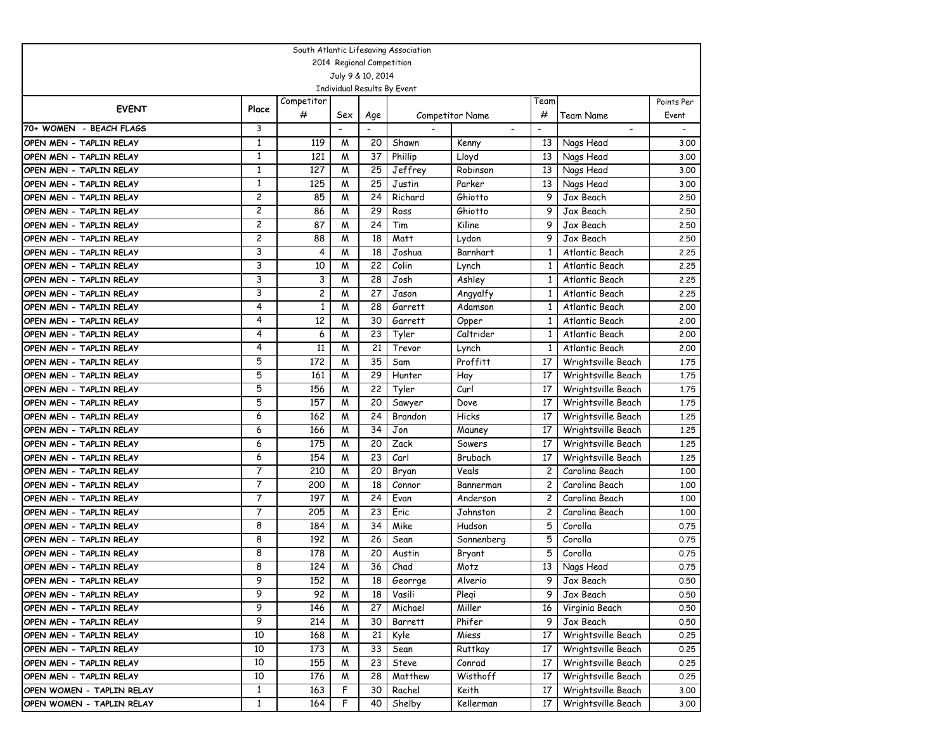|                           |                                             |                |                |                 | South Atlantic Lifesaving Association |                          |                |                          |        |
|---------------------------|---------------------------------------------|----------------|----------------|-----------------|---------------------------------------|--------------------------|----------------|--------------------------|--------|
| 2014 Regional Competition |                                             |                |                |                 |                                       |                          |                |                          |        |
| July 9 & 10, 2014         |                                             |                |                |                 |                                       |                          |                |                          |        |
|                           |                                             |                |                |                 | Individual Results By Event           |                          |                |                          |        |
|                           | Competitor<br>Team<br><b>EVENT</b><br>Place |                |                |                 |                                       |                          |                |                          |        |
|                           |                                             | #              | Sex            | Age             |                                       | Competitor Name          | #              | <b>Team Name</b>         | Event  |
| 70+ WOMEN - BEACH FLAGS   | 3                                           |                |                |                 |                                       | $\overline{\phantom{a}}$ |                | $\overline{\phantom{a}}$ | $\sim$ |
| OPEN MEN - TAPLIN RELAY   | 1                                           | 119            | M              | 20              | Shawn                                 | Kenny                    | 13             | Nags Head                | 3,00   |
| OPEN MEN - TAPLIN RELAY   | $\mathbf{1}$                                | 121            | M              | 37              | Phillip                               | Lloyd                    | 13             | Nags Head                | 3.00   |
| OPEN MEN - TAPLIN RELAY   | $\mathbf{1}$                                | 127            | M              | 25              | Jeffrey                               | Robinson                 | 13             | Nags Head                | 3.00   |
| OPEN MEN - TAPLIN RELAY   | 1                                           | 125            | M              | 25              | Justin                                | Parker                   | 13             | Nags Head                | 3.00   |
| OPEN MEN - TAPLIN RELAY   | 2                                           | 85             | M              | 24              | Richard                               | Ghiotto                  | 9              | Jax Beach                | 2.50   |
| OPEN MEN - TAPLIN RELAY   | 2                                           | 86             | M              | 29              | Ross                                  | Ghiotto                  | 9              | Jax Beach                | 2.50   |
| OPEN MEN - TAPLIN RELAY   | 2                                           | 87             | M              | 24              | Tim                                   | Kiline                   | 9              | Jax Beach                | 2.50   |
| OPEN MEN - TAPLIN RELAY   | 2                                           | 88             | M              | 18              | Matt                                  | Lydon                    | 9              | Jax Beach                | 2.50   |
| OPEN MEN - TAPLIN RELAY   | 3                                           | 4              | M              | 18              | Joshua                                | Barnhart                 | 1              | Atlantic Beach           | 2.25   |
| OPEN MEN - TAPLIN RELAY   | 3                                           | 10             | M              | 22              | Colin                                 | Lynch                    | 1              | Atlantic Beach           | 2.25   |
| OPEN MEN - TAPLIN RELAY   | 3                                           | 3              | M              | 28              | Josh                                  | Ashley                   | 1              | Atlantic Beach           | 2.25   |
| OPEN MEN - TAPLIN RELAY   | 3                                           | $\overline{c}$ | M              | 27              | Jason                                 | Angyalfy                 | 1              | Atlantic Beach           | 2,25   |
| OPEN MEN - TAPLIN RELAY   | 4                                           | $\mathbf{1}$   | M              | 28              | Garrett                               | Adamson                  | $\mathbf{1}$   | Atlantic Beach           | 2,00   |
| OPEN MEN - TAPLIN RELAY   | 4                                           | 12             | M              | 30              | Garrett                               | Opper                    | $\mathbf{1}$   | Atlantic Beach           | 2.00   |
| OPEN MEN - TAPLIN RELAY   | 4                                           | 6              | M              | 23              | Tyler                                 | Caltrider                | 1              | Atlantic Beach           | 2,00   |
| OPEN MEN - TAPLIN RELAY   | 4                                           | 11             | M              | 21              | Trevor                                | Lynch                    | 1              | Atlantic Beach           | 2.00   |
| OPEN MEN - TAPLIN RELAY   | 5                                           | 172            | M              | 35              | Sam                                   | Proffitt                 | 17             | Wrightsville Beach       | 1.75   |
| OPEN MEN - TAPLIN RELAY   | 5                                           | 161            | M              | 29              | Hunter                                | Hay                      | 17             | Wrightsville Beach       | 1,75   |
| OPEN MEN - TAPLIN RELAY   | 5                                           | 156            | M              | 22              | Tyler                                 | Curl                     | 17             | Wrightsville Beach       | 1,75   |
| OPEN MEN - TAPLIN RELAY   | 5                                           | 157            | M              | 20              | Sawyer                                | Dove                     | 17             | Wrightsville Beach       | 1.75   |
| OPEN MEN - TAPLIN RELAY   | 6                                           | 162            | M              | 24              | Brandon                               | Hicks                    | 17             | Wrightsville Beach       | 1.25   |
| OPEN MEN - TAPLIN RELAY   | 6                                           | 166            | M              | 34              | Jon                                   | Mauney                   | 17             | Wrightsville Beach       | 1,25   |
| OPEN MEN - TAPLIN RELAY   | 6                                           | 175            | M              | 20              | Zack                                  | Sowers                   | 17             | Wrightsville Beach       | 1.25   |
| OPEN MEN - TAPLIN RELAY   | 6                                           | 154            | M              | 23              | Carl                                  | Brubach                  | 17             | Wrightsville Beach       | 1.25   |
| OPEN MEN - TAPLIN RELAY   | 7                                           | 210            | M              | 20              | Bryan                                 | Veals                    | 2              | Carolina Beach           | 1.00   |
| OPEN MEN - TAPLIN RELAY   | 7                                           | 200            | M              | 18              | Connor                                | Bannerman                | 2              | Carolina Beach           | 1.00   |
| OPEN MEN - TAPLIN RELAY   | $\overline{7}$                              | 197            | M              | 24              | Evan                                  | Anderson                 | $\overline{c}$ | Carolina Beach           | 1,00   |
| OPEN MEN - TAPLIN RELAY   | 7                                           | 205            | M              | 23              | Eric                                  | Johnston                 | $\overline{c}$ | Carolina Beach           | 1.00   |
| OPEN MEN - TAPLIN RELAY   | 8                                           | 184            | M              | 34              | Mike                                  | Hudson                   | 5              | Corolla                  | 0.75   |
| OPEN MEN - TAPLIN RELAY   | 8                                           | 192            | M              | 26              | Sean                                  | Sonnenberg               | 5              | Corolla                  | 0.75   |
| OPEN MEN - TAPLIN RELAY   | 8                                           | 178            | M              | 20              | Austin                                | Bryant                   | 5              | Corolla                  | 0.75   |
| OPEN MEN - TAPLIN RELAY   | 8                                           | 124            | M              | 36              | Chad                                  | Motz                     | 13             | Nags Head                | 0.75   |
| OPEN MEN - TAPLIN RELAY   | 9                                           | 152            | $\overline{M}$ | $\overline{18}$ | Georrge                               | Alverio                  |                | 9 Jax Beach              | 0.50   |
| OPEN MEN - TAPLIN RELAY   | 9                                           | 92             | M              | 18              | Vasili                                | Plegi                    | 9              | Jax Beach                | 0.50   |
| OPEN MEN - TAPLIN RELAY   | 9                                           | 146            | M              | 27              | Michael                               | Miller                   | 16             | Virginia Beach           | 0.50   |
| OPEN MEN - TAPLIN RELAY   | 9                                           | 214            | M              | 30              | Barrett                               | Phifer                   | 9              | Jax Beach                | 0.50   |
| OPEN MEN - TAPLIN RELAY   | 10                                          | 168            | M              | 21              | Kyle                                  | Miess                    | 17             | Wrightsville Beach       | 0.25   |
| OPEN MEN - TAPLIN RELAY   | 10                                          | 173            | M              | 33              | Sean                                  | Ruttkay                  | 17             | Wrightsville Beach       | 0.25   |
| OPEN MEN - TAPLIN RELAY   | 10                                          | 155            | M              | 23              | Steve                                 | Conrad                   | 17             | Wrightsville Beach       | 0.25   |
| OPEN MEN - TAPLIN RELAY   | 10                                          | 176            | M              | 28              | Matthew                               | Wisthoff                 | 17             | Wrightsville Beach       | 0.25   |
| OPEN WOMEN - TAPLIN RELAY | $\mathbf{1}$                                | 163            | F              | 30              | Rachel                                | Keith                    | 17             | Wrightsville Beach       | 3.00   |
| OPEN WOMEN - TAPLIN RELAY | $\mathbf{1}$                                | 164            | F              | 40              | Shelby                                | Kellerman                | 17             | Wrightsville Beach       | 3.00   |